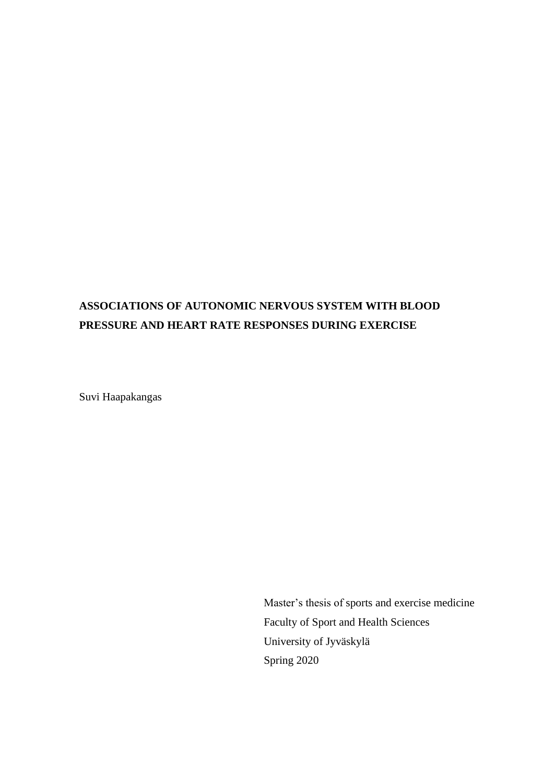# **ASSOCIATIONS OF AUTONOMIC NERVOUS SYSTEM WITH BLOOD PRESSURE AND HEART RATE RESPONSES DURING EXERCISE**

Suvi Haapakangas

Master's thesis of sports and exercise medicine Faculty of Sport and Health Sciences University of Jyväskylä Spring 2020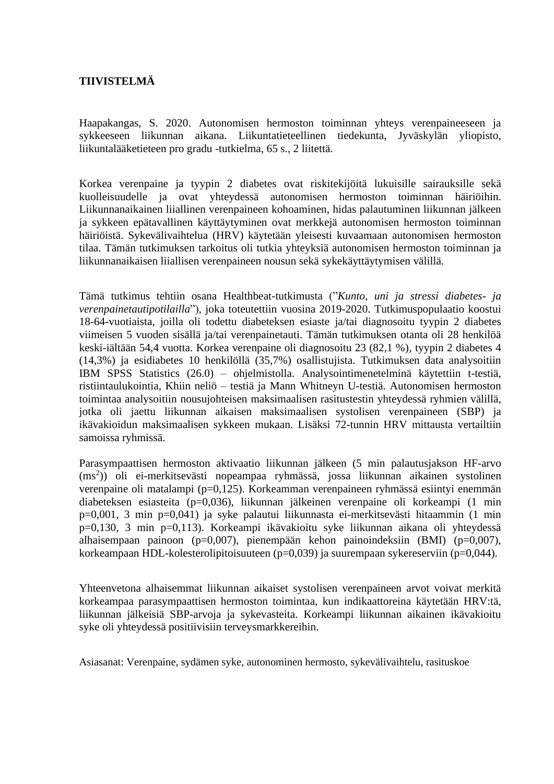## **TIIVISTELMÄ**

Haapakangas, S. 2020. Autonomisen hermoston toiminnan yhteys verenpaineeseen ja sykkeeseen liikunnan aikana. Liikuntatieteellinen tiedekunta, Jyväskylän yliopisto, liikuntalääketieteen pro gradu -tutkielma, 65 s., 2 liitettä.

Korkea verenpaine ja tyypin 2 diabetes ovat riskitekijöitä lukuisille sairauksille sekä kuolleisuudelle ja ovat yhteydessä autonomisen hermoston toiminnan häiriöihin. Liikunnanaikainen liiallinen verenpaineen kohoaminen, hidas palautuminen liikunnan jälkeen ja sykkeen epätavallinen käyttäytyminen ovat merkkejä autonomisen hermoston toiminnan häiriöistä. Sykevälivaihtelua (HRV) käytetään yleisesti kuvaamaan autonomisen hermoston tilaa. Tämän tutkimuksen tarkoitus oli tutkia yhteyksiä autonomisen hermoston toiminnan ja liikunnanaikaisen liiallisen verenpaineen nousun sekä sykekäyttäytymisen välillä.

Tämä tutkimus tehtiin osana Healthbeat-tutkimusta ("*Kunto, uni ja stressi diabetes- ja verenpainetautipotilailla*"), joka toteutettiin vuosina 2019-2020. Tutkimuspopulaatio koostui 18-64-vuotiaista, joilla oli todettu diabeteksen esiaste ja/tai diagnosoitu tyypin 2 diabetes viimeisen 5 vuoden sisällä ja/tai verenpainetauti. Tämän tutkimuksen otanta oli 28 henkilöä keski-iältään 54,4 vuotta. Korkea verenpaine oli diagnosoitu 23 (82,1 %), tyypin 2 diabetes 4 (14,3%) ja esidiabetes 10 henkilöllä (35,7%) osallistujista. Tutkimuksen data analysoitiin IBM SPSS Statistics (26.0) – ohjelmistolla. Analysointimenetelminä käytettiin t-testiä, ristiintaulukointia, Khiin neliö – testiä ja Mann Whitneyn U-testiä. Autonomisen hermoston toimintaa analysoitiin nousujohteisen maksimaalisen rasitustestin yhteydessä ryhmien välillä, jotka oli jaettu liikunnan aikaisen maksimaalisen systolisen verenpaineen (SBP) ja ikävakioidun maksimaalisen sykkeen mukaan. Lisäksi 72-tunnin HRV mittausta vertailtiin samoissa ryhmissä.

Parasympaattisen hermoston aktivaatio liikunnan jälkeen (5 min palautusjakson HF-arvo (ms<sup>2</sup>)) oli ei-merkitsevästi nopeampaa ryhmässä, jossa liikunnan aikainen systolinen verenpaine oli matalampi (p=0,125). Korkeamman verenpaineen ryhmässä esiintyi enemmän diabeteksen esiasteita (p=0,036), liikunnan jälkeinen verenpaine oli korkeampi (1 min p=0,001, 3 min p=0,041) ja syke palautui liikunnasta ei-merkitsevästi hitaammin (1 min p=0,130, 3 min p=0,113). Korkeampi ikävakioitu syke liikunnan aikana oli yhteydessä alhaisempaan painoon (p=0,007), pienempään kehon painoindeksiin (BMI) (p=0,007), korkeampaan HDL-kolesterolipitoisuuteen (p=0,039) ja suurempaan sykereserviin (p=0,044).

Yhteenvetona alhaisemmat liikunnan aikaiset systolisen verenpaineen arvot voivat merkitä korkeampaa parasympaattisen hermoston toimintaa, kun indikaattoreina käytetään HRV:tä, liikunnan jälkeisiä SBP-arvoja ja sykevasteita. Korkeampi liikunnan aikainen ikävakioitu syke oli yhteydessä positiivisiin terveysmarkkereihin.

Asiasanat: Verenpaine, sydämen syke, autonominen hermosto, sykevälivaihtelu, rasituskoe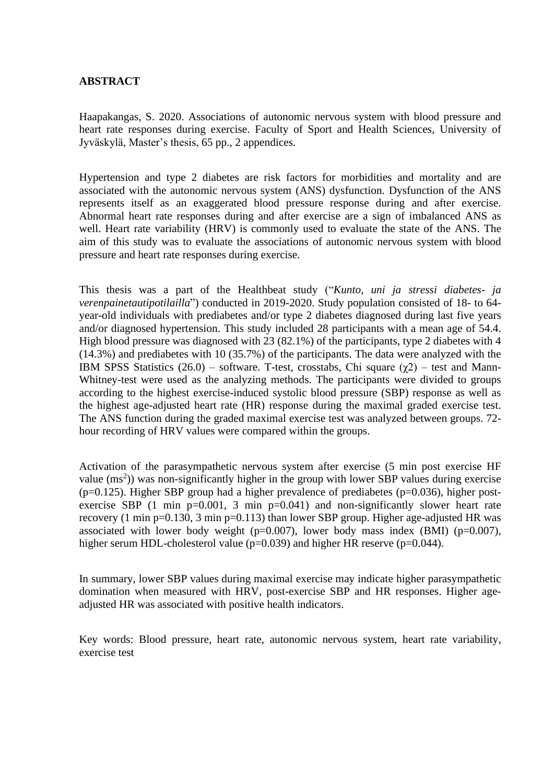## **ABSTRACT**

Haapakangas, S. 2020. Associations of autonomic nervous system with blood pressure and heart rate responses during exercise. Faculty of Sport and Health Sciences, University of Jyväskylä, Master's thesis, 65 pp., 2 appendices.

Hypertension and type 2 diabetes are risk factors for morbidities and mortality and are associated with the autonomic nervous system (ANS) dysfunction. Dysfunction of the ANS represents itself as an exaggerated blood pressure response during and after exercise. Abnormal heart rate responses during and after exercise are a sign of imbalanced ANS as well. Heart rate variability (HRV) is commonly used to evaluate the state of the ANS. The aim of this study was to evaluate the associations of autonomic nervous system with blood pressure and heart rate responses during exercise.

This thesis was a part of the Healthbeat study ("*Kunto, uni ja stressi diabetes- ja verenpainetautipotilailla*") conducted in 2019-2020. Study population consisted of 18- to 64 year-old individuals with prediabetes and/or type 2 diabetes diagnosed during last five years and/or diagnosed hypertension. This study included 28 participants with a mean age of 54.4. High blood pressure was diagnosed with 23 (82.1%) of the participants, type 2 diabetes with 4 (14.3%) and prediabetes with 10 (35.7%) of the participants. The data were analyzed with the IBM SPSS Statistics  $(26.0)$  – software. T-test, crosstabs, Chi square  $(\chi^2)$  – test and Mann-Whitney-test were used as the analyzing methods. The participants were divided to groups according to the highest exercise-induced systolic blood pressure (SBP) response as well as the highest age-adjusted heart rate (HR) response during the maximal graded exercise test. The ANS function during the graded maximal exercise test was analyzed between groups. 72 hour recording of HRV values were compared within the groups.

Activation of the parasympathetic nervous system after exercise (5 min post exercise HF value  $(ms<sup>2</sup>)$ ) was non-significantly higher in the group with lower SBP values during exercise ( $p=0.125$ ). Higher SBP group had a higher prevalence of prediabetes ( $p=0.036$ ), higher postexercise SBP  $(1 \text{ min } p=0.001, 3 \text{ min } p=0.041)$  and non-significantly slower heart rate recovery (1 min p=0.130, 3 min p=0.113) than lower SBP group. Higher age-adjusted HR was associated with lower body weight ( $p=0.007$ ), lower body mass index (BMI) ( $p=0.007$ ), higher serum HDL-cholesterol value (p=0.039) and higher HR reserve (p=0.044).

In summary, lower SBP values during maximal exercise may indicate higher parasympathetic domination when measured with HRV, post-exercise SBP and HR responses. Higher ageadjusted HR was associated with positive health indicators.

Key words: Blood pressure, heart rate, autonomic nervous system, heart rate variability, exercise test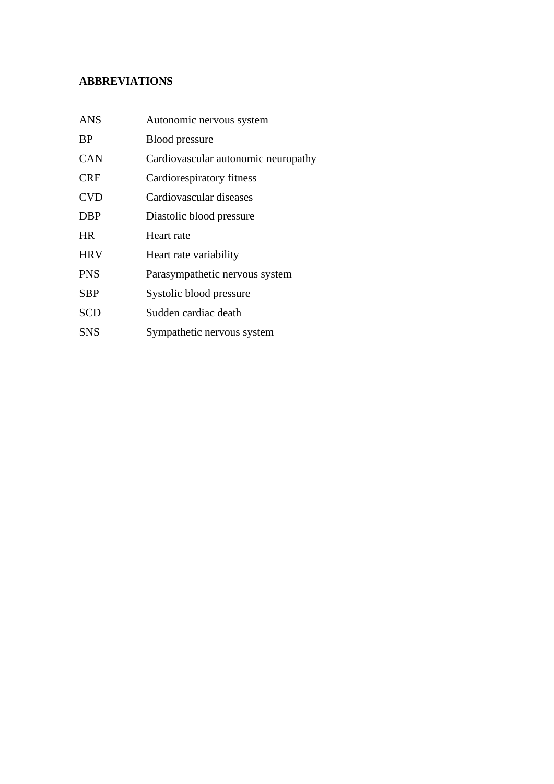## **ABBREVIATIONS**

| <b>ANS</b> | Autonomic nervous system            |
|------------|-------------------------------------|
| <b>BP</b>  | <b>Blood</b> pressure               |
| CAN        | Cardiovascular autonomic neuropathy |
| <b>CRF</b> | Cardiorespiratory fitness           |
| <b>CVD</b> | Cardiovascular diseases             |
| <b>DBP</b> | Diastolic blood pressure            |
| <b>HR</b>  | Heart rate                          |
| <b>HRV</b> | Heart rate variability              |
| <b>PNS</b> | Parasympathetic nervous system      |
| SBP        | Systolic blood pressure             |
| <b>SCD</b> | Sudden cardiac death                |
| <b>SNS</b> | Sympathetic nervous system          |
|            |                                     |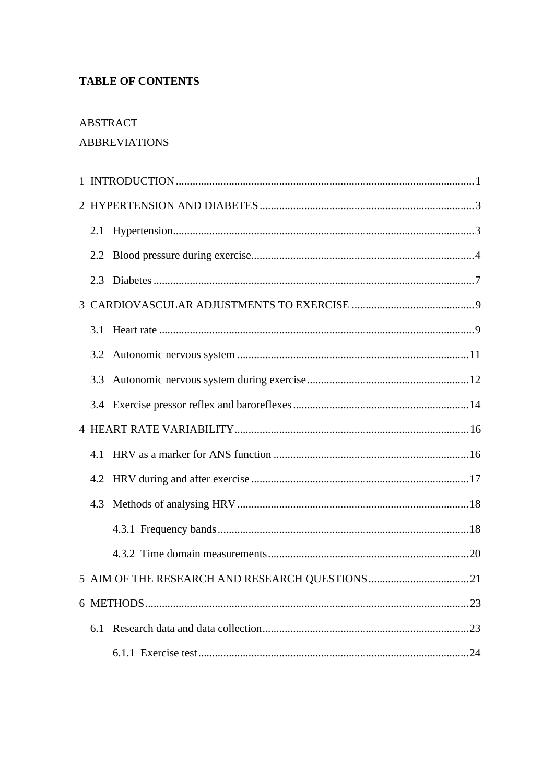## **TABLE OF CONTENTS**

## ABSTRACT

## **ABBREVIATIONS**

| 2.1 |  |
|-----|--|
| 2.2 |  |
| 2.3 |  |
|     |  |
| 3.1 |  |
| 3.2 |  |
| 3.3 |  |
|     |  |
|     |  |
| 4.1 |  |
| 4.2 |  |
| 4.3 |  |
|     |  |
|     |  |
|     |  |
|     |  |
| 6.1 |  |
|     |  |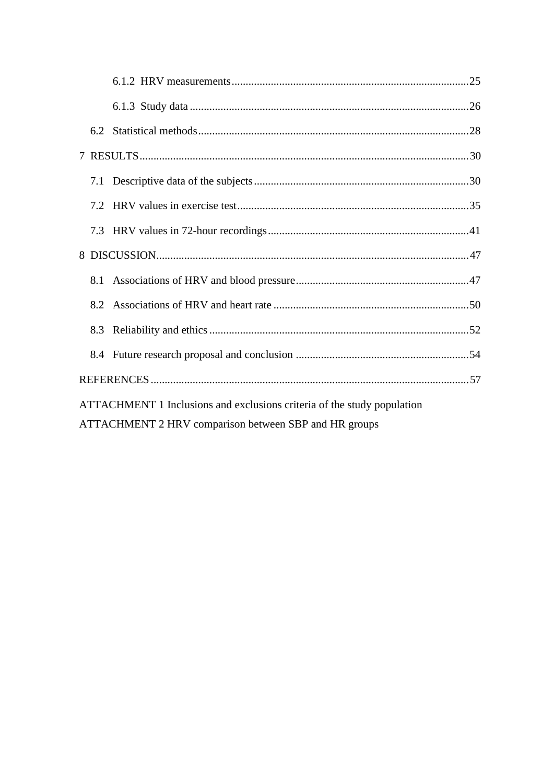|                                                                         | 8.2 |                                                       |  |  |
|-------------------------------------------------------------------------|-----|-------------------------------------------------------|--|--|
|                                                                         | 8.3 |                                                       |  |  |
|                                                                         |     |                                                       |  |  |
|                                                                         |     |                                                       |  |  |
| ATTACHMENT 1 Inclusions and exclusions criteria of the study population |     |                                                       |  |  |
|                                                                         |     | ATTACHMENT 2 HRV comparison between SBP and HR groups |  |  |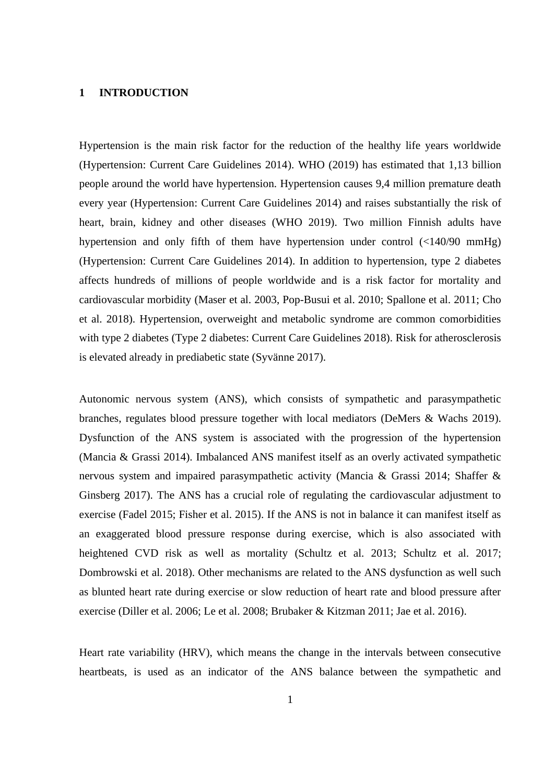#### **1 INTRODUCTION**

Hypertension is the main risk factor for the reduction of the healthy life years worldwide (Hypertension: Current Care Guidelines 2014). WHO (2019) has estimated that 1,13 billion people around the world have hypertension. Hypertension causes 9,4 million premature death every year (Hypertension: Current Care Guidelines 2014) and raises substantially the risk of heart, brain, kidney and other diseases (WHO 2019). Two million Finnish adults have hypertension and only fifth of them have hypertension under control (<140/90 mmHg) (Hypertension: Current Care Guidelines 2014). In addition to hypertension, type 2 diabetes affects hundreds of millions of people worldwide and is a risk factor for mortality and cardiovascular morbidity (Maser et al. 2003, Pop-Busui et al. 2010; Spallone et al. 2011; Cho et al. 2018). Hypertension, overweight and metabolic syndrome are common comorbidities with type 2 diabetes (Type 2 diabetes: Current Care Guidelines 2018). Risk for atherosclerosis is elevated already in prediabetic state (Syvänne 2017).

Autonomic nervous system (ANS), which consists of sympathetic and parasympathetic branches, regulates blood pressure together with local mediators (DeMers & Wachs 2019). Dysfunction of the ANS system is associated with the progression of the hypertension (Mancia & Grassi 2014). Imbalanced ANS manifest itself as an overly activated sympathetic nervous system and impaired parasympathetic activity (Mancia & Grassi 2014; Shaffer & Ginsberg 2017). The ANS has a crucial role of regulating the cardiovascular adjustment to exercise (Fadel 2015; Fisher et al. 2015). If the ANS is not in balance it can manifest itself as an exaggerated blood pressure response during exercise, which is also associated with heightened CVD risk as well as mortality (Schultz et al. 2013; Schultz et al. 2017; Dombrowski et al. 2018). Other mechanisms are related to the ANS dysfunction as well such as blunted heart rate during exercise or slow reduction of heart rate and blood pressure after exercise (Diller et al. 2006; Le et al. 2008; Brubaker & Kitzman 2011; Jae et al. 2016).

Heart rate variability (HRV), which means the change in the intervals between consecutive heartbeats, is used as an indicator of the ANS balance between the sympathetic and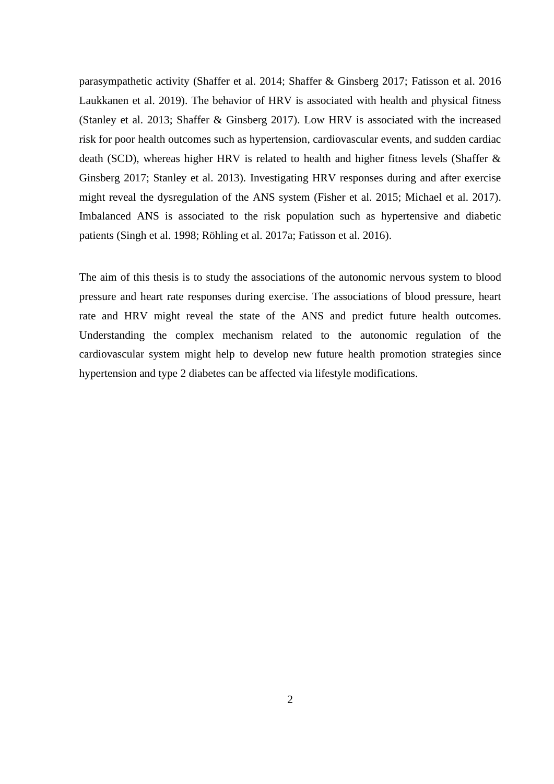parasympathetic activity (Shaffer et al. 2014; Shaffer & Ginsberg 2017; Fatisson et al. 2016 Laukkanen et al. 2019). The behavior of HRV is associated with health and physical fitness (Stanley et al. 2013; Shaffer & Ginsberg 2017). Low HRV is associated with the increased risk for poor health outcomes such as hypertension, cardiovascular events, and sudden cardiac death (SCD), whereas higher HRV is related to health and higher fitness levels (Shaffer & Ginsberg 2017; Stanley et al. 2013). Investigating HRV responses during and after exercise might reveal the dysregulation of the ANS system (Fisher et al. 2015; Michael et al. 2017). Imbalanced ANS is associated to the risk population such as hypertensive and diabetic patients (Singh et al. 1998; Röhling et al. 2017a; Fatisson et al. 2016).

The aim of this thesis is to study the associations of the autonomic nervous system to blood pressure and heart rate responses during exercise. The associations of blood pressure, heart rate and HRV might reveal the state of the ANS and predict future health outcomes. Understanding the complex mechanism related to the autonomic regulation of the cardiovascular system might help to develop new future health promotion strategies since hypertension and type 2 diabetes can be affected via lifestyle modifications.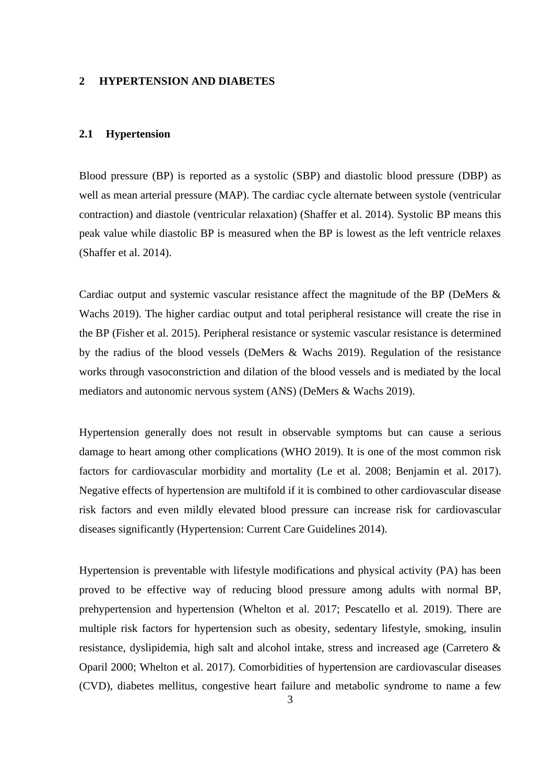#### **2 HYPERTENSION AND DIABETES**

#### **2.1 Hypertension**

Blood pressure (BP) is reported as a systolic (SBP) and diastolic blood pressure (DBP) as well as mean arterial pressure (MAP). The cardiac cycle alternate between systole (ventricular contraction) and diastole (ventricular relaxation) (Shaffer et al. 2014). Systolic BP means this peak value while diastolic BP is measured when the BP is lowest as the left ventricle relaxes (Shaffer et al. 2014).

Cardiac output and systemic vascular resistance affect the magnitude of the BP (DeMers & Wachs 2019). The higher cardiac output and total peripheral resistance will create the rise in the BP (Fisher et al. 2015). Peripheral resistance or systemic vascular resistance is determined by the radius of the blood vessels (DeMers & Wachs 2019). Regulation of the resistance works through vasoconstriction and dilation of the blood vessels and is mediated by the local mediators and autonomic nervous system (ANS) (DeMers & Wachs 2019).

Hypertension generally does not result in observable symptoms but can cause a serious damage to heart among other complications (WHO 2019). It is one of the most common risk factors for cardiovascular morbidity and mortality (Le et al. 2008; Benjamin et al. 2017). Negative effects of hypertension are multifold if it is combined to other cardiovascular disease risk factors and even mildly elevated blood pressure can increase risk for cardiovascular diseases significantly (Hypertension: Current Care Guidelines 2014).

Hypertension is preventable with lifestyle modifications and physical activity (PA) has been proved to be effective way of reducing blood pressure among adults with normal BP, prehypertension and hypertension (Whelton et al. 2017; Pescatello et al. 2019). There are multiple risk factors for hypertension such as obesity, sedentary lifestyle, smoking, insulin resistance, dyslipidemia, high salt and alcohol intake, stress and increased age (Carretero & Oparil 2000; Whelton et al. 2017). Comorbidities of hypertension are cardiovascular diseases (CVD), diabetes mellitus, congestive heart failure and metabolic syndrome to name a few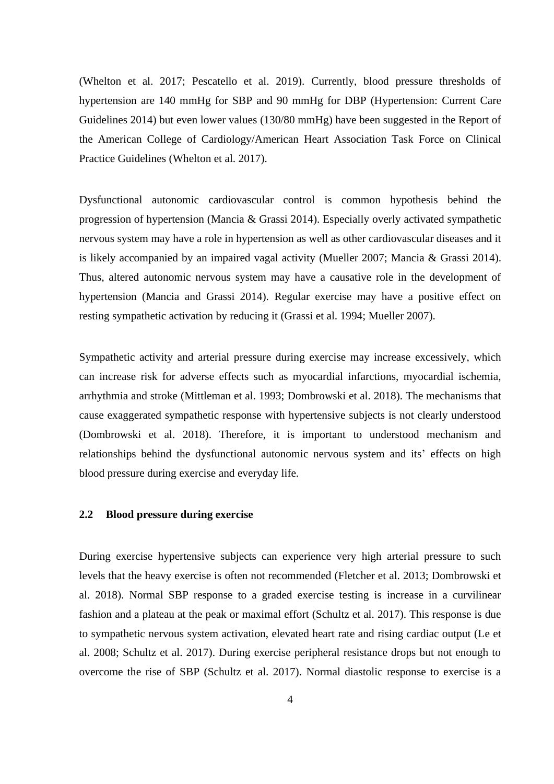(Whelton et al. 2017; Pescatello et al. 2019). Currently, blood pressure thresholds of hypertension are 140 mmHg for SBP and 90 mmHg for DBP (Hypertension: Current Care Guidelines 2014) but even lower values (130/80 mmHg) have been suggested in the Report of the American College of Cardiology/American Heart Association Task Force on Clinical Practice Guidelines (Whelton et al. 2017).

Dysfunctional autonomic cardiovascular control is common hypothesis behind the progression of hypertension (Mancia & Grassi 2014). Especially overly activated sympathetic nervous system may have a role in hypertension as well as other cardiovascular diseases and it is likely accompanied by an impaired vagal activity (Mueller 2007; Mancia & Grassi 2014). Thus, altered autonomic nervous system may have a causative role in the development of hypertension (Mancia and Grassi 2014). Regular exercise may have a positive effect on resting sympathetic activation by reducing it (Grassi et al. 1994; Mueller 2007).

Sympathetic activity and arterial pressure during exercise may increase excessively, which can increase risk for adverse effects such as myocardial infarctions, myocardial ischemia, arrhythmia and stroke (Mittleman et al. 1993; Dombrowski et al. 2018). The mechanisms that cause exaggerated sympathetic response with hypertensive subjects is not clearly understood (Dombrowski et al. 2018). Therefore, it is important to understood mechanism and relationships behind the dysfunctional autonomic nervous system and its' effects on high blood pressure during exercise and everyday life.

## **2.2 Blood pressure during exercise**

During exercise hypertensive subjects can experience very high arterial pressure to such levels that the heavy exercise is often not recommended (Fletcher et al. 2013; Dombrowski et al. 2018). Normal SBP response to a graded exercise testing is increase in a curvilinear fashion and a plateau at the peak or maximal effort (Schultz et al. 2017). This response is due to sympathetic nervous system activation, elevated heart rate and rising cardiac output (Le et al. 2008; Schultz et al. 2017). During exercise peripheral resistance drops but not enough to overcome the rise of SBP (Schultz et al. 2017). Normal diastolic response to exercise is a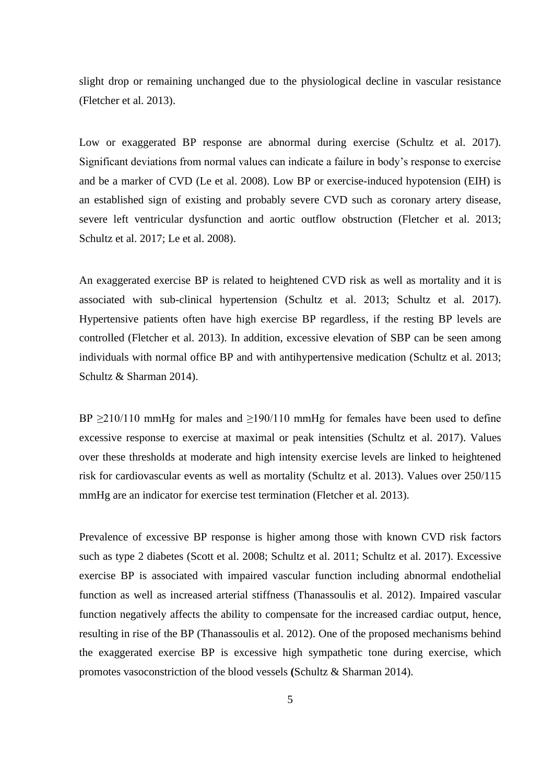slight drop or remaining unchanged due to the physiological decline in vascular resistance (Fletcher et al. 2013).

Low or exaggerated BP response are abnormal during exercise (Schultz et al. 2017). Significant deviations from normal values can indicate a failure in body's response to exercise and be a marker of CVD (Le et al. 2008). Low BP or exercise-induced hypotension (EIH) is an established sign of existing and probably severe CVD such as coronary artery disease, severe left ventricular dysfunction and aortic outflow obstruction (Fletcher et al. 2013; Schultz et al. 2017; Le et al. 2008).

An exaggerated exercise BP is related to heightened CVD risk as well as mortality and it is associated with sub-clinical hypertension (Schultz et al. 2013; Schultz et al. 2017). Hypertensive patients often have high exercise BP regardless, if the resting BP levels are controlled (Fletcher et al. 2013). In addition, excessive elevation of SBP can be seen among individuals with normal office BP and with antihypertensive medication (Schultz et al. 2013; Schultz & Sharman 2014).

BP  $\geq$ 210/110 mmHg for males and  $\geq$ 190/110 mmHg for females have been used to define excessive response to exercise at maximal or peak intensities (Schultz et al. 2017). Values over these thresholds at moderate and high intensity exercise levels are linked to heightened risk for cardiovascular events as well as mortality (Schultz et al. 2013). Values over 250/115 mmHg are an indicator for exercise test termination (Fletcher et al. 2013).

Prevalence of excessive BP response is higher among those with known CVD risk factors such as type 2 diabetes (Scott et al. 2008; Schultz et al. 2011; Schultz et al. 2017). Excessive exercise BP is associated with impaired vascular function including abnormal endothelial function as well as increased arterial stiffness (Thanassoulis et al. 2012). Impaired vascular function negatively affects the ability to compensate for the increased cardiac output, hence, resulting in rise of the BP (Thanassoulis et al. 2012). One of the proposed mechanisms behind the exaggerated exercise BP is excessive high sympathetic tone during exercise, which promotes vasoconstriction of the blood vessels **(**Schultz & Sharman 2014).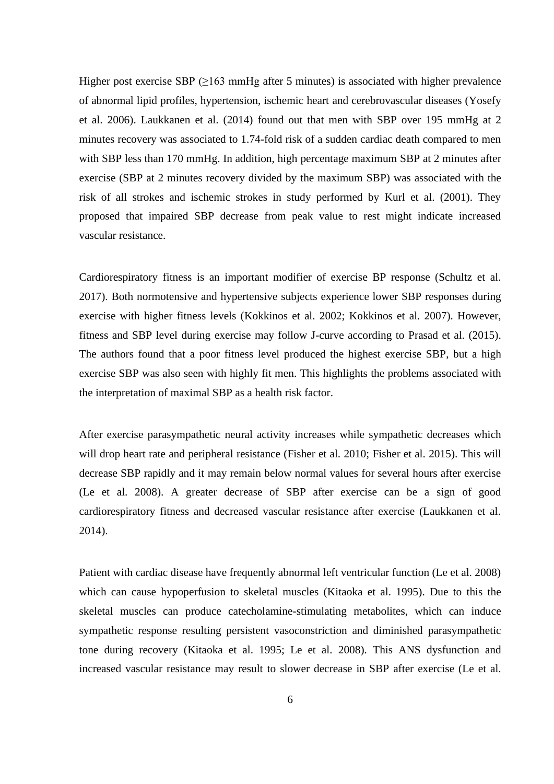Higher post exercise SBP  $(≥163 \text{ mmHg after } 5 \text{ minutes})$  is associated with higher prevalence of abnormal lipid profiles, hypertension, ischemic heart and cerebrovascular diseases (Yosefy et al. 2006). Laukkanen et al. (2014) found out that men with SBP over 195 mmHg at 2 minutes recovery was associated to 1.74-fold risk of a sudden cardiac death compared to men with SBP less than 170 mmHg. In addition, high percentage maximum SBP at 2 minutes after exercise (SBP at 2 minutes recovery divided by the maximum SBP) was associated with the risk of all strokes and ischemic strokes in study performed by Kurl et al. (2001). They proposed that impaired SBP decrease from peak value to rest might indicate increased vascular resistance.

Cardiorespiratory fitness is an important modifier of exercise BP response (Schultz et al. 2017). Both normotensive and hypertensive subjects experience lower SBP responses during exercise with higher fitness levels (Kokkinos et al. 2002; Kokkinos et al. 2007). However, fitness and SBP level during exercise may follow J-curve according to Prasad et al. (2015). The authors found that a poor fitness level produced the highest exercise SBP, but a high exercise SBP was also seen with highly fit men. This highlights the problems associated with the interpretation of maximal SBP as a health risk factor.

After exercise parasympathetic neural activity increases while sympathetic decreases which will drop heart rate and peripheral resistance (Fisher et al. 2010; Fisher et al. 2015). This will decrease SBP rapidly and it may remain below normal values for several hours after exercise (Le et al. 2008). A greater decrease of SBP after exercise can be a sign of good cardiorespiratory fitness and decreased vascular resistance after exercise (Laukkanen et al. 2014).

Patient with cardiac disease have frequently abnormal left ventricular function (Le et al. 2008) which can cause hypoperfusion to skeletal muscles (Kitaoka et al. 1995). Due to this the skeletal muscles can produce catecholamine-stimulating metabolites, which can induce sympathetic response resulting persistent vasoconstriction and diminished parasympathetic tone during recovery (Kitaoka et al. 1995; Le et al. 2008). This ANS dysfunction and increased vascular resistance may result to slower decrease in SBP after exercise (Le et al.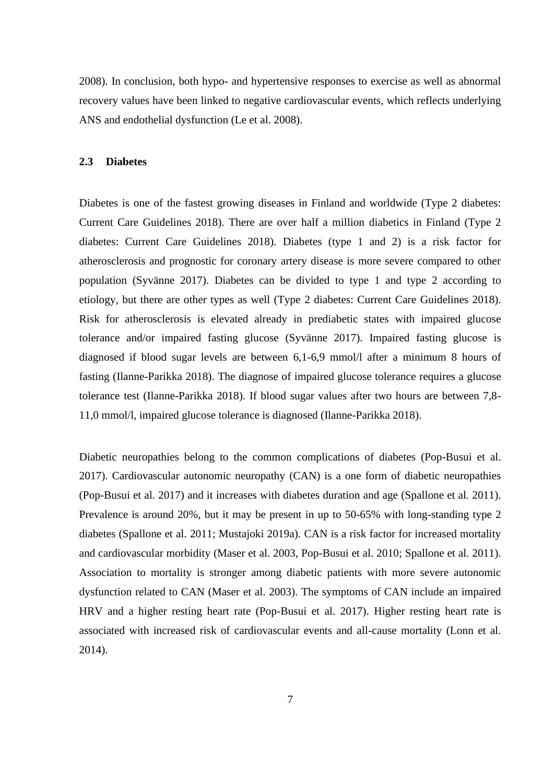2008). In conclusion, both hypo- and hypertensive responses to exercise as well as abnormal recovery values have been linked to negative cardiovascular events, which reflects underlying ANS and endothelial dysfunction (Le et al. 2008).

### **2.3 Diabetes**

Diabetes is one of the fastest growing diseases in Finland and worldwide (Type 2 diabetes: Current Care Guidelines 2018). There are over half a million diabetics in Finland (Type 2 diabetes: Current Care Guidelines 2018). Diabetes (type 1 and 2) is a risk factor for atherosclerosis and prognostic for coronary artery disease is more severe compared to other population (Syvänne 2017). Diabetes can be divided to type 1 and type 2 according to etiology, but there are other types as well (Type 2 diabetes: Current Care Guidelines 2018). Risk for atherosclerosis is elevated already in prediabetic states with impaired glucose tolerance and/or impaired fasting glucose (Syvänne 2017). Impaired fasting glucose is diagnosed if blood sugar levels are between 6,1-6,9 mmol/l after a minimum 8 hours of fasting (Ilanne-Parikka 2018). The diagnose of impaired glucose tolerance requires a glucose tolerance test (Ilanne-Parikka 2018). If blood sugar values after two hours are between 7,8- 11,0 mmol/l, impaired glucose tolerance is diagnosed (Ilanne-Parikka 2018).

Diabetic neuropathies belong to the common complications of diabetes (Pop-Busui et al. 2017). Cardiovascular autonomic neuropathy (CAN) is a one form of diabetic neuropathies (Pop-Busui et al. 2017) and it increases with diabetes duration and age (Spallone et al. 2011). Prevalence is around 20%, but it may be present in up to 50-65% with long-standing type 2 diabetes (Spallone et al. 2011; Mustajoki 2019a). CAN is a risk factor for increased mortality and cardiovascular morbidity (Maser et al. 2003, Pop-Busui et al. 2010; Spallone et al. 2011). Association to mortality is stronger among diabetic patients with more severe autonomic dysfunction related to CAN (Maser et al. 2003). The symptoms of CAN include an impaired HRV and a higher resting heart rate (Pop-Busui et al. 2017). Higher resting heart rate is associated with increased risk of cardiovascular events and all-cause mortality (Lonn et al. 2014).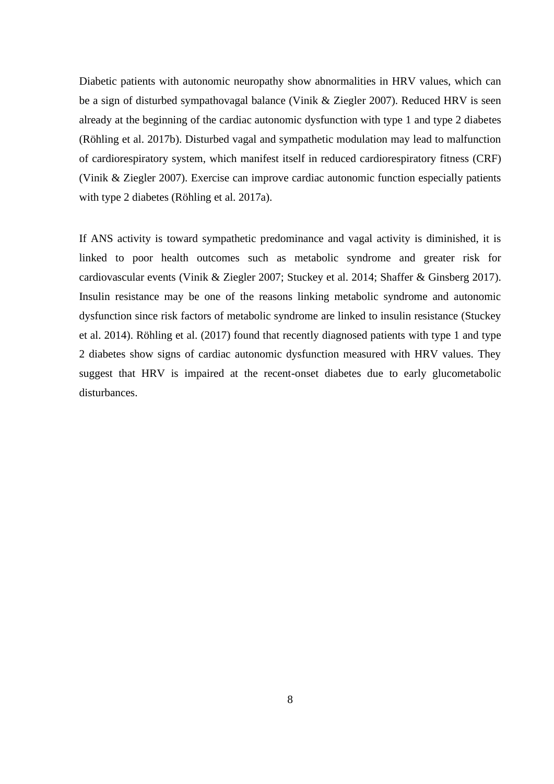Diabetic patients with autonomic neuropathy show abnormalities in HRV values, which can be a sign of disturbed sympathovagal balance (Vinik & Ziegler 2007). Reduced HRV is seen already at the beginning of the cardiac autonomic dysfunction with type 1 and type 2 diabetes (Röhling et al. 2017b). Disturbed vagal and sympathetic modulation may lead to malfunction of cardiorespiratory system, which manifest itself in reduced cardiorespiratory fitness (CRF) (Vinik & Ziegler 2007). Exercise can improve cardiac autonomic function especially patients with type 2 diabetes (Röhling et al. 2017a).

If ANS activity is toward sympathetic predominance and vagal activity is diminished, it is linked to poor health outcomes such as metabolic syndrome and greater risk for cardiovascular events (Vinik & Ziegler 2007; Stuckey et al. 2014; Shaffer & Ginsberg 2017). Insulin resistance may be one of the reasons linking metabolic syndrome and autonomic dysfunction since risk factors of metabolic syndrome are linked to insulin resistance (Stuckey et al. 2014). Röhling et al. (2017) found that recently diagnosed patients with type 1 and type 2 diabetes show signs of cardiac autonomic dysfunction measured with HRV values. They suggest that HRV is impaired at the recent-onset diabetes due to early glucometabolic disturbances.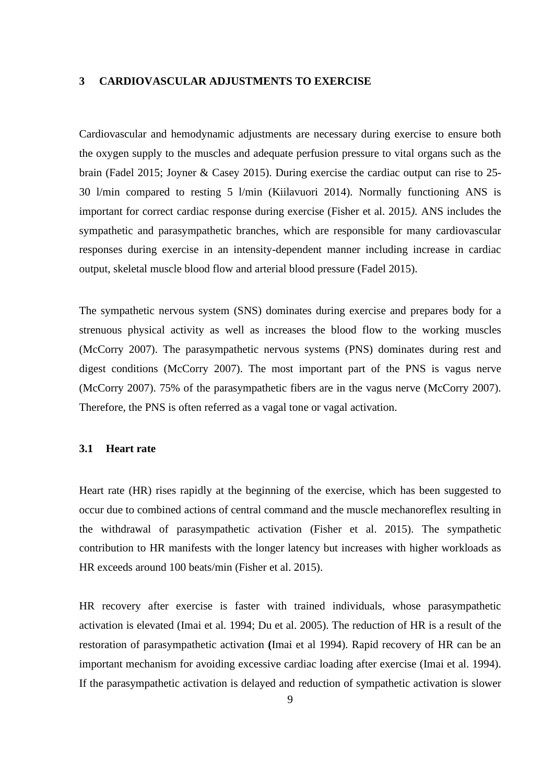#### **3 CARDIOVASCULAR ADJUSTMENTS TO EXERCISE**

Cardiovascular and hemodynamic adjustments are necessary during exercise to ensure both the oxygen supply to the muscles and adequate perfusion pressure to vital organs such as the brain (Fadel 2015; Joyner & Casey 2015). During exercise the cardiac output can rise to 25- 30 l/min compared to resting 5 l/min (Kiilavuori 2014). Normally functioning ANS is important for correct cardiac response during exercise (Fisher et al. 2015*).* ANS includes the sympathetic and parasympathetic branches, which are responsible for many cardiovascular responses during exercise in an intensity-dependent manner including increase in cardiac output, skeletal muscle blood flow and arterial blood pressure (Fadel 2015).

The sympathetic nervous system (SNS) dominates during exercise and prepares body for a strenuous physical activity as well as increases the blood flow to the working muscles (McCorry 2007). The parasympathetic nervous systems (PNS) dominates during rest and digest conditions (McCorry 2007). The most important part of the PNS is vagus nerve (McCorry 2007). 75% of the parasympathetic fibers are in the vagus nerve (McCorry 2007). Therefore, the PNS is often referred as a vagal tone or vagal activation.

#### **3.1 Heart rate**

Heart rate (HR) rises rapidly at the beginning of the exercise, which has been suggested to occur due to combined actions of central command and the muscle mechanoreflex resulting in the withdrawal of parasympathetic activation (Fisher et al. 2015). The sympathetic contribution to HR manifests with the longer latency but increases with higher workloads as HR exceeds around 100 beats/min (Fisher et al. 2015).

HR recovery after exercise is faster with trained individuals, whose parasympathetic activation is elevated (Imai et al. 1994; Du et al. 2005). The reduction of HR is a result of the restoration of parasympathetic activation **(**Imai et al 1994). Rapid recovery of HR can be an important mechanism for avoiding excessive cardiac loading after exercise (Imai et al. 1994). If the parasympathetic activation is delayed and reduction of sympathetic activation is slower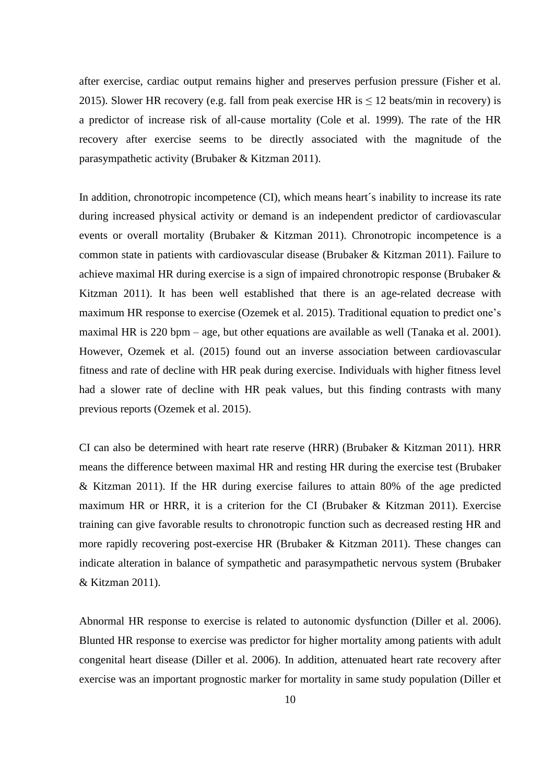after exercise, cardiac output remains higher and preserves perfusion pressure (Fisher et al. 2015). Slower HR recovery (e.g. fall from peak exercise HR is  $\leq$  12 beats/min in recovery) is a predictor of increase risk of all-cause mortality (Cole et al. 1999). The rate of the HR recovery after exercise seems to be directly associated with the magnitude of the parasympathetic activity (Brubaker & Kitzman 2011).

In addition, chronotropic incompetence (CI), which means heart´s inability to increase its rate during increased physical activity or demand is an independent predictor of cardiovascular events or overall mortality (Brubaker & Kitzman 2011). Chronotropic incompetence is a common state in patients with cardiovascular disease (Brubaker & Kitzman 2011). Failure to achieve maximal HR during exercise is a sign of impaired chronotropic response (Brubaker & Kitzman 2011). It has been well established that there is an age-related decrease with maximum HR response to exercise (Ozemek et al. 2015). Traditional equation to predict one's maximal HR is 220 bpm – age, but other equations are available as well (Tanaka et al. 2001). However, Ozemek et al. (2015) found out an inverse association between cardiovascular fitness and rate of decline with HR peak during exercise. Individuals with higher fitness level had a slower rate of decline with HR peak values, but this finding contrasts with many previous reports (Ozemek et al. 2015).

CI can also be determined with heart rate reserve (HRR) (Brubaker & Kitzman 2011). HRR means the difference between maximal HR and resting HR during the exercise test (Brubaker & Kitzman 2011). If the HR during exercise failures to attain 80% of the age predicted maximum HR or HRR, it is a criterion for the CI (Brubaker & Kitzman 2011). Exercise training can give favorable results to chronotropic function such as decreased resting HR and more rapidly recovering post-exercise HR (Brubaker & Kitzman 2011). These changes can indicate alteration in balance of sympathetic and parasympathetic nervous system (Brubaker & Kitzman 2011).

Abnormal HR response to exercise is related to autonomic dysfunction (Diller et al. 2006). Blunted HR response to exercise was predictor for higher mortality among patients with adult congenital heart disease (Diller et al. 2006). In addition, attenuated heart rate recovery after exercise was an important prognostic marker for mortality in same study population (Diller et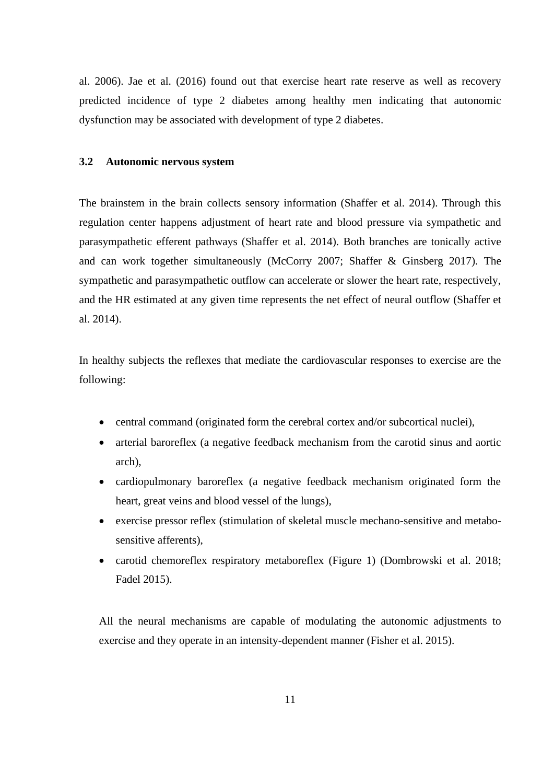al. 2006). Jae et al. (2016) found out that exercise heart rate reserve as well as recovery predicted incidence of type 2 diabetes among healthy men indicating that autonomic dysfunction may be associated with development of type 2 diabetes.

### **3.2 Autonomic nervous system**

The brainstem in the brain collects sensory information (Shaffer et al. 2014). Through this regulation center happens adjustment of heart rate and blood pressure via sympathetic and parasympathetic efferent pathways (Shaffer et al. 2014). Both branches are tonically active and can work together simultaneously (McCorry 2007; Shaffer & Ginsberg 2017). The sympathetic and parasympathetic outflow can accelerate or slower the heart rate, respectively, and the HR estimated at any given time represents the net effect of neural outflow (Shaffer et al. 2014).

In healthy subjects the reflexes that mediate the cardiovascular responses to exercise are the following:

- central command (originated form the cerebral cortex and/or subcortical nuclei),
- arterial baroreflex (a negative feedback mechanism from the carotid sinus and aortic arch),
- cardiopulmonary baroreflex (a negative feedback mechanism originated form the heart, great veins and blood vessel of the lungs),
- exercise pressor reflex (stimulation of skeletal muscle mechano-sensitive and metabosensitive afferents),
- carotid chemoreflex respiratory metaboreflex (Figure 1) (Dombrowski et al. 2018; Fadel 2015).

All the neural mechanisms are capable of modulating the autonomic adjustments to exercise and they operate in an intensity-dependent manner (Fisher et al. 2015).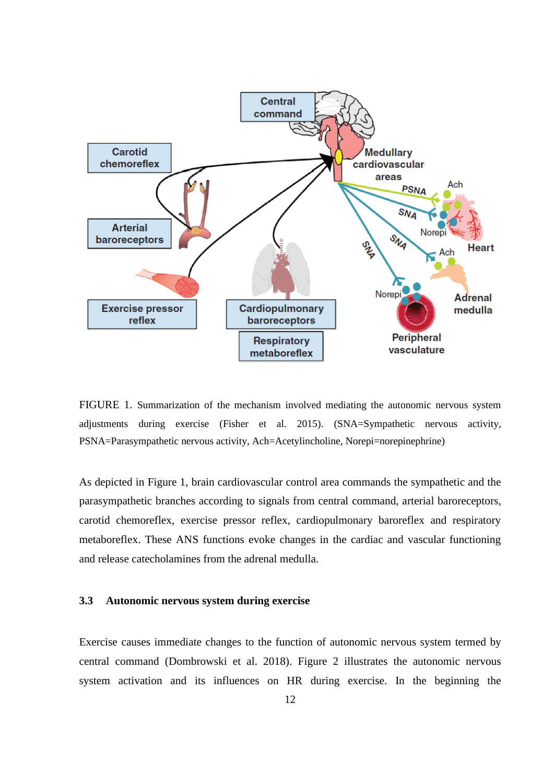

FIGURE 1. Summarization of the mechanism involved mediating the autonomic nervous system adjustments during exercise (Fisher et al. 2015). (SNA=Sympathetic nervous activity, PSNA=Parasympathetic nervous activity, Ach=Acetylincholine, Norepi=norepinephrine)

As depicted in Figure 1, brain cardiovascular control area commands the sympathetic and the parasympathetic branches according to signals from central command, arterial baroreceptors, carotid chemoreflex, exercise pressor reflex, cardiopulmonary baroreflex and respiratory metaboreflex. These ANS functions evoke changes in the cardiac and vascular functioning and release catecholamines from the adrenal medulla.

## **3.3 Autonomic nervous system during exercise**

Exercise causes immediate changes to the function of autonomic nervous system termed by central command (Dombrowski et al. 2018). Figure 2 illustrates the autonomic nervous system activation and its influences on HR during exercise. In the beginning the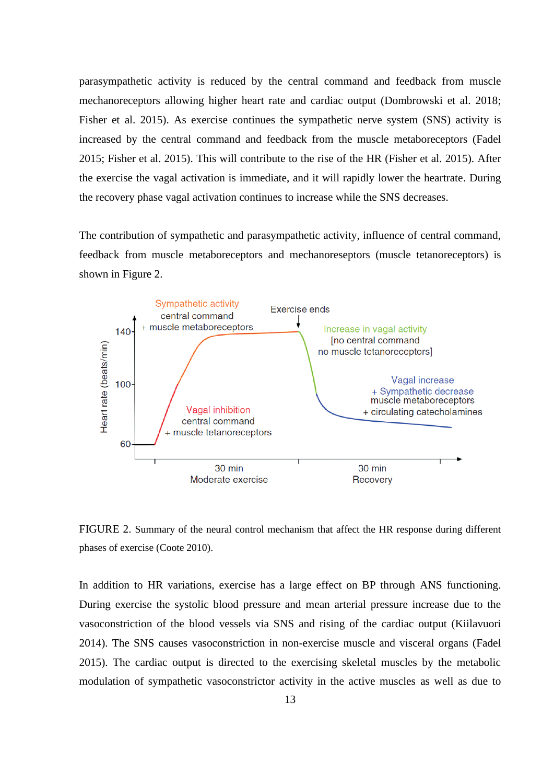parasympathetic activity is reduced by the central command and feedback from muscle mechanoreceptors allowing higher heart rate and cardiac output (Dombrowski et al. 2018; Fisher et al. 2015). As exercise continues the sympathetic nerve system (SNS) activity is increased by the central command and feedback from the muscle metaboreceptors (Fadel 2015; Fisher et al. 2015). This will contribute to the rise of the HR (Fisher et al. 2015). After the exercise the vagal activation is immediate, and it will rapidly lower the heartrate. During the recovery phase vagal activation continues to increase while the SNS decreases.

The contribution of sympathetic and parasympathetic activity, influence of central command, feedback from muscle metaboreceptors and mechanoreseptors (muscle tetanoreceptors) is shown in Figure 2.



FIGURE 2. Summary of the neural control mechanism that affect the HR response during different phases of exercise (Coote 2010).

In addition to HR variations, exercise has a large effect on BP through ANS functioning. During exercise the systolic blood pressure and mean arterial pressure increase due to the vasoconstriction of the blood vessels via SNS and rising of the cardiac output (Kiilavuori 2014). The SNS causes vasoconstriction in non-exercise muscle and visceral organs (Fadel 2015). The cardiac output is directed to the exercising skeletal muscles by the metabolic modulation of sympathetic vasoconstrictor activity in the active muscles as well as due to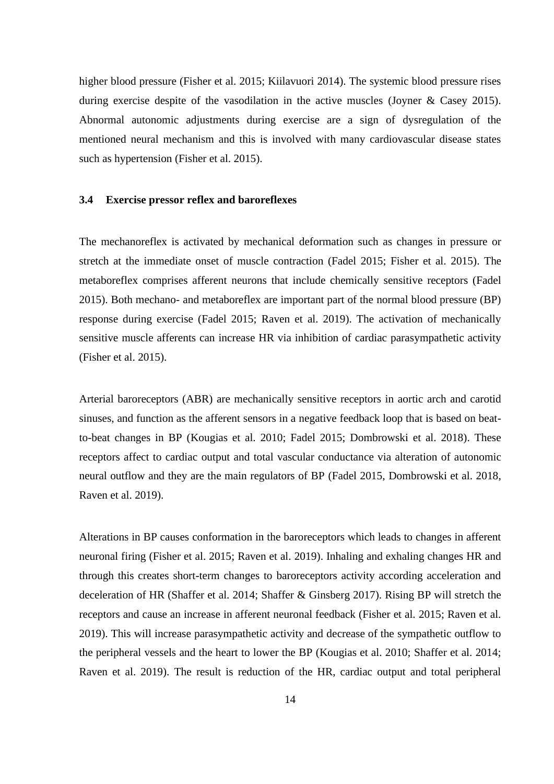higher blood pressure (Fisher et al. 2015; Kiilavuori 2014). The systemic blood pressure rises during exercise despite of the vasodilation in the active muscles (Joyner & Casey 2015). Abnormal autonomic adjustments during exercise are a sign of dysregulation of the mentioned neural mechanism and this is involved with many cardiovascular disease states such as hypertension (Fisher et al. 2015).

### **3.4 Exercise pressor reflex and baroreflexes**

The mechanoreflex is activated by mechanical deformation such as changes in pressure or stretch at the immediate onset of muscle contraction (Fadel 2015; Fisher et al. 2015). The metaboreflex comprises afferent neurons that include chemically sensitive receptors (Fadel 2015). Both mechano- and metaboreflex are important part of the normal blood pressure (BP) response during exercise (Fadel 2015; Raven et al. 2019). The activation of mechanically sensitive muscle afferents can increase HR via inhibition of cardiac parasympathetic activity (Fisher et al. 2015).

Arterial baroreceptors (ABR) are mechanically sensitive receptors in aortic arch and carotid sinuses, and function as the afferent sensors in a negative feedback loop that is based on beatto-beat changes in BP (Kougias et al. 2010; Fadel 2015; Dombrowski et al. 2018). These receptors affect to cardiac output and total vascular conductance via alteration of autonomic neural outflow and they are the main regulators of BP (Fadel 2015, Dombrowski et al. 2018, Raven et al. 2019).

Alterations in BP causes conformation in the baroreceptors which leads to changes in afferent neuronal firing (Fisher et al. 2015; Raven et al. 2019). Inhaling and exhaling changes HR and through this creates short-term changes to baroreceptors activity according acceleration and deceleration of HR (Shaffer et al. 2014; Shaffer & Ginsberg 2017). Rising BP will stretch the receptors and cause an increase in afferent neuronal feedback (Fisher et al. 2015; Raven et al. 2019). This will increase parasympathetic activity and decrease of the sympathetic outflow to the peripheral vessels and the heart to lower the BP (Kougias et al. 2010; Shaffer et al. 2014; Raven et al. 2019). The result is reduction of the HR, cardiac output and total peripheral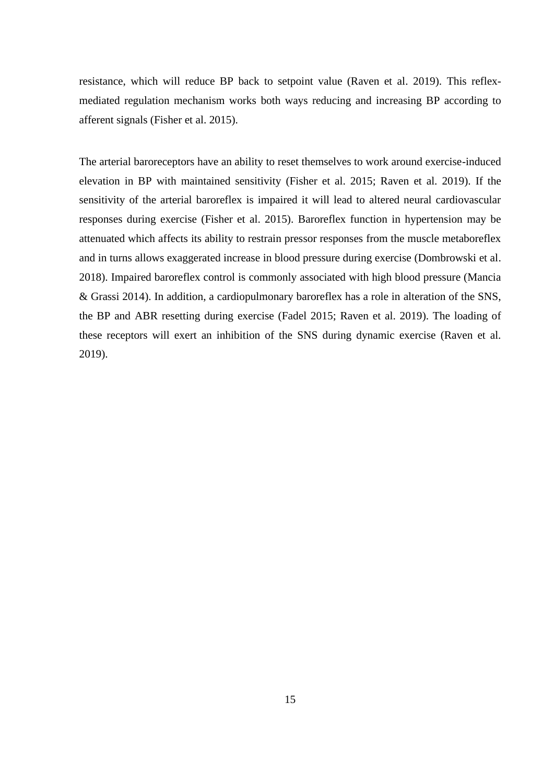resistance, which will reduce BP back to setpoint value (Raven et al. 2019). This reflexmediated regulation mechanism works both ways reducing and increasing BP according to afferent signals (Fisher et al. 2015).

The arterial baroreceptors have an ability to reset themselves to work around exercise-induced elevation in BP with maintained sensitivity (Fisher et al. 2015; Raven et al. 2019). If the sensitivity of the arterial baroreflex is impaired it will lead to altered neural cardiovascular responses during exercise (Fisher et al. 2015). Baroreflex function in hypertension may be attenuated which affects its ability to restrain pressor responses from the muscle metaboreflex and in turns allows exaggerated increase in blood pressure during exercise (Dombrowski et al. 2018). Impaired baroreflex control is commonly associated with high blood pressure (Mancia & Grassi 2014). In addition, a cardiopulmonary baroreflex has a role in alteration of the SNS, the BP and ABR resetting during exercise (Fadel 2015; Raven et al. 2019). The loading of these receptors will exert an inhibition of the SNS during dynamic exercise (Raven et al. 2019).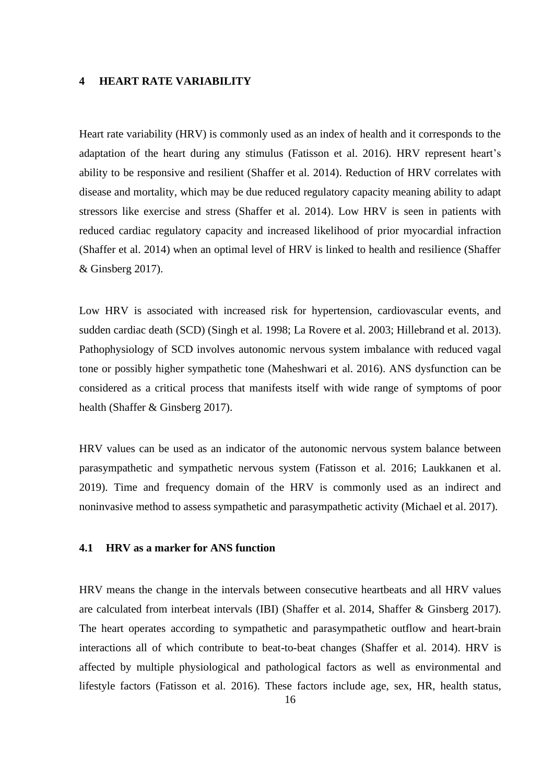#### **4 HEART RATE VARIABILITY**

Heart rate variability (HRV) is commonly used as an index of health and it corresponds to the adaptation of the heart during any stimulus (Fatisson et al. 2016). HRV represent heart's ability to be responsive and resilient (Shaffer et al. 2014). Reduction of HRV correlates with disease and mortality, which may be due reduced regulatory capacity meaning ability to adapt stressors like exercise and stress (Shaffer et al. 2014). Low HRV is seen in patients with reduced cardiac regulatory capacity and increased likelihood of prior myocardial infraction (Shaffer et al. 2014) when an optimal level of HRV is linked to health and resilience (Shaffer & Ginsberg 2017).

Low HRV is associated with increased risk for hypertension, cardiovascular events, and sudden cardiac death (SCD) (Singh et al. 1998; La Rovere et al. 2003; Hillebrand et al. 2013). Pathophysiology of SCD involves autonomic nervous system imbalance with reduced vagal tone or possibly higher sympathetic tone (Maheshwari et al. 2016). ANS dysfunction can be considered as a critical process that manifests itself with wide range of symptoms of poor health (Shaffer & Ginsberg 2017).

HRV values can be used as an indicator of the autonomic nervous system balance between parasympathetic and sympathetic nervous system (Fatisson et al. 2016; Laukkanen et al. 2019). Time and frequency domain of the HRV is commonly used as an indirect and noninvasive method to assess sympathetic and parasympathetic activity (Michael et al. 2017).

## **4.1 HRV as a marker for ANS function**

HRV means the change in the intervals between consecutive heartbeats and all HRV values are calculated from interbeat intervals (IBI) (Shaffer et al. 2014, Shaffer & Ginsberg 2017). The heart operates according to sympathetic and parasympathetic outflow and heart-brain interactions all of which contribute to beat-to-beat changes (Shaffer et al. 2014). HRV is affected by multiple physiological and pathological factors as well as environmental and lifestyle factors (Fatisson et al. 2016). These factors include age, sex, HR, health status,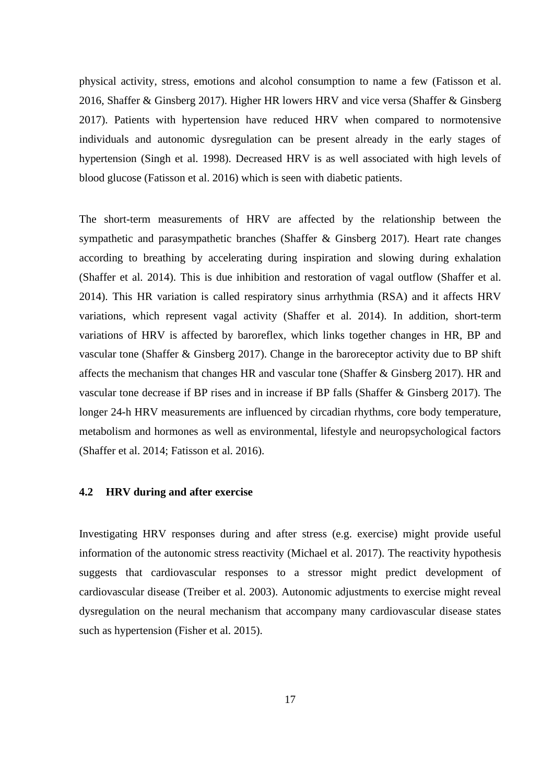physical activity, stress, emotions and alcohol consumption to name a few (Fatisson et al. 2016, Shaffer & Ginsberg 2017). Higher HR lowers HRV and vice versa (Shaffer & Ginsberg 2017). Patients with hypertension have reduced HRV when compared to normotensive individuals and autonomic dysregulation can be present already in the early stages of hypertension (Singh et al. 1998). Decreased HRV is as well associated with high levels of blood glucose (Fatisson et al. 2016) which is seen with diabetic patients.

The short-term measurements of HRV are affected by the relationship between the sympathetic and parasympathetic branches (Shaffer & Ginsberg 2017). Heart rate changes according to breathing by accelerating during inspiration and slowing during exhalation (Shaffer et al. 2014). This is due inhibition and restoration of vagal outflow (Shaffer et al. 2014). This HR variation is called respiratory sinus arrhythmia (RSA) and it affects HRV variations, which represent vagal activity (Shaffer et al. 2014). In addition, short-term variations of HRV is affected by baroreflex, which links together changes in HR, BP and vascular tone (Shaffer & Ginsberg 2017). Change in the baroreceptor activity due to BP shift affects the mechanism that changes HR and vascular tone (Shaffer & Ginsberg 2017). HR and vascular tone decrease if BP rises and in increase if BP falls (Shaffer & Ginsberg 2017). The longer 24-h HRV measurements are influenced by circadian rhythms, core body temperature, metabolism and hormones as well as environmental, lifestyle and neuropsychological factors (Shaffer et al. 2014; Fatisson et al. 2016).

#### **4.2 HRV during and after exercise**

Investigating HRV responses during and after stress (e.g. exercise) might provide useful information of the autonomic stress reactivity (Michael et al. 2017). The reactivity hypothesis suggests that cardiovascular responses to a stressor might predict development of cardiovascular disease (Treiber et al. 2003). Autonomic adjustments to exercise might reveal dysregulation on the neural mechanism that accompany many cardiovascular disease states such as hypertension (Fisher et al. 2015).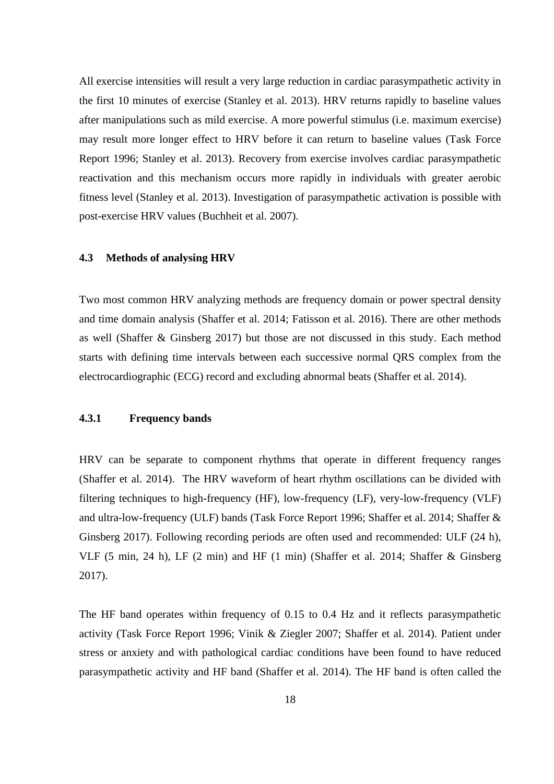All exercise intensities will result a very large reduction in cardiac parasympathetic activity in the first 10 minutes of exercise (Stanley et al. 2013). HRV returns rapidly to baseline values after manipulations such as mild exercise. A more powerful stimulus (i.e. maximum exercise) may result more longer effect to HRV before it can return to baseline values (Task Force Report 1996; Stanley et al. 2013). Recovery from exercise involves cardiac parasympathetic reactivation and this mechanism occurs more rapidly in individuals with greater aerobic fitness level (Stanley et al. 2013). Investigation of parasympathetic activation is possible with post-exercise HRV values (Buchheit et al. 2007).

#### **4.3 Methods of analysing HRV**

Two most common HRV analyzing methods are frequency domain or power spectral density and time domain analysis (Shaffer et al. 2014; Fatisson et al. 2016). There are other methods as well (Shaffer & Ginsberg 2017) but those are not discussed in this study. Each method starts with defining time intervals between each successive normal QRS complex from the electrocardiographic (ECG) record and excluding abnormal beats (Shaffer et al. 2014).

## **4.3.1 Frequency bands**

HRV can be separate to component rhythms that operate in different frequency ranges (Shaffer et al. 2014). The HRV waveform of heart rhythm oscillations can be divided with filtering techniques to high-frequency (HF), low-frequency (LF), very-low-frequency (VLF) and ultra-low-frequency (ULF) bands (Task Force Report 1996; Shaffer et al. 2014; Shaffer & Ginsberg 2017). Following recording periods are often used and recommended: ULF (24 h), VLF (5 min, 24 h), LF (2 min) and HF (1 min) (Shaffer et al. 2014; Shaffer & Ginsberg 2017).

The HF band operates within frequency of 0.15 to 0.4 Hz and it reflects parasympathetic activity (Task Force Report 1996; Vinik & Ziegler 2007; Shaffer et al. 2014). Patient under stress or anxiety and with pathological cardiac conditions have been found to have reduced parasympathetic activity and HF band (Shaffer et al. 2014). The HF band is often called the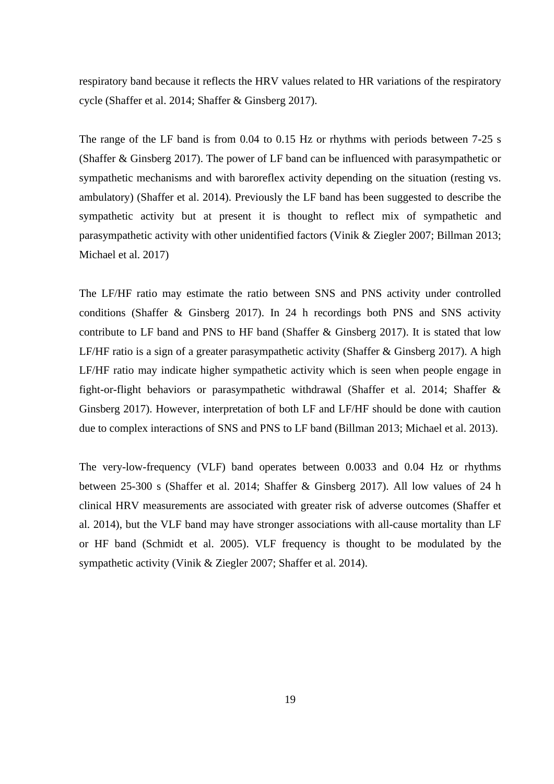respiratory band because it reflects the HRV values related to HR variations of the respiratory cycle (Shaffer et al. 2014; Shaffer & Ginsberg 2017).

The range of the LF band is from 0.04 to 0.15 Hz or rhythms with periods between 7-25 s (Shaffer & Ginsberg 2017). The power of LF band can be influenced with parasympathetic or sympathetic mechanisms and with baroreflex activity depending on the situation (resting vs. ambulatory) (Shaffer et al. 2014). Previously the LF band has been suggested to describe the sympathetic activity but at present it is thought to reflect mix of sympathetic and parasympathetic activity with other unidentified factors (Vinik & Ziegler 2007; Billman 2013; Michael et al. 2017)

The LF/HF ratio may estimate the ratio between SNS and PNS activity under controlled conditions (Shaffer & Ginsberg 2017). In 24 h recordings both PNS and SNS activity contribute to LF band and PNS to HF band (Shaffer & Ginsberg 2017). It is stated that low LF/HF ratio is a sign of a greater parasympathetic activity (Shaffer & Ginsberg 2017). A high LF/HF ratio may indicate higher sympathetic activity which is seen when people engage in fight-or-flight behaviors or parasympathetic withdrawal (Shaffer et al. 2014; Shaffer & Ginsberg 2017). However, interpretation of both LF and LF/HF should be done with caution due to complex interactions of SNS and PNS to LF band (Billman 2013; Michael et al. 2013).

The very-low-frequency (VLF) band operates between 0.0033 and 0.04 Hz or rhythms between 25-300 s (Shaffer et al. 2014; Shaffer & Ginsberg 2017). All low values of 24 h clinical HRV measurements are associated with greater risk of adverse outcomes (Shaffer et al. 2014), but the VLF band may have stronger associations with all-cause mortality than LF or HF band (Schmidt et al. 2005). VLF frequency is thought to be modulated by the sympathetic activity (Vinik & Ziegler 2007; Shaffer et al. 2014).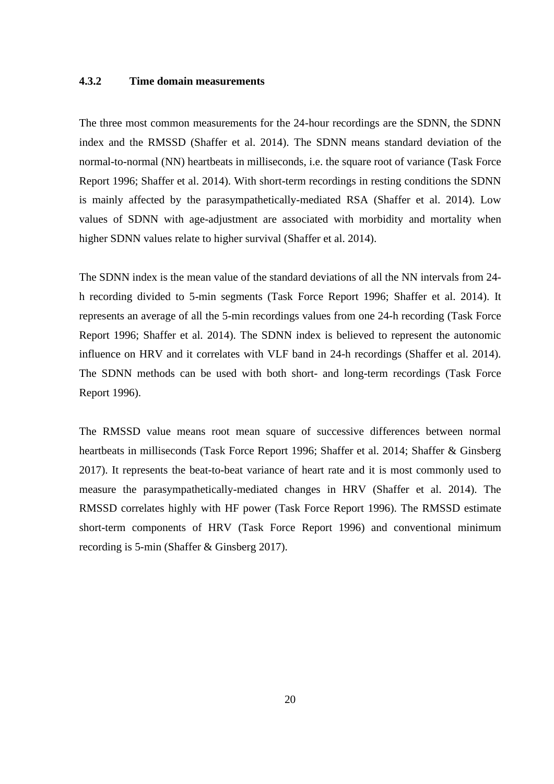## **4.3.2 Time domain measurements**

The three most common measurements for the 24-hour recordings are the SDNN, the SDNN index and the RMSSD (Shaffer et al. 2014). The SDNN means standard deviation of the normal-to-normal (NN) heartbeats in milliseconds, i.e. the square root of variance (Task Force Report 1996; Shaffer et al. 2014). With short-term recordings in resting conditions the SDNN is mainly affected by the parasympathetically-mediated RSA (Shaffer et al. 2014). Low values of SDNN with age-adjustment are associated with morbidity and mortality when higher SDNN values relate to higher survival (Shaffer et al. 2014).

The SDNN index is the mean value of the standard deviations of all the NN intervals from 24 h recording divided to 5-min segments (Task Force Report 1996; Shaffer et al. 2014). It represents an average of all the 5-min recordings values from one 24-h recording (Task Force Report 1996; Shaffer et al. 2014). The SDNN index is believed to represent the autonomic influence on HRV and it correlates with VLF band in 24-h recordings (Shaffer et al. 2014). The SDNN methods can be used with both short- and long-term recordings (Task Force Report 1996).

The RMSSD value means root mean square of successive differences between normal heartbeats in milliseconds (Task Force Report 1996; Shaffer et al. 2014; Shaffer & Ginsberg 2017). It represents the beat-to-beat variance of heart rate and it is most commonly used to measure the parasympathetically-mediated changes in HRV (Shaffer et al. 2014). The RMSSD correlates highly with HF power (Task Force Report 1996). The RMSSD estimate short-term components of HRV (Task Force Report 1996) and conventional minimum recording is 5-min (Shaffer & Ginsberg 2017).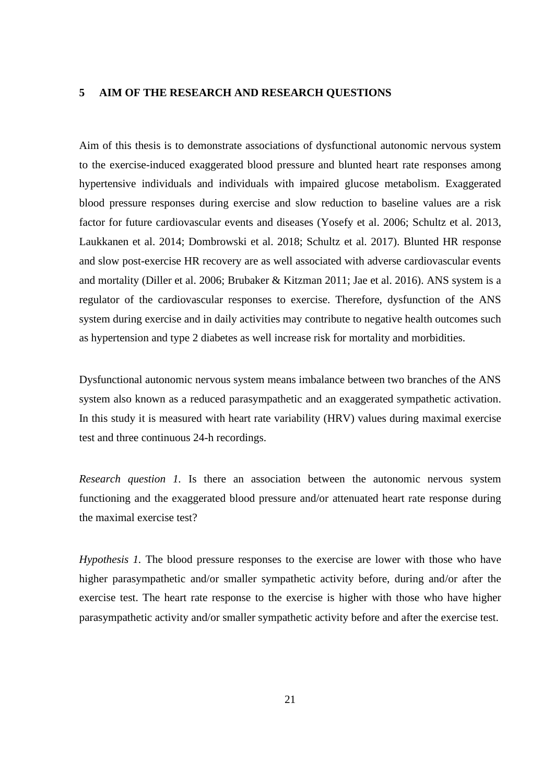#### **5 AIM OF THE RESEARCH AND RESEARCH QUESTIONS**

Aim of this thesis is to demonstrate associations of dysfunctional autonomic nervous system to the exercise-induced exaggerated blood pressure and blunted heart rate responses among hypertensive individuals and individuals with impaired glucose metabolism. Exaggerated blood pressure responses during exercise and slow reduction to baseline values are a risk factor for future cardiovascular events and diseases (Yosefy et al. 2006; Schultz et al. 2013, Laukkanen et al. 2014; Dombrowski et al. 2018; Schultz et al. 2017). Blunted HR response and slow post-exercise HR recovery are as well associated with adverse cardiovascular events and mortality (Diller et al. 2006; Brubaker & Kitzman 2011; Jae et al. 2016). ANS system is a regulator of the cardiovascular responses to exercise. Therefore, dysfunction of the ANS system during exercise and in daily activities may contribute to negative health outcomes such as hypertension and type 2 diabetes as well increase risk for mortality and morbidities.

Dysfunctional autonomic nervous system means imbalance between two branches of the ANS system also known as a reduced parasympathetic and an exaggerated sympathetic activation. In this study it is measured with heart rate variability (HRV) values during maximal exercise test and three continuous 24-h recordings.

*Research question 1.* Is there an association between the autonomic nervous system functioning and the exaggerated blood pressure and/or attenuated heart rate response during the maximal exercise test?

*Hypothesis 1.* The blood pressure responses to the exercise are lower with those who have higher parasympathetic and/or smaller sympathetic activity before, during and/or after the exercise test. The heart rate response to the exercise is higher with those who have higher parasympathetic activity and/or smaller sympathetic activity before and after the exercise test.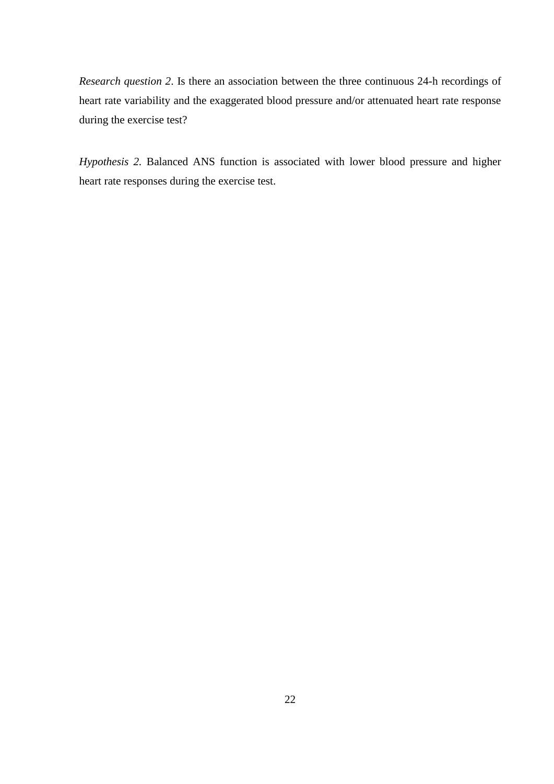*Research question 2*. Is there an association between the three continuous 24-h recordings of heart rate variability and the exaggerated blood pressure and/or attenuated heart rate response during the exercise test?

*Hypothesis 2.* Balanced ANS function is associated with lower blood pressure and higher heart rate responses during the exercise test.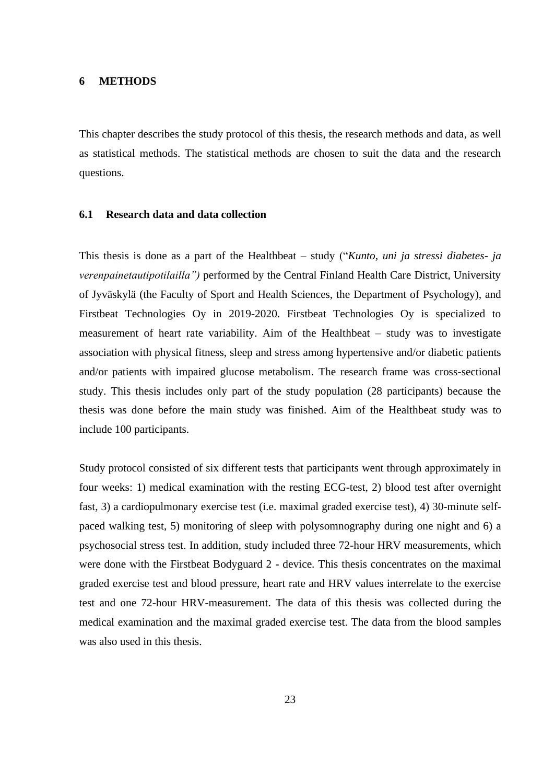#### **6 METHODS**

This chapter describes the study protocol of this thesis, the research methods and data, as well as statistical methods. The statistical methods are chosen to suit the data and the research questions.

## **6.1 Research data and data collection**

This thesis is done as a part of the Healthbeat – study ("*Kunto, uni ja stressi diabetes- ja verenpainetautipotilailla")* performed by the Central Finland Health Care District, University of Jyväskylä (the Faculty of Sport and Health Sciences, the Department of Psychology), and Firstbeat Technologies Oy in 2019-2020. Firstbeat Technologies Oy is specialized to measurement of heart rate variability. Aim of the Healthbeat – study was to investigate association with physical fitness, sleep and stress among hypertensive and/or diabetic patients and/or patients with impaired glucose metabolism. The research frame was cross-sectional study. This thesis includes only part of the study population (28 participants) because the thesis was done before the main study was finished. Aim of the Healthbeat study was to include 100 participants.

Study protocol consisted of six different tests that participants went through approximately in four weeks: 1) medical examination with the resting ECG-test, 2) blood test after overnight fast, 3) a cardiopulmonary exercise test (i.e. maximal graded exercise test), 4) 30-minute selfpaced walking test, 5) monitoring of sleep with polysomnography during one night and 6) a psychosocial stress test. In addition, study included three 72-hour HRV measurements, which were done with the Firstbeat Bodyguard 2 - device. This thesis concentrates on the maximal graded exercise test and blood pressure, heart rate and HRV values interrelate to the exercise test and one 72-hour HRV-measurement. The data of this thesis was collected during the medical examination and the maximal graded exercise test. The data from the blood samples was also used in this thesis.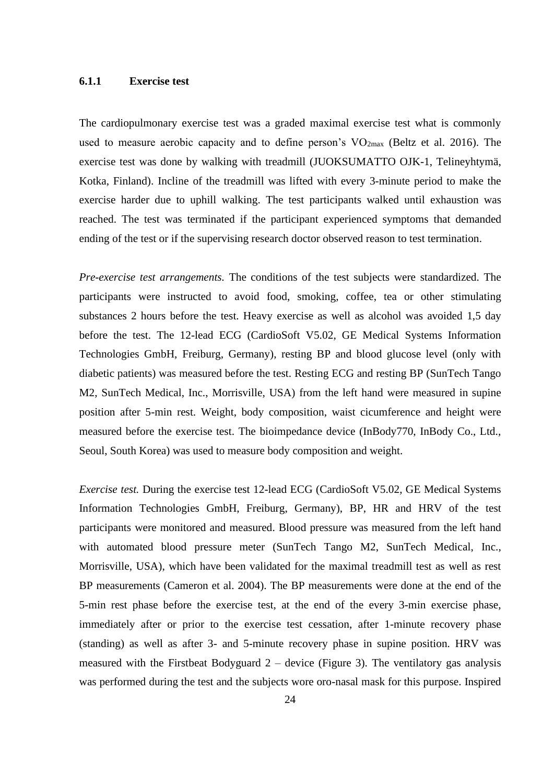#### **6.1.1 Exercise test**

The cardiopulmonary exercise test was a graded maximal exercise test what is commonly used to measure aerobic capacity and to define person's  $VO<sub>2max</sub>$  (Beltz et al. 2016). The exercise test was done by walking with treadmill (JUOKSUMATTO OJK-1, Telineyhtymä, Kotka, Finland). Incline of the treadmill was lifted with every 3-minute period to make the exercise harder due to uphill walking. The test participants walked until exhaustion was reached. The test was terminated if the participant experienced symptoms that demanded ending of the test or if the supervising research doctor observed reason to test termination.

*Pre-exercise test arrangements.* The conditions of the test subjects were standardized. The participants were instructed to avoid food, smoking, coffee, tea or other stimulating substances 2 hours before the test. Heavy exercise as well as alcohol was avoided 1,5 day before the test. The 12-lead ECG (CardioSoft V5.02, GE Medical Systems Information Technologies GmbH, Freiburg, Germany), resting BP and blood glucose level (only with diabetic patients) was measured before the test. Resting ECG and resting BP (SunTech Tango M2, SunTech Medical, Inc., Morrisville, USA) from the left hand were measured in supine position after 5-min rest. Weight, body composition, waist cicumference and height were measured before the exercise test. The bioimpedance device (InBody770, InBody Co., Ltd., Seoul, South Korea) was used to measure body composition and weight.

*Exercise test.* During the exercise test 12-lead ECG (CardioSoft V5.02, GE Medical Systems Information Technologies GmbH, Freiburg, Germany), BP, HR and HRV of the test participants were monitored and measured. Blood pressure was measured from the left hand with automated blood pressure meter (SunTech Tango M2, SunTech Medical, Inc., Morrisville, USA), which have been validated for the maximal treadmill test as well as rest BP measurements (Cameron et al. 2004). The BP measurements were done at the end of the 5-min rest phase before the exercise test, at the end of the every 3-min exercise phase, immediately after or prior to the exercise test cessation, after 1-minute recovery phase (standing) as well as after 3- and 5-minute recovery phase in supine position. HRV was measured with the Firstbeat Bodyguard  $2$  – device (Figure 3). The ventilatory gas analysis was performed during the test and the subjects wore oro-nasal mask for this purpose. Inspired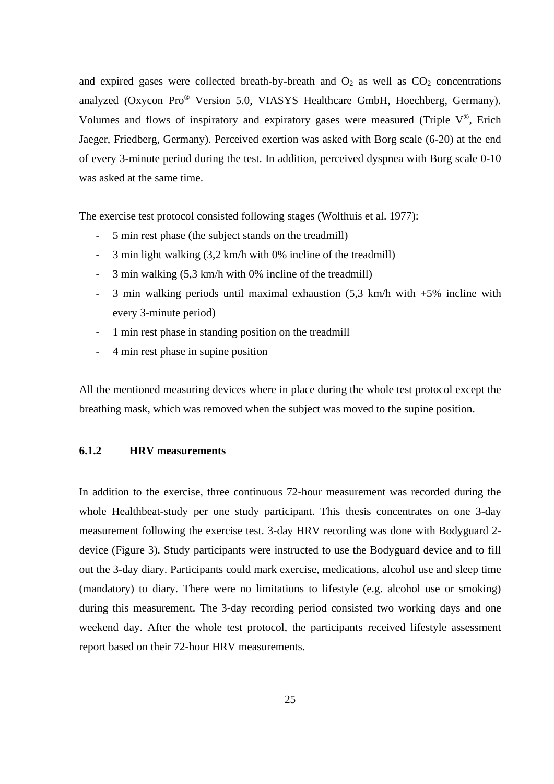and expired gases were collected breath-by-breath and  $O_2$  as well as  $CO_2$  concentrations analyzed (Oxycon Pro® Version 5.0, VIASYS Healthcare GmbH, Hoechberg, Germany). Volumes and flows of inspiratory and expiratory gases were measured (Triple  $V^{\circledast}$ , Erich Jaeger, Friedberg, Germany). Perceived exertion was asked with Borg scale (6-20) at the end of every 3-minute period during the test. In addition, perceived dyspnea with Borg scale 0-10 was asked at the same time.

The exercise test protocol consisted following stages (Wolthuis et al. 1977):

- 5 min rest phase (the subject stands on the treadmill)
- 3 min light walking (3,2 km/h with 0% incline of the treadmill)
- 3 min walking (5,3 km/h with 0% incline of the treadmill)
- 3 min walking periods until maximal exhaustion (5,3 km/h with +5% incline with every 3-minute period)
- 1 min rest phase in standing position on the treadmill
- 4 min rest phase in supine position

All the mentioned measuring devices where in place during the whole test protocol except the breathing mask, which was removed when the subject was moved to the supine position.

#### **6.1.2 HRV measurements**

In addition to the exercise, three continuous 72-hour measurement was recorded during the whole Healthbeat-study per one study participant. This thesis concentrates on one 3-day measurement following the exercise test. 3-day HRV recording was done with Bodyguard 2 device (Figure 3). Study participants were instructed to use the Bodyguard device and to fill out the 3-day diary. Participants could mark exercise, medications, alcohol use and sleep time (mandatory) to diary. There were no limitations to lifestyle (e.g. alcohol use or smoking) during this measurement. The 3-day recording period consisted two working days and one weekend day. After the whole test protocol, the participants received lifestyle assessment report based on their 72-hour HRV measurements.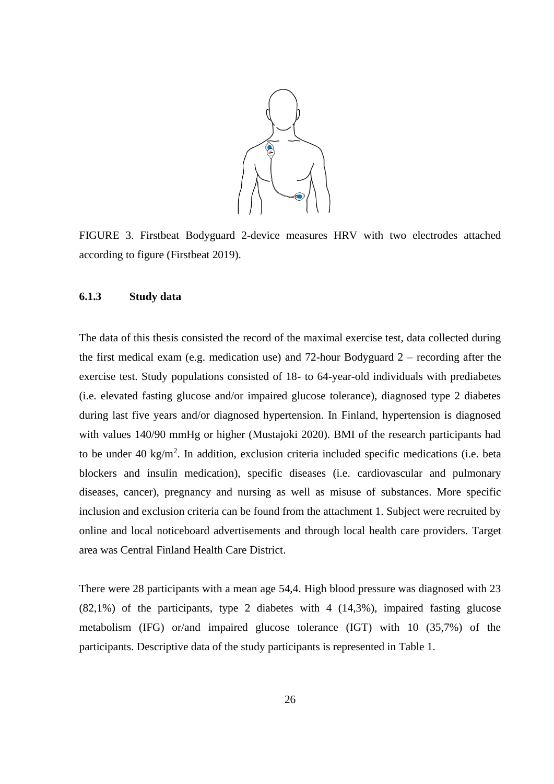

FIGURE 3. Firstbeat Bodyguard 2-device measures HRV with two electrodes attached according to figure (Firstbeat 2019).

#### **6.1.3 Study data**

The data of this thesis consisted the record of the maximal exercise test, data collected during the first medical exam (e.g. medication use) and 72-hour Bodyguard 2 – recording after the exercise test. Study populations consisted of 18- to 64-year-old individuals with prediabetes (i.e. elevated fasting glucose and/or impaired glucose tolerance), diagnosed type 2 diabetes during last five years and/or diagnosed hypertension. In Finland, hypertension is diagnosed with values 140/90 mmHg or higher (Mustajoki 2020). BMI of the research participants had to be under 40 kg/m<sup>2</sup>. In addition, exclusion criteria included specific medications (i.e. beta blockers and insulin medication), specific diseases (i.e. cardiovascular and pulmonary diseases, cancer), pregnancy and nursing as well as misuse of substances. More specific inclusion and exclusion criteria can be found from the attachment 1. Subject were recruited by online and local noticeboard advertisements and through local health care providers. Target area was Central Finland Health Care District.

There were 28 participants with a mean age 54,4. High blood pressure was diagnosed with 23 (82,1%) of the participants, type 2 diabetes with 4 (14,3%), impaired fasting glucose metabolism (IFG) or/and impaired glucose tolerance (IGT) with 10 (35,7%) of the participants. Descriptive data of the study participants is represented in Table 1.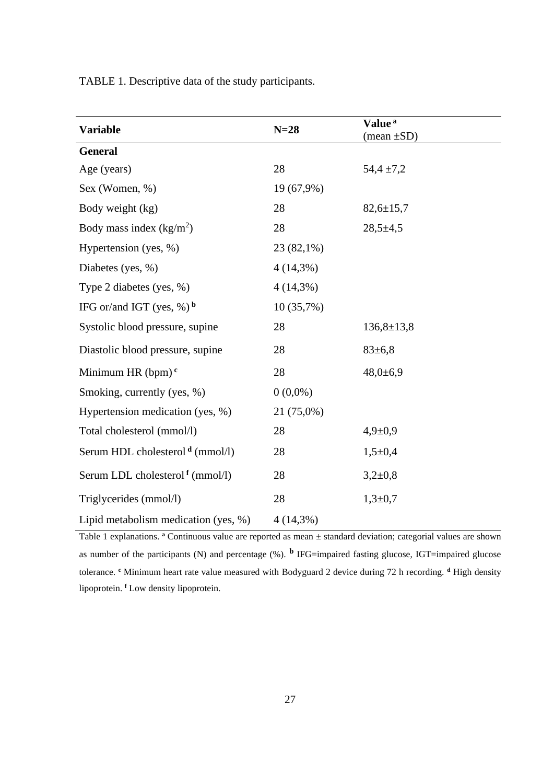TABLE 1. Descriptive data of the study participants.

| <b>Variable</b>                           | $N=28$      | Value <sup>a</sup><br>$(\text{mean} \pm SD)$ |
|-------------------------------------------|-------------|----------------------------------------------|
| <b>General</b>                            |             |                                              |
| Age (years)                               | 28          | $54,4 \pm 7,2$                               |
| Sex (Women, %)                            | 19 (67,9%)  |                                              |
| Body weight (kg)                          | 28          | $82,6 \pm 15,7$                              |
| Body mass index $(kg/m2)$                 | 28          | $28,5+4,5$                                   |
| Hypertension (yes, %)                     | 23 (82,1%)  |                                              |
| Diabetes (yes, %)                         | $4(14,3\%)$ |                                              |
| Type 2 diabetes (yes, $\%$ )              | $4(14,3\%)$ |                                              |
| IFG or/and IGT (yes, $\%$ ) $\frac{b}{c}$ | 10(35,7%)   |                                              |
| Systolic blood pressure, supine           | 28          | $136,8+13,8$                                 |
| Diastolic blood pressure, supine          | 28          | $83 \pm 6.8$                                 |
| Minimum HR $(bpm)^c$                      | 28          | $48,0{\pm}6,9$                               |
| Smoking, currently (yes, %)               | $0(0,0\%)$  |                                              |
| Hypertension medication (yes, %)          | 21 (75,0%)  |                                              |
| Total cholesterol (mmol/l)                | 28          | $4,9 \pm 0,9$                                |
| Serum HDL cholesterol $d$ (mmol/l)        | 28          | $1,5+0,4$                                    |
| Serum LDL cholesterol $f$ (mmol/l)        | 28          | $3,2\pm0,8$                                  |
| Triglycerides (mmol/l)                    | 28          | $1,3+0,7$                                    |
| Lipid metabolism medication (yes, %)      | $4(14,3\%)$ |                                              |

Table 1 explanations. <sup>a</sup> Continuous value are reported as mean  $\pm$  standard deviation; categorial values are shown as number of the participants (N) and percentage  $(\%)$ . **b** IFG=impaired fasting glucose, IGT=impaired glucose tolerance. **<sup>c</sup>** Minimum heart rate value measured with Bodyguard 2 device during 72 h recording. **<sup>d</sup>** High density lipoprotein. **<sup>f</sup>** Low density lipoprotein.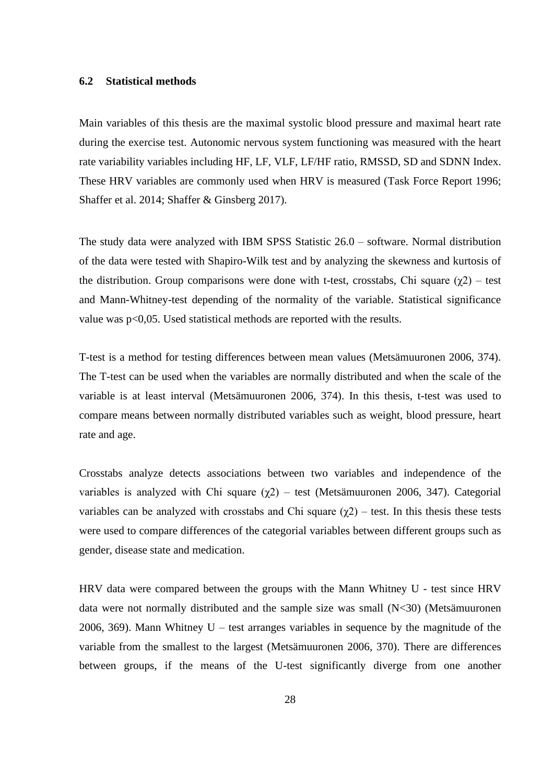#### **6.2 Statistical methods**

Main variables of this thesis are the maximal systolic blood pressure and maximal heart rate during the exercise test. Autonomic nervous system functioning was measured with the heart rate variability variables including HF, LF, VLF, LF/HF ratio, RMSSD, SD and SDNN Index. These HRV variables are commonly used when HRV is measured (Task Force Report 1996; Shaffer et al. 2014; Shaffer & Ginsberg 2017).

The study data were analyzed with IBM SPSS Statistic 26.0 – software. Normal distribution of the data were tested with Shapiro-Wilk test and by analyzing the skewness and kurtosis of the distribution. Group comparisons were done with t-test, crosstabs, Chi square  $(\gamma 2)$  – test and Mann-Whitney-test depending of the normality of the variable. Statistical significance value was p<0,05. Used statistical methods are reported with the results.

T-test is a method for testing differences between mean values (Metsämuuronen 2006, 374). The T-test can be used when the variables are normally distributed and when the scale of the variable is at least interval (Metsämuuronen 2006, 374). In this thesis, t-test was used to compare means between normally distributed variables such as weight, blood pressure, heart rate and age.

Crosstabs analyze detects associations between two variables and independence of the variables is analyzed with Chi square  $(χ2)$  – test (Metsämuuronen 2006, 347). Categorial variables can be analyzed with crosstabs and Chi square  $(\gamma 2)$  – test. In this thesis these tests were used to compare differences of the categorial variables between different groups such as gender, disease state and medication.

HRV data were compared between the groups with the Mann Whitney U - test since HRV data were not normally distributed and the sample size was small (N<30) (Metsämuuronen 2006, 369). Mann Whitney  $U$  – test arranges variables in sequence by the magnitude of the variable from the smallest to the largest (Metsämuuronen 2006, 370). There are differences between groups, if the means of the U-test significantly diverge from one another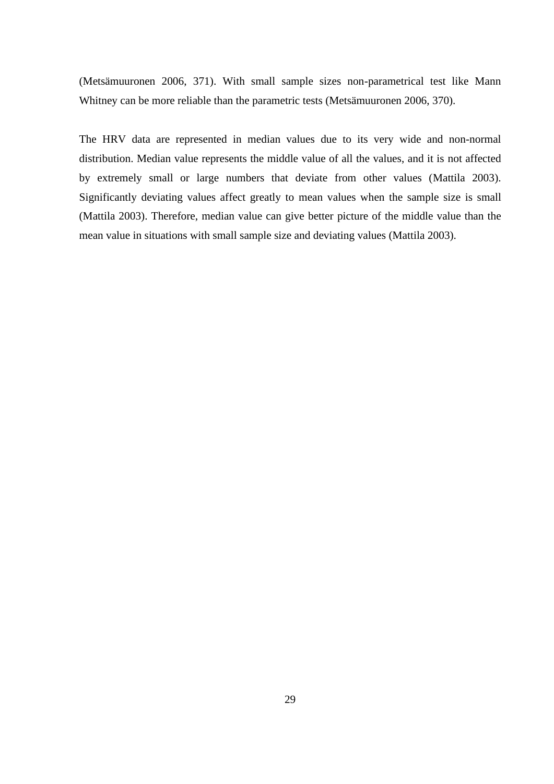(Metsämuuronen 2006, 371). With small sample sizes non-parametrical test like Mann Whitney can be more reliable than the parametric tests (Metsämuuronen 2006, 370).

The HRV data are represented in median values due to its very wide and non-normal distribution. Median value represents the middle value of all the values, and it is not affected by extremely small or large numbers that deviate from other values (Mattila 2003). Significantly deviating values affect greatly to mean values when the sample size is small (Mattila 2003). Therefore, median value can give better picture of the middle value than the mean value in situations with small sample size and deviating values (Mattila 2003).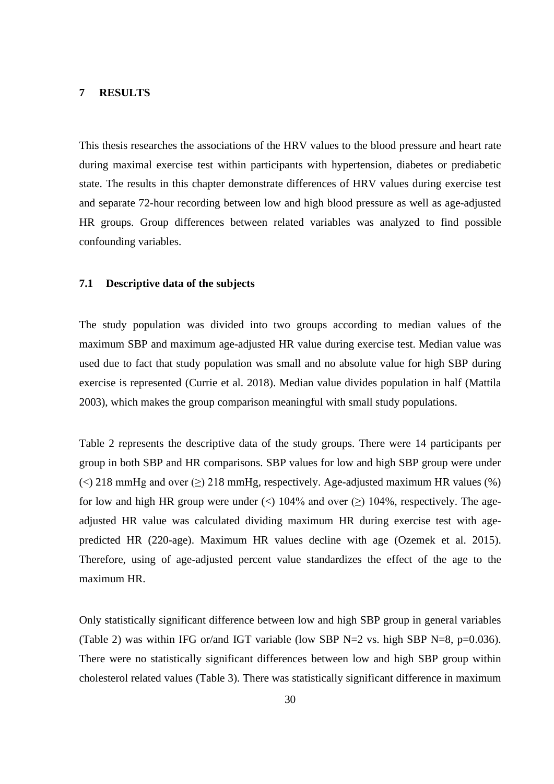#### **7 RESULTS**

This thesis researches the associations of the HRV values to the blood pressure and heart rate during maximal exercise test within participants with hypertension, diabetes or prediabetic state. The results in this chapter demonstrate differences of HRV values during exercise test and separate 72-hour recording between low and high blood pressure as well as age-adjusted HR groups. Group differences between related variables was analyzed to find possible confounding variables.

#### **7.1 Descriptive data of the subjects**

The study population was divided into two groups according to median values of the maximum SBP and maximum age-adjusted HR value during exercise test. Median value was used due to fact that study population was small and no absolute value for high SBP during exercise is represented (Currie et al. 2018). Median value divides population in half (Mattila 2003), which makes the group comparison meaningful with small study populations.

Table 2 represents the descriptive data of the study groups. There were 14 participants per group in both SBP and HR comparisons. SBP values for low and high SBP group were under  $\ll$ ) 218 mmHg and over  $\gtrsim$ ) 218 mmHg, respectively. Age-adjusted maximum HR values (%) for low and high HR group were under  $\langle \rangle$  104% and over  $\langle \rangle$  104%, respectively. The ageadjusted HR value was calculated dividing maximum HR during exercise test with agepredicted HR (220-age). Maximum HR values decline with age (Ozemek et al. 2015). Therefore, using of age-adjusted percent value standardizes the effect of the age to the maximum HR.

Only statistically significant difference between low and high SBP group in general variables (Table 2) was within IFG or/and IGT variable (low SBP  $N=2$  vs. high SBP  $N=8$ , p=0.036). There were no statistically significant differences between low and high SBP group within cholesterol related values (Table 3). There was statistically significant difference in maximum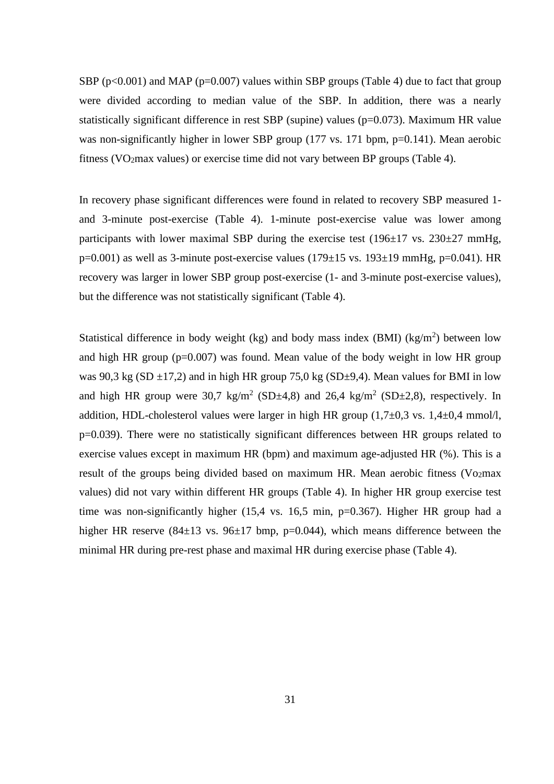SBP ( $p<0.001$ ) and MAP ( $p=0.007$ ) values within SBP groups (Table 4) due to fact that group were divided according to median value of the SBP. In addition, there was a nearly statistically significant difference in rest SBP (supine) values ( $p=0.073$ ). Maximum HR value was non-significantly higher in lower SBP group (177 vs. 171 bpm, p=0.141). Mean aerobic fitness (VO<sub>2</sub>max values) or exercise time did not vary between BP groups (Table 4).

In recovery phase significant differences were found in related to recovery SBP measured 1 and 3-minute post-exercise (Table 4). 1-minute post-exercise value was lower among participants with lower maximal SBP during the exercise test  $(196\pm 17 \text{ vs. } 230\pm 27 \text{ mmHg})$ , p=0.001) as well as 3-minute post-exercise values (179 $\pm$ 15 vs. 193 $\pm$ 19 mmHg, p=0.041). HR recovery was larger in lower SBP group post-exercise (1- and 3-minute post-exercise values), but the difference was not statistically significant (Table 4).

Statistical difference in body weight (kg) and body mass index (BMI) (kg/m<sup>2</sup>) between low and high HR group ( $p=0.007$ ) was found. Mean value of the body weight in low HR group was 90.3 kg (SD  $\pm$ 17.2) and in high HR group 75.0 kg (SD $\pm$ 9.4). Mean values for BMI in low and high HR group were 30,7 kg/m<sup>2</sup> (SD $\pm$ 4,8) and 26,4 kg/m<sup>2</sup> (SD $\pm$ 2,8), respectively. In addition, HDL-cholesterol values were larger in high HR group  $(1,7\pm0,3 \text{ vs. } 1,4\pm0,4 \text{ mmol/l})$ , p=0.039). There were no statistically significant differences between HR groups related to exercise values except in maximum HR (bpm) and maximum age-adjusted HR (%). This is a result of the groups being divided based on maximum HR. Mean aerobic fitness (Vo<sub>2</sub>max values) did not vary within different HR groups (Table 4). In higher HR group exercise test time was non-significantly higher (15,4 vs. 16,5 min, p=0.367). Higher HR group had a higher HR reserve  $(84\pm13 \text{ vs. } 96\pm17 \text{ bmp}, \text{ p=0.044})$ , which means difference between the minimal HR during pre-rest phase and maximal HR during exercise phase (Table 4).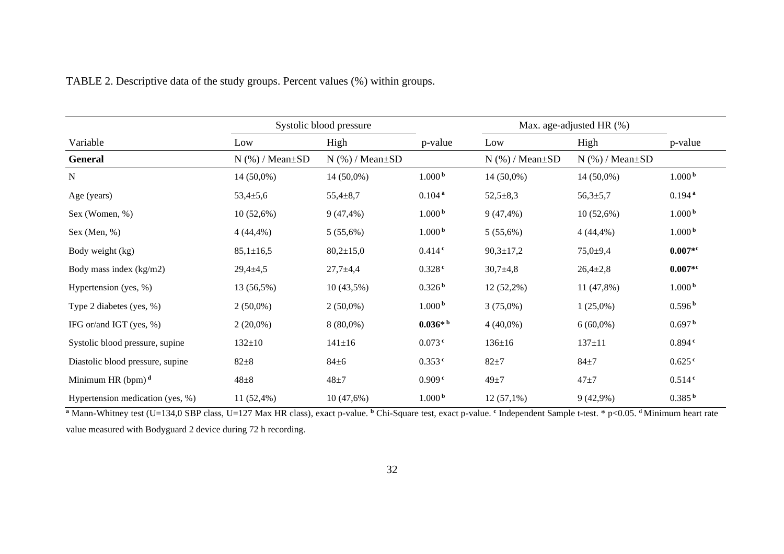|                                  | Systolic blood pressure |                         |                       | Max. age-adjusted HR (%) |                         |                      |
|----------------------------------|-------------------------|-------------------------|-----------------------|--------------------------|-------------------------|----------------------|
| Variable                         | Low                     | High                    | p-value               | Low                      | High                    | p-value              |
| <b>General</b>                   | $N$ (%) / Mean $\pm SD$ | $N$ (%) / Mean $\pm SD$ |                       | $N$ (%) / Mean $\pm SD$  | $N$ (%) / Mean $\pm SD$ |                      |
| $\mathbf N$                      | 14 (50,0%)              | 14 (50,0%)              | 1.000 <sup>b</sup>    | 14 (50,0%)               | 14 (50,0%)              | 1.000 <sup>b</sup>   |
| Age (years)                      | $53,4{\pm}5,6$          | $55,4 \pm 8,7$          | $0.104$ <sup>a</sup>  | $52,5+8,3$               | $56,3{\pm}5,7$          | $0.194$ <sup>a</sup> |
| Sex (Women, %)                   | 10(52,6%)               | $9(47, 4\%)$            | 1.000 <sup>b</sup>    | $9(47, 4\%)$             | 10(52,6%)               | 1.000 <sup>b</sup>   |
| Sex (Men, $%$ )                  | $4(44,4\%)$             | 5(55,6%)                | 1.000 <sup>b</sup>    | 5(55,6%)                 | $4(44,4\%)$             | 1.000 <sup>b</sup>   |
| Body weight (kg)                 | $85,1 \pm 16,5$         | $80,2{\pm}15,0$         | $0.414$ <sup>c</sup>  | $90,3 \pm 17,2$          | $75,0+9,4$              | $0.007*$ c           |
| Body mass index (kg/m2)          | $29,4+4,5$              | $27,7+4,4$              | 0.328 <sup>c</sup>    | $30,7{\pm}4,8$           | $26,4{\pm}2,8$          | $0.007*$ c           |
| Hypertension (yes, %)            | 13 (56,5%)              | 10(43,5%)               | 0.326 <sup>b</sup>    | $12(52,2\%)$             | 11 (47,8%)              | 1.000 <sup>b</sup>   |
| Type 2 diabetes (yes, %)         | $2(50,0\%)$             | $2(50,0\%)$             | 1.000 <sup>b</sup>    | $3(75,0\%)$              | $1(25,0\%)$             | 0.596 <sup>b</sup>   |
| IFG or/and IGT (yes, %)          | $2(20,0\%)$             | $8(80,0\%)$             | $0.036*$ <sup>b</sup> | $4(40,0\%)$              | $6(60,0\%)$             | 0.697 <sup>b</sup>   |
| Systolic blood pressure, supine  | $132 \pm 10$            | $141 \pm 16$            | $0.073$ <sup>c</sup>  | $136 \pm 16$             | $137 \pm 11$            | $0.894$ <sup>c</sup> |
| Diastolic blood pressure, supine | $82 + 8$                | $84\pm 6$               | $0.353$ <sup>c</sup>  | $82 + 7$                 | $84\pm7$                | $0.625$ <sup>c</sup> |
| Minimum HR $(bpm)^d$             | $48\pm8$                | $48 + 7$                | 0.909 <sup>c</sup>    | $49 \pm 7$               | $47 + 7$                | 0.514 <sup>c</sup>   |
| Hypertension medication (yes, %) | 11 (52,4%)              | 10(47,6%)               | 1.000 <sup>b</sup>    | $12(57,1\%)$             | 9(42,9%)                | 0.385 <sup>b</sup>   |

| TABLE 2. Descriptive data of the study groups. Percent values (%) within groups. |  |  |
|----------------------------------------------------------------------------------|--|--|
|                                                                                  |  |  |

<sup>a</sup> Mann-Whitney test (U=134,0 SBP class, U=127 Max HR class), exact p-value. <sup>b</sup> Chi-Square test, exact p-value. <sup>c</sup> Independent Sample t-test. \* p<0.05. <sup>d</sup> Minimum heart rate value measured with Bodyguard 2 device during 72 h recording.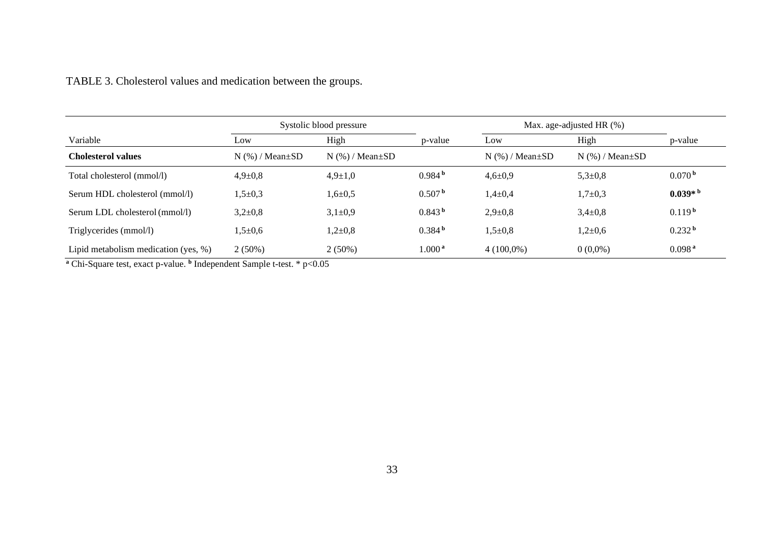|                                          | Systolic blood pressure |                         |                        | Max. age-adjusted HR $(\%)$ |                         |                    |
|------------------------------------------|-------------------------|-------------------------|------------------------|-----------------------------|-------------------------|--------------------|
| Variable                                 | Low                     | High                    | p-value                | Low                         | High                    | p-value            |
| <b>Cholesterol values</b>                | $N$ (%) / Mean $\pm SD$ | $N$ (%) / Mean $\pm SD$ |                        | $N$ (%) / Mean $\pm SD$     | $N$ (%) / Mean $\pm SD$ |                    |
| Total cholesterol (mmol/l)               | $4,9 \pm 0,8$           | $4,9 \pm 1,0$           | 0.984 <sup>b</sup>     | $4,6 \pm 0.9$               | $5,3{\pm}0,8$           | 0.070 <sup>b</sup> |
| Serum HDL cholesterol (mmol/l)           | $1,5+0,3$               | $1,6+0,5$               | 0.507 <sup>b</sup>     | $1,4\pm 0,4$                | $1,7+0,3$               | $0.039* b$         |
| Serum LDL cholesterol (mmol/l)           | $3,2{\pm}0,8$           | $3,1\pm0,9$             | 0.843 <sup>b</sup>     | $2,9+0,8$                   | $3,4\pm0,8$             | 0.119 <sup>b</sup> |
| Triglycerides (mmol/l)                   | $1,5+0,6$               | $1,2{\pm}0.8$           | 0.384 <sup>b</sup>     | $1,5+0,8$                   | $1,2{\pm}0,6$           | 0.232 <sup>b</sup> |
| Lipid metabolism medication (yes, $\%$ ) | $2(50\%)$               | $2(50\%)$               | $1.000^{\,\mathrm{a}}$ | $4(100,0\%)$                | $0(0,0\%)$              | 0.098 <sup>a</sup> |

TABLE 3. Cholesterol values and medication between the groups.

**<sup>a</sup>** Chi-Square test, exact p-value. **<sup>b</sup>** Independent Sample t-test. \* p<0.05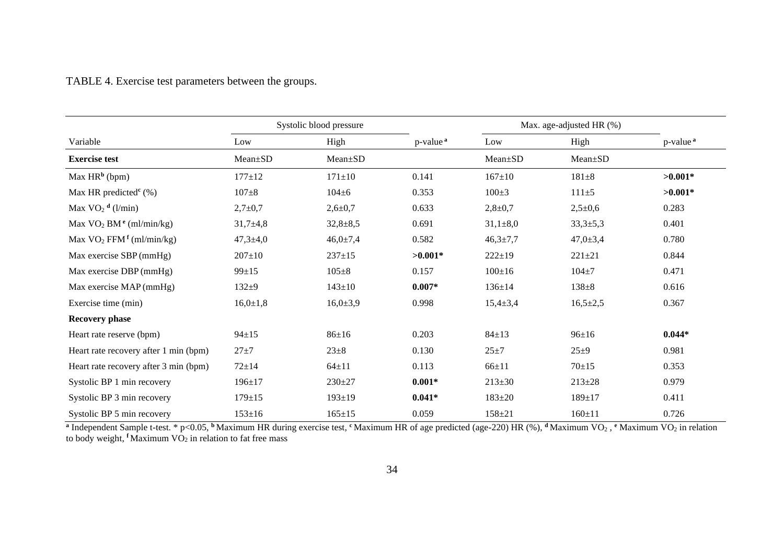# TABLE 4. Exercise test parameters between the groups.

|                                                    | Systolic blood pressure |                |                      | Max. age-adjusted HR (%) |                |                      |
|----------------------------------------------------|-------------------------|----------------|----------------------|--------------------------|----------------|----------------------|
| Variable                                           | Low                     | High           | p-value <sup>a</sup> | Low                      | High           | p-value <sup>a</sup> |
| <b>Exercise test</b>                               | Mean±SD                 | Mean±SD        |                      | Mean±SD                  | Mean±SD        |                      |
| Max HR <sup>b</sup> (bpm)                          | $177 + 12$              | $171 \pm 10$   | 0.141                | $167 \pm 10$             | $181 + 8$      | $>0.001*$            |
| Max HR predicted <sup><math>\rm c</math></sup> (%) | $107 + 8$               | $104 \pm 6$    | 0.353                | $100 \pm 3$              | $111 \pm 5$    | $>0.001*$            |
| Max $VO2$ <sup>d</sup> (l/min)                     | $2,7+0,7$               | $2,6 \pm 0.7$  | 0.633                | $2,8+0,7$                | $2,5+0,6$      | 0.283                |
| Max $VO2 BMe (ml/min/kg)$                          | $31,7+4,8$              | $32,8 \pm 8,5$ | 0.691                | $31,1\pm8,0$             | $33,3{\pm}5,3$ | 0.401                |
| Max $VO_2$ FFM $f$ (ml/min/kg)                     | $47,3 \pm 4,0$          | $46,0{\pm}7,4$ | 0.582                | $46,3{\pm}7,7$           | $47,0{\pm}3,4$ | 0.780                |
| Max exercise SBP (mmHg)                            | $207 \pm 10$            | $237 \pm 15$   | $>0.001*$            | $222 \pm 19$             | $221 + 21$     | 0.844                |
| Max exercise DBP (mmHg)                            | $99 \pm 15$             | $105 \pm 8$    | 0.157                | $100 \pm 16$             | $104 + 7$      | 0.471                |
| Max exercise MAP (mmHg)                            | $132 + 9$               | $143 \pm 10$   | $0.007*$             | $136 \pm 14$             | $138 + 8$      | 0.616                |
| Exercise time (min)                                | $16,0{\pm}1,8$          | $16,0{\pm}3,9$ | 0.998                | $15,4 \pm 3,4$           | $16,5 \pm 2,5$ | 0.367                |
| <b>Recovery phase</b>                              |                         |                |                      |                          |                |                      |
| Heart rate reserve (bpm)                           | $94 \pm 15$             | $86 \pm 16$    | 0.203                | $84 \pm 13$              | $96 \pm 16$    | $0.044*$             |
| Heart rate recovery after 1 min (bpm)              | $27 + 7$                | $23 \pm 8$     | 0.130                | $25 + 7$                 | $25 + 9$       | 0.981                |
| Heart rate recovery after 3 min (bpm)              | $72 + 14$               | $64 + 11$      | 0.113                | $66 + 11$                | $70+15$        | 0.353                |
| Systolic BP 1 min recovery                         | $196 \pm 17$            | $230 \pm 27$   | $0.001*$             | $213 \pm 30$             | $213 \pm 28$   | 0.979                |
| Systolic BP 3 min recovery                         | $179 \pm 15$            | $193 \pm 19$   | $0.041*$             | $183 + 20$               | $189 \pm 17$   | 0.411                |
| Systolic BP 5 min recovery                         | $153 \pm 16$            | $165 \pm 15$   | 0.059                | $158 + 21$               | $160 \pm 11$   | 0.726                |

<sup>a</sup> Independent Sample t-test. \* p<0.05, <sup>b</sup> Maximum HR during exercise test, <sup>c</sup> Maximum HR of age predicted (age-220) HR (%), <sup>d</sup> Maximum VO<sub>2</sub>, <sup>e</sup> Maximum VO<sub>2</sub> in relation to body weight, <sup>f</sup>Maximum VO<sub>2</sub> in relation to fat free mass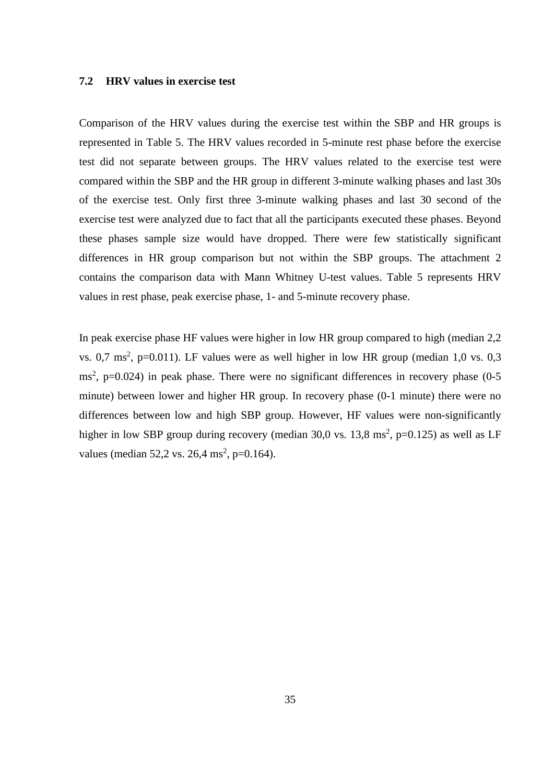### **7.2 HRV values in exercise test**

Comparison of the HRV values during the exercise test within the SBP and HR groups is represented in Table 5. The HRV values recorded in 5-minute rest phase before the exercise test did not separate between groups. The HRV values related to the exercise test were compared within the SBP and the HR group in different 3-minute walking phases and last 30s of the exercise test. Only first three 3-minute walking phases and last 30 second of the exercise test were analyzed due to fact that all the participants executed these phases. Beyond these phases sample size would have dropped. There were few statistically significant differences in HR group comparison but not within the SBP groups. The attachment 2 contains the comparison data with Mann Whitney U-test values. Table 5 represents HRV values in rest phase, peak exercise phase, 1- and 5-minute recovery phase.

In peak exercise phase HF values were higher in low HR group compared to high (median 2,2 vs. 0,7 ms<sup>2</sup>, p=0.011). LF values were as well higher in low HR group (median 1,0 vs. 0,3  $\text{ms}^2$ , p=0.024) in peak phase. There were no significant differences in recovery phase (0-5) minute) between lower and higher HR group. In recovery phase (0-1 minute) there were no differences between low and high SBP group. However, HF values were non-significantly higher in low SBP group during recovery (median 30,0 vs.  $13,8 \text{ ms}^2$ , p=0.125) as well as LF values (median  $52,2$  vs.  $26,4$  ms<sup>2</sup>, p=0.164).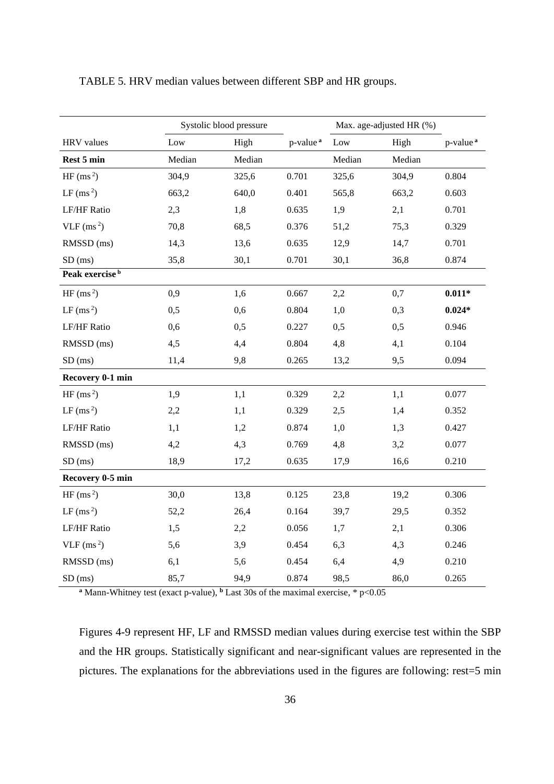|                            | Systolic blood pressure |        |                      | Max. age-adjusted HR (%) |        |                      |
|----------------------------|-------------------------|--------|----------------------|--------------------------|--------|----------------------|
| <b>HRV</b> values          | $_{\text{Low}}$         | High   | p-value <sup>a</sup> | Low                      | High   | p-value <sup>a</sup> |
| Rest 5 min                 | Median                  | Median |                      | Median                   | Median |                      |
| HF $(ms2)$                 | 304,9                   | 325,6  | 0.701                | 325,6                    | 304,9  | 0.804                |
| $LF$ (ms <sup>2</sup> )    | 663,2                   | 640,0  | 0.401                | 565,8                    | 663,2  | 0.603                |
| <b>LF/HF Ratio</b>         | 2,3                     | 1,8    | 0.635                | 1,9                      | 2,1    | 0.701                |
| $VLF$ (ms <sup>2</sup> )   | 70,8                    | 68,5   | 0.376                | 51,2                     | 75,3   | 0.329                |
| RMSSD (ms)                 | 14,3                    | 13,6   | 0.635                | 12,9                     | 14,7   | 0.701                |
| $SD$ (ms)                  | 35,8                    | 30,1   | 0.701                | 30,1                     | 36,8   | 0.874                |
| Peak exercise <sup>b</sup> |                         |        |                      |                          |        |                      |
| HF $(ms^2)$                | 0,9                     | 1,6    | 0.667                | 2,2                      | 0,7    | $0.011*$             |
| LF $\rm (ms^2)$            | 0,5                     | 0,6    | 0.804                | 1,0                      | 0,3    | $0.024*$             |
| <b>LF/HF Ratio</b>         | 0,6                     | 0,5    | 0.227                | 0,5                      | 0,5    | 0.946                |
| RMSSD (ms)                 | 4,5                     | 4,4    | 0.804                | 4,8                      | 4,1    | 0.104                |
| $SD$ (ms)                  | 11,4                    | 9,8    | 0.265                | 13,2                     | 9,5    | 0.094                |
| Recovery 0-1 min           |                         |        |                      |                          |        |                      |
| HF $\rm (ms^2)$            | 1,9                     | 1,1    | 0.329                | 2,2                      | 1,1    | 0.077                |
| LF $(ms^2)$                | 2,2                     | 1,1    | 0.329                | 2,5                      | 1,4    | 0.352                |
| <b>LF/HF Ratio</b>         | 1,1                     | 1,2    | 0.874                | 1,0                      | 1,3    | 0.427                |
| RMSSD (ms)                 | 4,2                     | 4,3    | 0.769                | 4,8                      | 3,2    | 0.077                |
| $SD$ (ms)                  | 18,9                    | 17,2   | 0.635                | 17,9                     | 16,6   | 0.210                |
| Recovery 0-5 min           |                         |        |                      |                          |        |                      |
| HF $\rm (ms^2)$            | 30,0                    | 13,8   | 0.125                | 23,8                     | 19,2   | 0.306                |
| LF $(ms^2)$                | 52,2                    | 26,4   | 0.164                | 39,7                     | 29,5   | 0.352                |
| LF/HF Ratio                | 1,5                     | 2,2    | 0.056                | 1,7                      | 2,1    | 0.306                |
| $VLF$ (ms <sup>2</sup> )   | 5,6                     | 3,9    | 0.454                | 6,3                      | 4,3    | 0.246                |
| RMSSD (ms)                 | 6,1                     | 5,6    | 0.454                | 6,4                      | 4,9    | 0.210                |
| $SD$ (ms)                  | 85,7                    | 94,9   | 0.874                | 98,5                     | 86,0   | 0.265                |

TABLE 5. HRV median values between different SBP and HR groups.

<sup>a</sup> Mann-Whitney test (exact p-value), <sup>b</sup> Last 30s of the maximal exercise, \* p<0.05

Figures 4-9 represent HF, LF and RMSSD median values during exercise test within the SBP and the HR groups. Statistically significant and near-significant values are represented in the pictures. The explanations for the abbreviations used in the figures are following: rest=5 min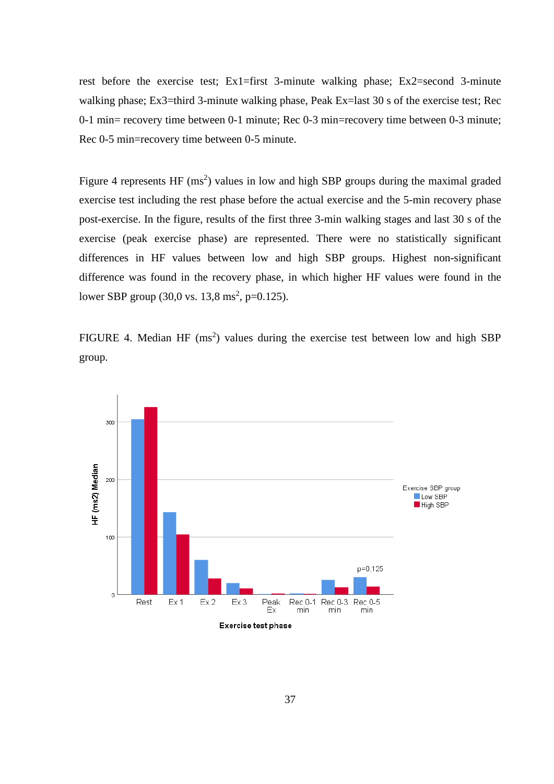rest before the exercise test; Ex1=first 3-minute walking phase; Ex2=second 3-minute walking phase; Ex3=third 3-minute walking phase, Peak Ex=last 30 s of the exercise test; Rec 0-1 min= recovery time between 0-1 minute; Rec 0-3 min=recovery time between 0-3 minute; Rec 0-5 min=recovery time between 0-5 minute.

Figure 4 represents  $HF \, (ms^2)$  values in low and high SBP groups during the maximal graded exercise test including the rest phase before the actual exercise and the 5-min recovery phase post-exercise. In the figure, results of the first three 3-min walking stages and last 30 s of the exercise (peak exercise phase) are represented. There were no statistically significant differences in HF values between low and high SBP groups. Highest non-significant difference was found in the recovery phase, in which higher HF values were found in the lower SBP group  $(30,0 \text{ vs. } 13,8 \text{ ms}^2, \text{ p=0.125}).$ 

FIGURE 4. Median HF  $(ms^2)$  values during the exercise test between low and high SBP group.

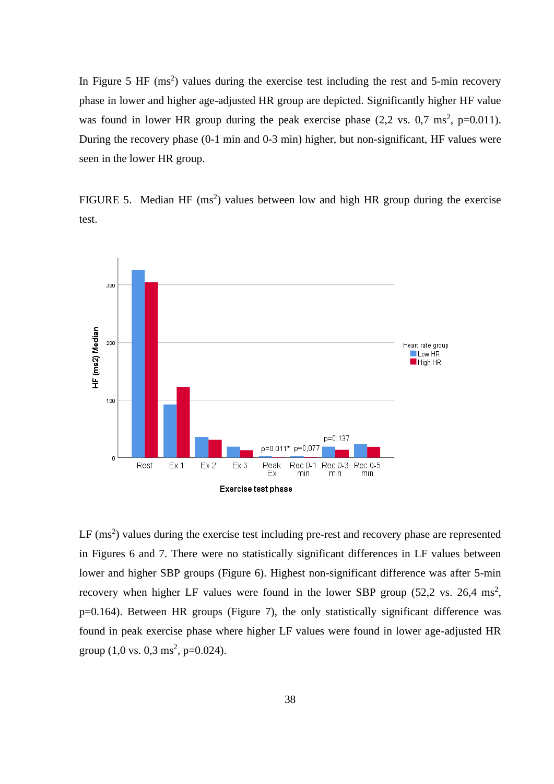In Figure 5 HF  $(ms^2)$  values during the exercise test including the rest and 5-min recovery phase in lower and higher age-adjusted HR group are depicted. Significantly higher HF value was found in lower HR group during the peak exercise phase  $(2,2 \text{ vs. } 0,7 \text{ ms}^2, \text{ p=0.011}).$ During the recovery phase (0-1 min and 0-3 min) higher, but non-significant, HF values were seen in the lower HR group.

FIGURE 5. Median HF  $(ms^2)$  values between low and high HR group during the exercise test.



 $LF$  (ms<sup>2</sup>) values during the exercise test including pre-rest and recovery phase are represented in Figures 6 and 7. There were no statistically significant differences in LF values between lower and higher SBP groups (Figure 6). Highest non-significant difference was after 5-min recovery when higher LF values were found in the lower SBP group  $(52, 2 \text{ vs. } 26, 4 \text{ ms}^2)$ , p=0.164). Between HR groups (Figure 7), the only statistically significant difference was found in peak exercise phase where higher LF values were found in lower age-adjusted HR group  $(1,0 \text{ vs. } 0,3 \text{ ms}^2, \text{ p=0.024}).$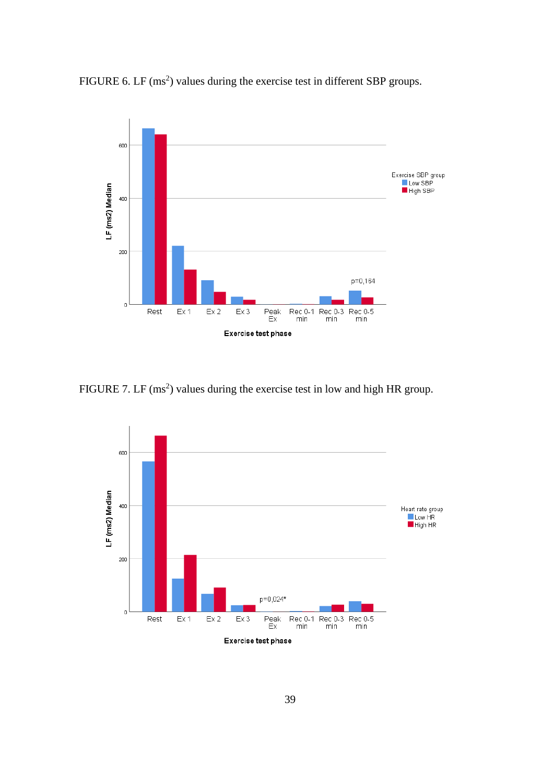



FIGURE 7. LF  $(ms^2)$  values during the exercise test in low and high HR group.

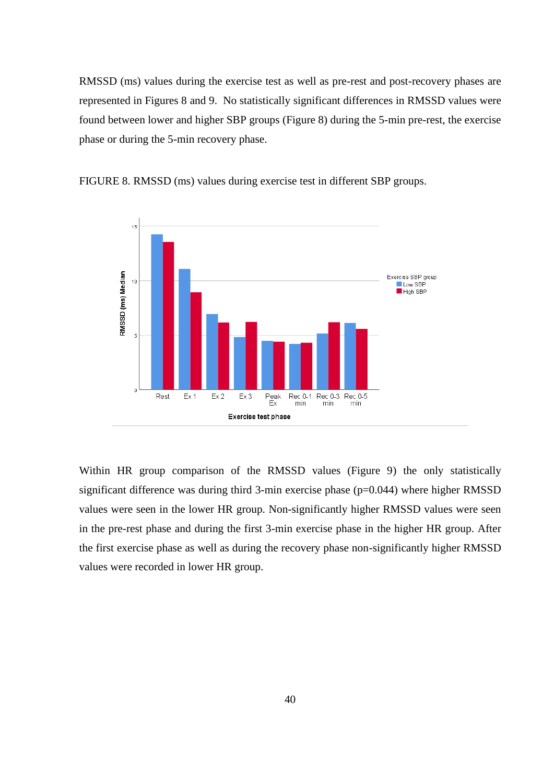RMSSD (ms) values during the exercise test as well as pre-rest and post-recovery phases are represented in Figures 8 and 9. No statistically significant differences in RMSSD values were found between lower and higher SBP groups (Figure 8) during the 5-min pre-rest, the exercise phase or during the 5-min recovery phase.



FIGURE 8. RMSSD (ms) values during exercise test in different SBP groups.

Within HR group comparison of the RMSSD values (Figure 9) the only statistically significant difference was during third  $3$ -min exercise phase ( $p=0.044$ ) where higher RMSSD values were seen in the lower HR group. Non-significantly higher RMSSD values were seen in the pre-rest phase and during the first 3-min exercise phase in the higher HR group. After the first exercise phase as well as during the recovery phase non-significantly higher RMSSD values were recorded in lower HR group.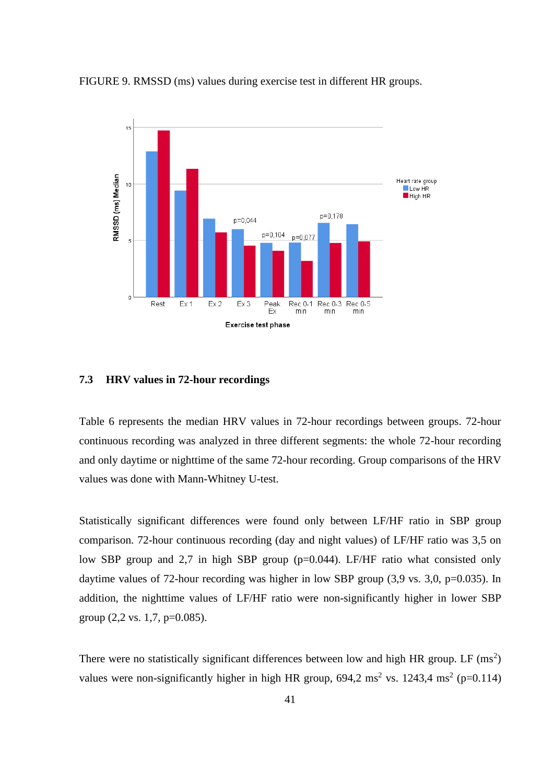



#### **7.3 HRV values in 72-hour recordings**

Table 6 represents the median HRV values in 72-hour recordings between groups. 72-hour continuous recording was analyzed in three different segments: the whole 72-hour recording and only daytime or nighttime of the same 72-hour recording. Group comparisons of the HRV values was done with Mann-Whitney U-test.

Statistically significant differences were found only between LF/HF ratio in SBP group comparison. 72-hour continuous recording (day and night values) of LF/HF ratio was 3,5 on low SBP group and 2,7 in high SBP group (p=0.044). LF/HF ratio what consisted only daytime values of 72-hour recording was higher in low SBP group (3,9 vs. 3,0, p=0.035). In addition, the nighttime values of LF/HF ratio were non-significantly higher in lower SBP group  $(2,2 \text{ vs. } 1,7, \text{ p=0.085}).$ 

There were no statistically significant differences between low and high HR group. LF  $(ms^2)$ values were non-significantly higher in high HR group,  $694.2 \text{ ms}^2$  vs.  $1243.4 \text{ ms}^2$  (p=0.114)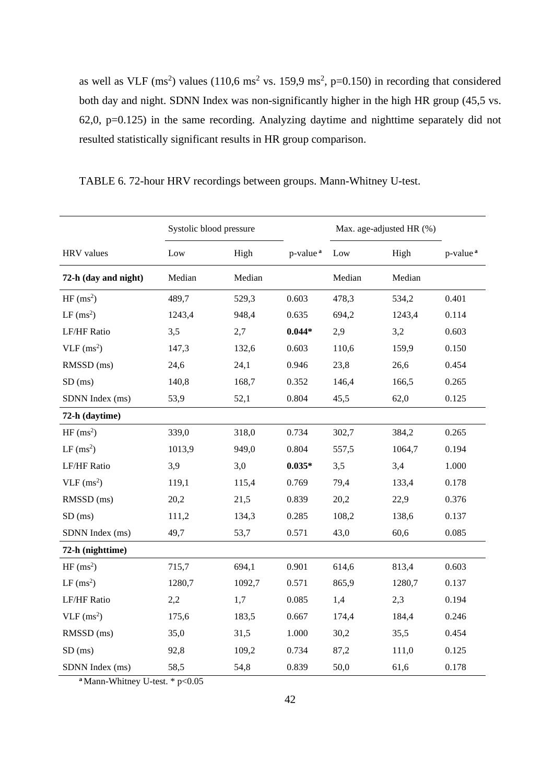as well as VLF (ms<sup>2</sup>) values (110,6 ms<sup>2</sup> vs. 159,9 ms<sup>2</sup>, p=0.150) in recording that considered both day and night. SDNN Index was non-significantly higher in the high HR group (45,5 vs. 62,0, p=0.125) in the same recording. Analyzing daytime and nighttime separately did not resulted statistically significant results in HR group comparison.

|                          | Systolic blood pressure |        |                      | Max. age-adjusted HR (%) |        |                      |
|--------------------------|-------------------------|--------|----------------------|--------------------------|--------|----------------------|
| <b>HRV</b> values        | Low                     | High   | p-value <sup>a</sup> | Low                      | High   | p-value <sup>a</sup> |
| 72-h (day and night)     | Median                  | Median |                      | Median                   | Median |                      |
| HF(ms <sup>2</sup> )     | 489,7                   | 529,3  | 0.603                | 478,3                    | 534,2  | 0.401                |
| $LF$ (ms <sup>2</sup> )  | 1243,4                  | 948,4  | 0.635                | 694,2                    | 1243,4 | 0.114                |
| LF/HF Ratio              | 3,5                     | 2,7    | $0.044*$             | 2,9                      | 3,2    | 0.603                |
| $VLF$ (ms <sup>2</sup> ) | 147,3                   | 132,6  | 0.603                | 110,6                    | 159,9  | 0.150                |
| RMSSD (ms)               | 24,6                    | 24,1   | 0.946                | 23,8                     | 26,6   | 0.454                |
| $SD$ (ms)                | 140,8                   | 168,7  | 0.352                | 146,4                    | 166,5  | 0.265                |
| SDNN Index (ms)          | 53,9                    | 52,1   | 0.804                | 45,5                     | 62,0   | 0.125                |
| 72-h (daytime)           |                         |        |                      |                          |        |                      |
| HF(ms <sup>2</sup> )     | 339,0                   | 318,0  | 0.734                | 302,7                    | 384,2  | 0.265                |
| $LF$ (ms <sup>2</sup> )  | 1013,9                  | 949,0  | 0.804                | 557,5                    | 1064,7 | 0.194                |
| <b>LF/HF Ratio</b>       | 3,9                     | 3,0    | $0.035*$             | 3,5                      | 3,4    | 1.000                |
| $VLF$ (ms <sup>2</sup> ) | 119,1                   | 115,4  | 0.769                | 79,4                     | 133,4  | 0.178                |
| RMSSD (ms)               | 20,2                    | 21,5   | 0.839                | 20,2                     | 22,9   | 0.376                |
| $SD$ (ms)                | 111,2                   | 134,3  | 0.285                | 108,2                    | 138,6  | 0.137                |
| SDNN Index (ms)          | 49,7                    | 53,7   | 0.571                | 43,0                     | 60,6   | 0.085                |
| 72-h (nighttime)         |                         |        |                      |                          |        |                      |
| HF(ms <sup>2</sup> )     | 715,7                   | 694,1  | 0.901                | 614,6                    | 813,4  | 0.603                |
| $LF$ (ms <sup>2</sup> )  | 1280,7                  | 1092,7 | 0.571                | 865,9                    | 1280,7 | 0.137                |
| <b>LF/HF Ratio</b>       | 2,2                     | 1,7    | 0.085                | 1,4                      | 2,3    | 0.194                |
| $VLF$ (ms <sup>2</sup> ) | 175,6                   | 183,5  | 0.667                | 174,4                    | 184,4  | 0.246                |
| RMSSD (ms)               | 35,0                    | 31,5   | 1.000                | 30,2                     | 35,5   | 0.454                |
| $SD$ (ms)                | 92,8                    | 109,2  | 0.734                | 87,2                     | 111,0  | 0.125                |
| SDNN Index (ms)          | 58,5                    | 54,8   | 0.839                | 50,0                     | 61,6   | 0.178                |

TABLE 6. 72-hour HRV recordings between groups. Mann-Whitney U-test.

**<sup>a</sup>** Mann-Whitney U-test. \* p<0.05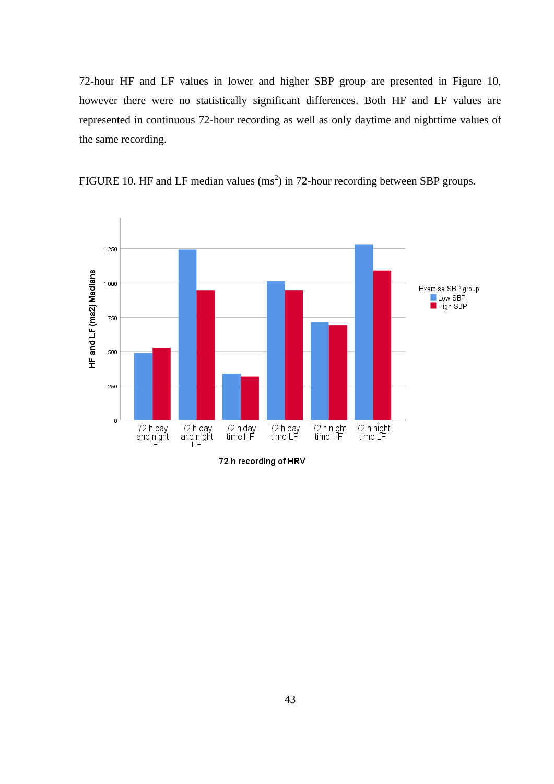72-hour HF and LF values in lower and higher SBP group are presented in Figure 10, however there were no statistically significant differences. Both HF and LF values are represented in continuous 72-hour recording as well as only daytime and nighttime values of the same recording.



FIGURE 10. HF and LF median values  $(ms<sup>2</sup>)$  in 72-hour recording between SBP groups.

72 h recording of HRV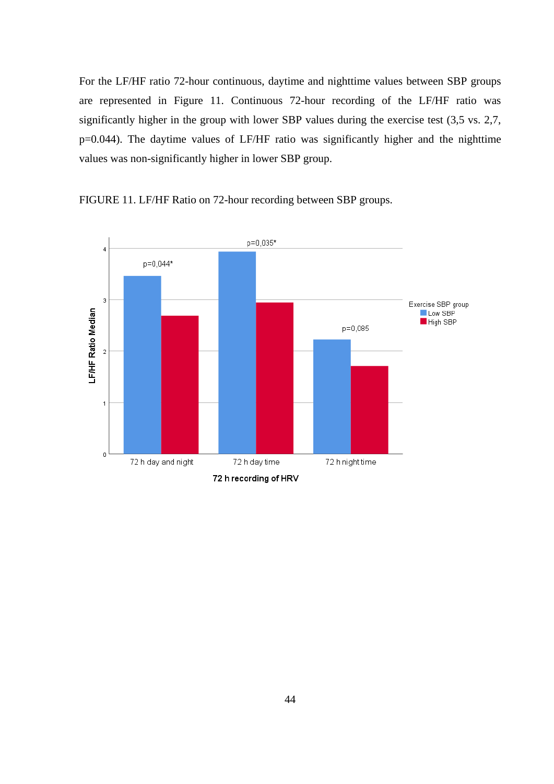For the LF/HF ratio 72-hour continuous, daytime and nighttime values between SBP groups are represented in Figure 11. Continuous 72-hour recording of the LF/HF ratio was significantly higher in the group with lower SBP values during the exercise test (3,5 vs. 2,7, p=0.044). The daytime values of LF/HF ratio was significantly higher and the nighttime values was non-significantly higher in lower SBP group.



FIGURE 11. LF/HF Ratio on 72-hour recording between SBP groups.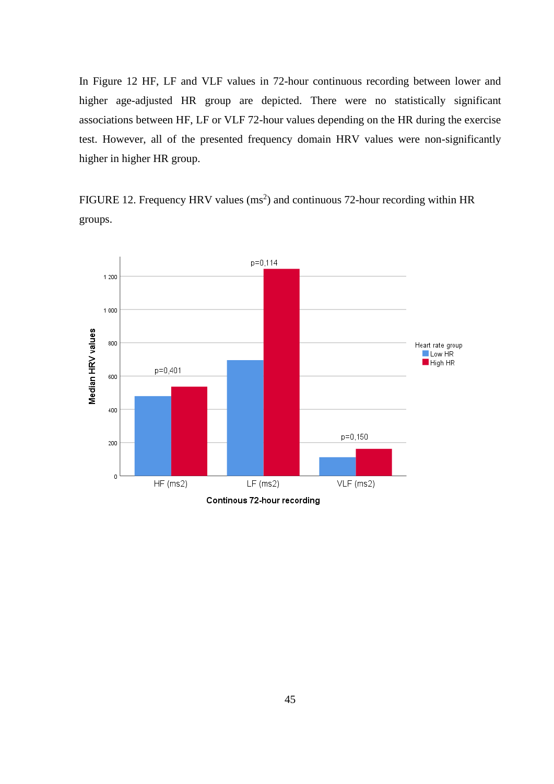In Figure 12 HF, LF and VLF values in 72-hour continuous recording between lower and higher age-adjusted HR group are depicted. There were no statistically significant associations between HF, LF or VLF 72-hour values depending on the HR during the exercise test. However, all of the presented frequency domain HRV values were non-significantly higher in higher HR group.

FIGURE 12. Frequency HRV values  $(ms<sup>2</sup>)$  and continuous 72-hour recording within HR groups.

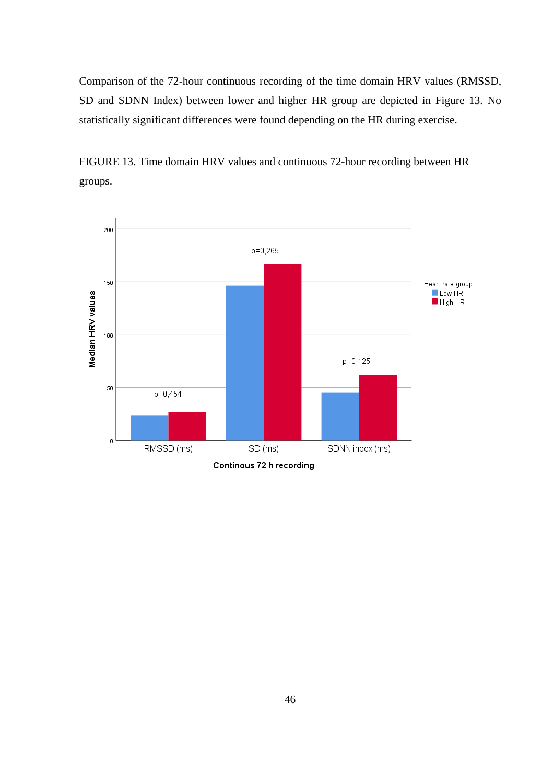Comparison of the 72-hour continuous recording of the time domain HRV values (RMSSD, SD and SDNN Index) between lower and higher HR group are depicted in Figure 13. No statistically significant differences were found depending on the HR during exercise.



FIGURE 13. Time domain HRV values and continuous 72-hour recording between HR groups.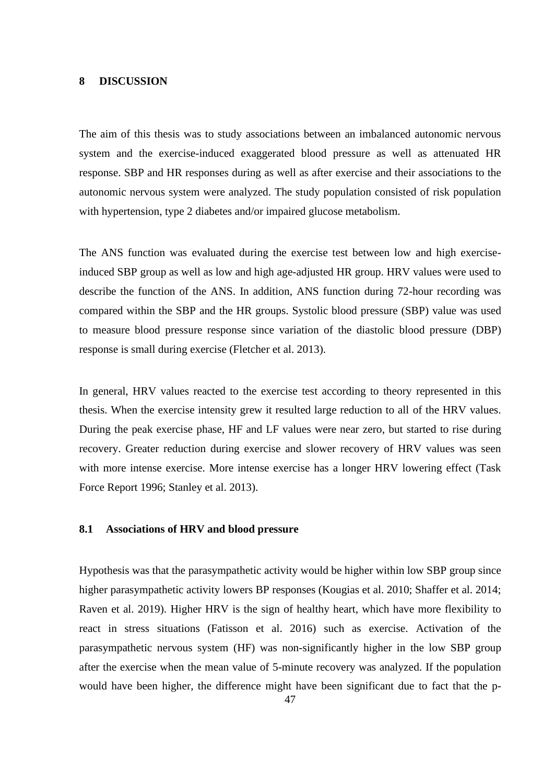### **8 DISCUSSION**

The aim of this thesis was to study associations between an imbalanced autonomic nervous system and the exercise-induced exaggerated blood pressure as well as attenuated HR response. SBP and HR responses during as well as after exercise and their associations to the autonomic nervous system were analyzed. The study population consisted of risk population with hypertension, type 2 diabetes and/or impaired glucose metabolism.

The ANS function was evaluated during the exercise test between low and high exerciseinduced SBP group as well as low and high age-adjusted HR group. HRV values were used to describe the function of the ANS. In addition, ANS function during 72-hour recording was compared within the SBP and the HR groups. Systolic blood pressure (SBP) value was used to measure blood pressure response since variation of the diastolic blood pressure (DBP) response is small during exercise (Fletcher et al. 2013).

In general, HRV values reacted to the exercise test according to theory represented in this thesis. When the exercise intensity grew it resulted large reduction to all of the HRV values. During the peak exercise phase, HF and LF values were near zero, but started to rise during recovery. Greater reduction during exercise and slower recovery of HRV values was seen with more intense exercise. More intense exercise has a longer HRV lowering effect (Task Force Report 1996; Stanley et al. 2013).

## **8.1 Associations of HRV and blood pressure**

Hypothesis was that the parasympathetic activity would be higher within low SBP group since higher parasympathetic activity lowers BP responses (Kougias et al. 2010; Shaffer et al. 2014; Raven et al. 2019). Higher HRV is the sign of healthy heart, which have more flexibility to react in stress situations (Fatisson et al. 2016) such as exercise. Activation of the parasympathetic nervous system (HF) was non-significantly higher in the low SBP group after the exercise when the mean value of 5-minute recovery was analyzed. If the population would have been higher, the difference might have been significant due to fact that the p-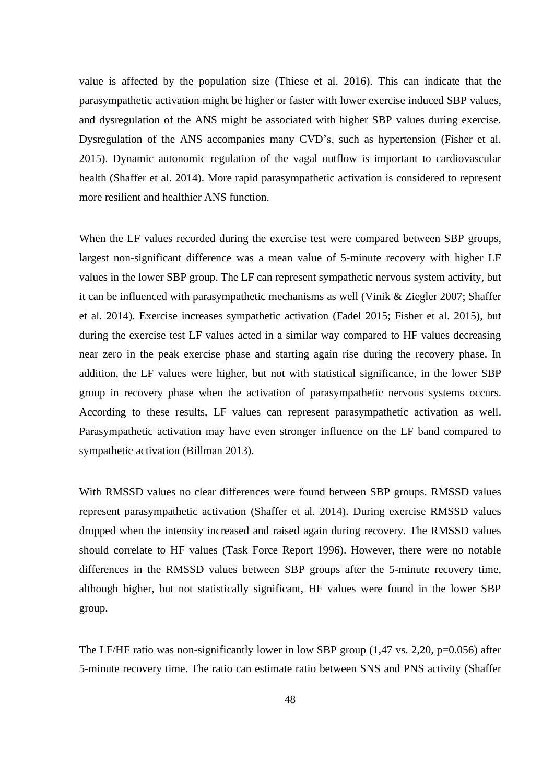value is affected by the population size (Thiese et al. 2016). This can indicate that the parasympathetic activation might be higher or faster with lower exercise induced SBP values, and dysregulation of the ANS might be associated with higher SBP values during exercise. Dysregulation of the ANS accompanies many CVD's, such as hypertension (Fisher et al. 2015). Dynamic autonomic regulation of the vagal outflow is important to cardiovascular health (Shaffer et al. 2014). More rapid parasympathetic activation is considered to represent more resilient and healthier ANS function.

When the LF values recorded during the exercise test were compared between SBP groups, largest non-significant difference was a mean value of 5-minute recovery with higher LF values in the lower SBP group. The LF can represent sympathetic nervous system activity, but it can be influenced with parasympathetic mechanisms as well (Vinik & Ziegler 2007; Shaffer et al. 2014). Exercise increases sympathetic activation (Fadel 2015; Fisher et al. 2015), but during the exercise test LF values acted in a similar way compared to HF values decreasing near zero in the peak exercise phase and starting again rise during the recovery phase. In addition, the LF values were higher, but not with statistical significance, in the lower SBP group in recovery phase when the activation of parasympathetic nervous systems occurs. According to these results, LF values can represent parasympathetic activation as well. Parasympathetic activation may have even stronger influence on the LF band compared to sympathetic activation (Billman 2013).

With RMSSD values no clear differences were found between SBP groups. RMSSD values represent parasympathetic activation (Shaffer et al. 2014). During exercise RMSSD values dropped when the intensity increased and raised again during recovery. The RMSSD values should correlate to HF values (Task Force Report 1996). However, there were no notable differences in the RMSSD values between SBP groups after the 5-minute recovery time, although higher, but not statistically significant, HF values were found in the lower SBP group.

The LF/HF ratio was non-significantly lower in low SBP group  $(1.47 \text{ vs. } 2.20, \text{ p} = 0.056)$  after 5-minute recovery time. The ratio can estimate ratio between SNS and PNS activity (Shaffer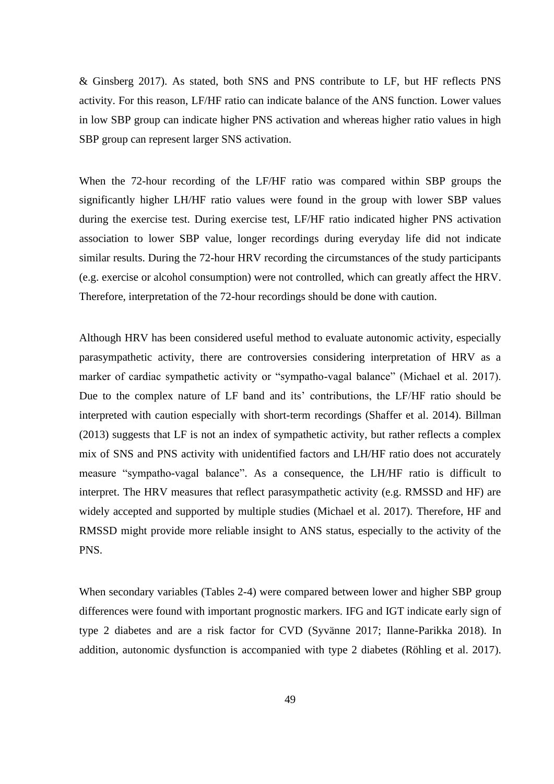& Ginsberg 2017). As stated, both SNS and PNS contribute to LF, but HF reflects PNS activity. For this reason, LF/HF ratio can indicate balance of the ANS function. Lower values in low SBP group can indicate higher PNS activation and whereas higher ratio values in high SBP group can represent larger SNS activation.

When the 72-hour recording of the LF/HF ratio was compared within SBP groups the significantly higher LH/HF ratio values were found in the group with lower SBP values during the exercise test. During exercise test, LF/HF ratio indicated higher PNS activation association to lower SBP value, longer recordings during everyday life did not indicate similar results. During the 72-hour HRV recording the circumstances of the study participants (e.g. exercise or alcohol consumption) were not controlled, which can greatly affect the HRV. Therefore, interpretation of the 72-hour recordings should be done with caution.

Although HRV has been considered useful method to evaluate autonomic activity, especially parasympathetic activity, there are controversies considering interpretation of HRV as a marker of cardiac sympathetic activity or "sympatho-vagal balance" (Michael et al. 2017). Due to the complex nature of LF band and its' contributions, the LF/HF ratio should be interpreted with caution especially with short-term recordings (Shaffer et al. 2014). Billman (2013) suggests that LF is not an index of sympathetic activity, but rather reflects a complex mix of SNS and PNS activity with unidentified factors and LH/HF ratio does not accurately measure "sympatho-vagal balance". As a consequence, the LH/HF ratio is difficult to interpret. The HRV measures that reflect parasympathetic activity (e.g. RMSSD and HF) are widely accepted and supported by multiple studies (Michael et al. 2017). Therefore, HF and RMSSD might provide more reliable insight to ANS status, especially to the activity of the PNS.

When secondary variables (Tables 2-4) were compared between lower and higher SBP group differences were found with important prognostic markers. IFG and IGT indicate early sign of type 2 diabetes and are a risk factor for CVD (Syvänne 2017; Ilanne-Parikka 2018). In addition, autonomic dysfunction is accompanied with type 2 diabetes (Röhling et al. 2017).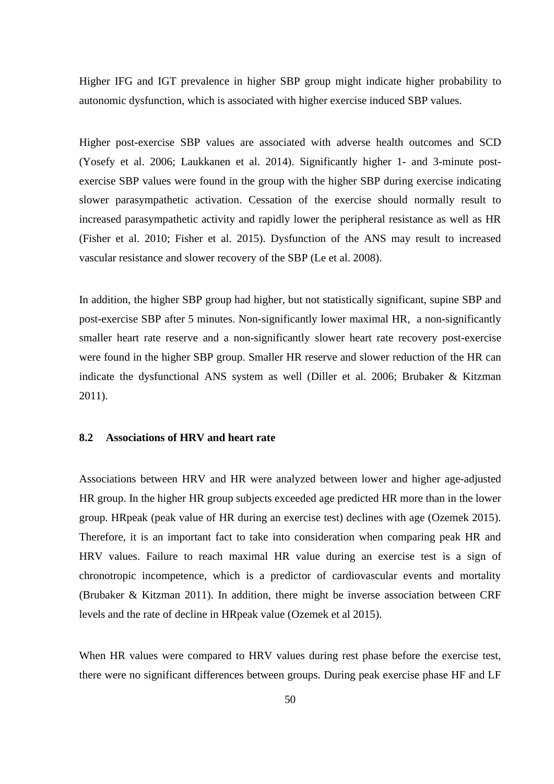Higher IFG and IGT prevalence in higher SBP group might indicate higher probability to autonomic dysfunction, which is associated with higher exercise induced SBP values.

Higher post-exercise SBP values are associated with adverse health outcomes and SCD (Yosefy et al. 2006; Laukkanen et al. 2014). Significantly higher 1- and 3-minute postexercise SBP values were found in the group with the higher SBP during exercise indicating slower parasympathetic activation. Cessation of the exercise should normally result to increased parasympathetic activity and rapidly lower the peripheral resistance as well as HR (Fisher et al. 2010; Fisher et al. 2015). Dysfunction of the ANS may result to increased vascular resistance and slower recovery of the SBP (Le et al. 2008).

In addition, the higher SBP group had higher, but not statistically significant, supine SBP and post-exercise SBP after 5 minutes. Non-significantly lower maximal HR, a non-significantly smaller heart rate reserve and a non-significantly slower heart rate recovery post-exercise were found in the higher SBP group. Smaller HR reserve and slower reduction of the HR can indicate the dysfunctional ANS system as well (Diller et al. 2006; Brubaker & Kitzman 2011).

## **8.2 Associations of HRV and heart rate**

Associations between HRV and HR were analyzed between lower and higher age-adjusted HR group. In the higher HR group subjects exceeded age predicted HR more than in the lower group. HRpeak (peak value of HR during an exercise test) declines with age (Ozemek 2015). Therefore, it is an important fact to take into consideration when comparing peak HR and HRV values. Failure to reach maximal HR value during an exercise test is a sign of chronotropic incompetence, which is a predictor of cardiovascular events and mortality (Brubaker & Kitzman 2011). In addition, there might be inverse association between CRF levels and the rate of decline in HRpeak value (Ozemek et al 2015).

When HR values were compared to HRV values during rest phase before the exercise test, there were no significant differences between groups. During peak exercise phase HF and LF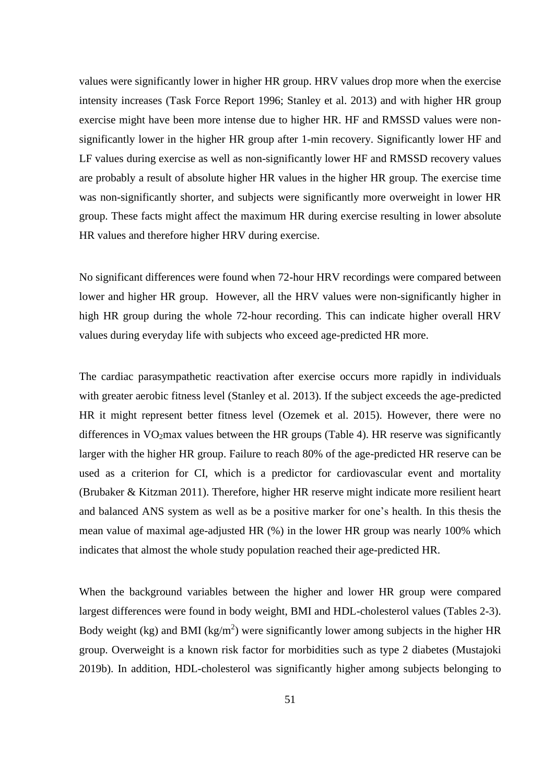values were significantly lower in higher HR group. HRV values drop more when the exercise intensity increases (Task Force Report 1996; Stanley et al. 2013) and with higher HR group exercise might have been more intense due to higher HR. HF and RMSSD values were nonsignificantly lower in the higher HR group after 1-min recovery. Significantly lower HF and LF values during exercise as well as non-significantly lower HF and RMSSD recovery values are probably a result of absolute higher HR values in the higher HR group. The exercise time was non-significantly shorter, and subjects were significantly more overweight in lower HR group. These facts might affect the maximum HR during exercise resulting in lower absolute HR values and therefore higher HRV during exercise.

No significant differences were found when 72-hour HRV recordings were compared between lower and higher HR group. However, all the HRV values were non-significantly higher in high HR group during the whole 72-hour recording. This can indicate higher overall HRV values during everyday life with subjects who exceed age-predicted HR more.

The cardiac parasympathetic reactivation after exercise occurs more rapidly in individuals with greater aerobic fitness level (Stanley et al. 2013). If the subject exceeds the age-predicted HR it might represent better fitness level (Ozemek et al. 2015). However, there were no differences in  $VO<sub>2</sub>max$  values between the HR groups (Table 4). HR reserve was significantly larger with the higher HR group. Failure to reach 80% of the age-predicted HR reserve can be used as a criterion for CI, which is a predictor for cardiovascular event and mortality (Brubaker & Kitzman 2011). Therefore, higher HR reserve might indicate more resilient heart and balanced ANS system as well as be a positive marker for one's health. In this thesis the mean value of maximal age-adjusted HR (%) in the lower HR group was nearly 100% which indicates that almost the whole study population reached their age-predicted HR.

When the background variables between the higher and lower HR group were compared largest differences were found in body weight, BMI and HDL-cholesterol values (Tables 2-3). Body weight (kg) and BMI (kg/m<sup>2</sup>) were significantly lower among subjects in the higher HR group. Overweight is a known risk factor for morbidities such as type 2 diabetes (Mustajoki 2019b). In addition, HDL-cholesterol was significantly higher among subjects belonging to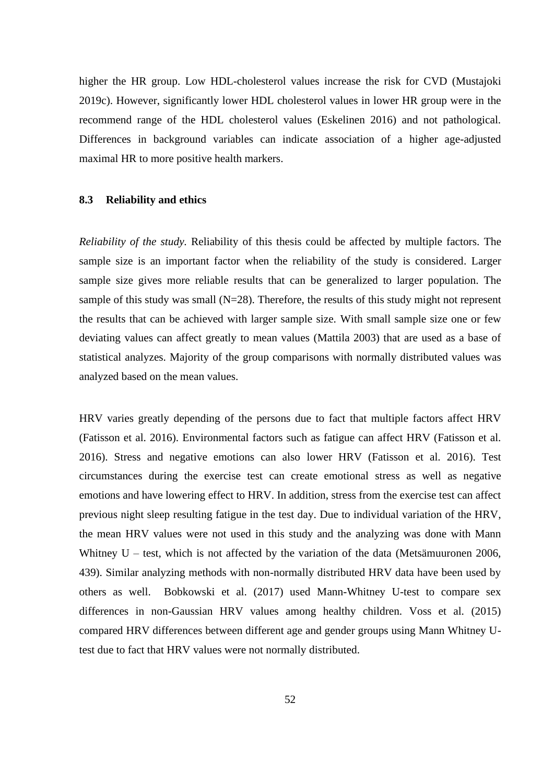higher the HR group. Low HDL-cholesterol values increase the risk for CVD (Mustajoki 2019c). However, significantly lower HDL cholesterol values in lower HR group were in the recommend range of the HDL cholesterol values (Eskelinen 2016) and not pathological. Differences in background variables can indicate association of a higher age-adjusted maximal HR to more positive health markers.

## **8.3 Reliability and ethics**

*Reliability of the study.* Reliability of this thesis could be affected by multiple factors. The sample size is an important factor when the reliability of the study is considered. Larger sample size gives more reliable results that can be generalized to larger population. The sample of this study was small  $(N=28)$ . Therefore, the results of this study might not represent the results that can be achieved with larger sample size. With small sample size one or few deviating values can affect greatly to mean values (Mattila 2003) that are used as a base of statistical analyzes. Majority of the group comparisons with normally distributed values was analyzed based on the mean values.

HRV varies greatly depending of the persons due to fact that multiple factors affect HRV (Fatisson et al. 2016). Environmental factors such as fatigue can affect HRV (Fatisson et al. 2016). Stress and negative emotions can also lower HRV (Fatisson et al. 2016). Test circumstances during the exercise test can create emotional stress as well as negative emotions and have lowering effect to HRV. In addition, stress from the exercise test can affect previous night sleep resulting fatigue in the test day. Due to individual variation of the HRV, the mean HRV values were not used in this study and the analyzing was done with Mann Whitney  $U$  – test, which is not affected by the variation of the data (Metsämuuronen 2006, 439). Similar analyzing methods with non-normally distributed HRV data have been used by others as well. Bobkowski et al. (2017) used Mann-Whitney U-test to compare sex differences in non-Gaussian HRV values among healthy children. Voss et al. (2015) compared HRV differences between different age and gender groups using Mann Whitney Utest due to fact that HRV values were not normally distributed.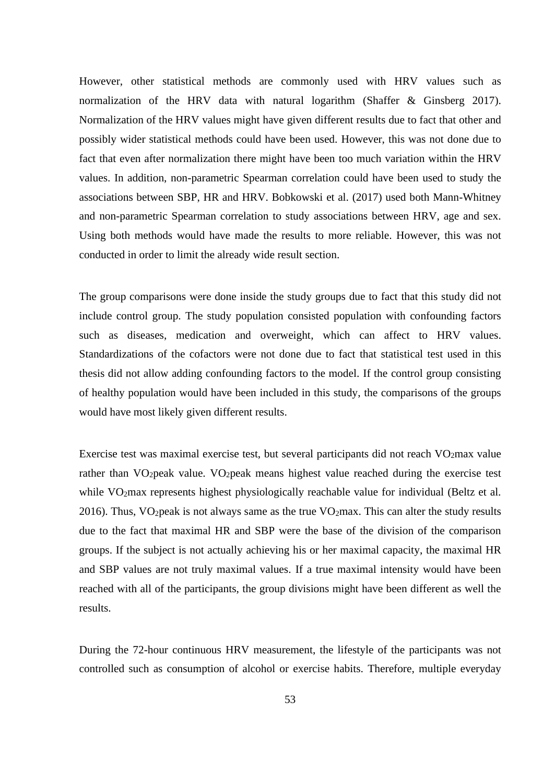However, other statistical methods are commonly used with HRV values such as normalization of the HRV data with natural logarithm (Shaffer & Ginsberg 2017). Normalization of the HRV values might have given different results due to fact that other and possibly wider statistical methods could have been used. However, this was not done due to fact that even after normalization there might have been too much variation within the HRV values. In addition, non-parametric Spearman correlation could have been used to study the associations between SBP, HR and HRV. Bobkowski et al. (2017) used both Mann-Whitney and non-parametric Spearman correlation to study associations between HRV, age and sex. Using both methods would have made the results to more reliable. However, this was not conducted in order to limit the already wide result section.

The group comparisons were done inside the study groups due to fact that this study did not include control group. The study population consisted population with confounding factors such as diseases, medication and overweight, which can affect to HRV values. Standardizations of the cofactors were not done due to fact that statistical test used in this thesis did not allow adding confounding factors to the model. If the control group consisting of healthy population would have been included in this study, the comparisons of the groups would have most likely given different results.

Exercise test was maximal exercise test, but several participants did not reach VO2max value rather than VO<sub>2</sub>peak value. VO<sub>2</sub>peak means highest value reached during the exercise test while VO<sub>2</sub>max represents highest physiologically reachable value for individual (Beltz et al. 2016). Thus, VO<sub>2</sub>peak is not always same as the true VO<sub>2</sub>max. This can alter the study results due to the fact that maximal HR and SBP were the base of the division of the comparison groups. If the subject is not actually achieving his or her maximal capacity, the maximal HR and SBP values are not truly maximal values. If a true maximal intensity would have been reached with all of the participants, the group divisions might have been different as well the results.

During the 72-hour continuous HRV measurement, the lifestyle of the participants was not controlled such as consumption of alcohol or exercise habits. Therefore, multiple everyday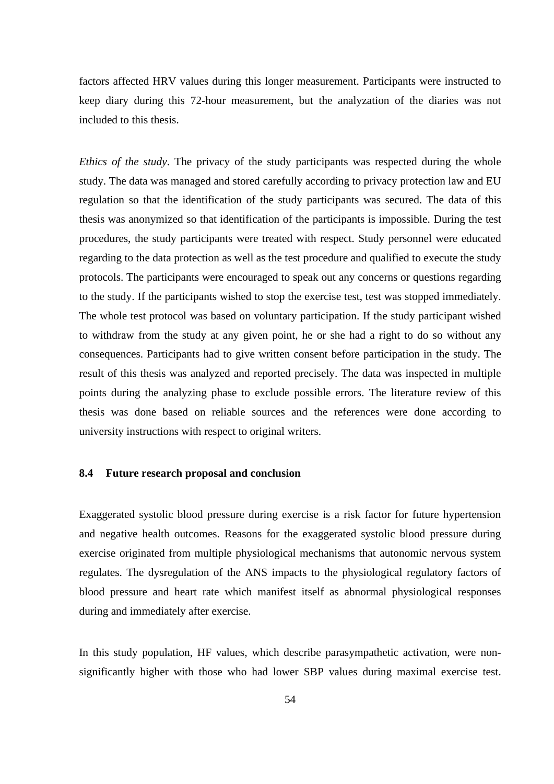factors affected HRV values during this longer measurement. Participants were instructed to keep diary during this 72-hour measurement, but the analyzation of the diaries was not included to this thesis.

*Ethics of the study*. The privacy of the study participants was respected during the whole study. The data was managed and stored carefully according to privacy protection law and EU regulation so that the identification of the study participants was secured. The data of this thesis was anonymized so that identification of the participants is impossible. During the test procedures, the study participants were treated with respect. Study personnel were educated regarding to the data protection as well as the test procedure and qualified to execute the study protocols. The participants were encouraged to speak out any concerns or questions regarding to the study. If the participants wished to stop the exercise test, test was stopped immediately. The whole test protocol was based on voluntary participation. If the study participant wished to withdraw from the study at any given point, he or she had a right to do so without any consequences. Participants had to give written consent before participation in the study. The result of this thesis was analyzed and reported precisely. The data was inspected in multiple points during the analyzing phase to exclude possible errors. The literature review of this thesis was done based on reliable sources and the references were done according to university instructions with respect to original writers.

### **8.4 Future research proposal and conclusion**

Exaggerated systolic blood pressure during exercise is a risk factor for future hypertension and negative health outcomes. Reasons for the exaggerated systolic blood pressure during exercise originated from multiple physiological mechanisms that autonomic nervous system regulates. The dysregulation of the ANS impacts to the physiological regulatory factors of blood pressure and heart rate which manifest itself as abnormal physiological responses during and immediately after exercise.

In this study population, HF values, which describe parasympathetic activation, were nonsignificantly higher with those who had lower SBP values during maximal exercise test.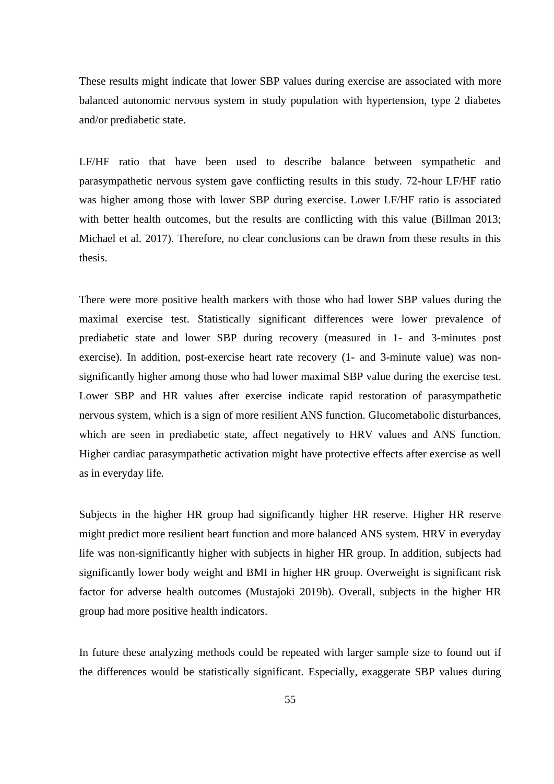These results might indicate that lower SBP values during exercise are associated with more balanced autonomic nervous system in study population with hypertension, type 2 diabetes and/or prediabetic state.

LF/HF ratio that have been used to describe balance between sympathetic and parasympathetic nervous system gave conflicting results in this study. 72-hour LF/HF ratio was higher among those with lower SBP during exercise. Lower LF/HF ratio is associated with better health outcomes, but the results are conflicting with this value (Billman 2013; Michael et al. 2017). Therefore, no clear conclusions can be drawn from these results in this thesis.

There were more positive health markers with those who had lower SBP values during the maximal exercise test. Statistically significant differences were lower prevalence of prediabetic state and lower SBP during recovery (measured in 1- and 3-minutes post exercise). In addition, post-exercise heart rate recovery (1- and 3-minute value) was nonsignificantly higher among those who had lower maximal SBP value during the exercise test. Lower SBP and HR values after exercise indicate rapid restoration of parasympathetic nervous system, which is a sign of more resilient ANS function. Glucometabolic disturbances, which are seen in prediabetic state, affect negatively to HRV values and ANS function. Higher cardiac parasympathetic activation might have protective effects after exercise as well as in everyday life.

Subjects in the higher HR group had significantly higher HR reserve. Higher HR reserve might predict more resilient heart function and more balanced ANS system. HRV in everyday life was non-significantly higher with subjects in higher HR group. In addition, subjects had significantly lower body weight and BMI in higher HR group. Overweight is significant risk factor for adverse health outcomes (Mustajoki 2019b). Overall, subjects in the higher HR group had more positive health indicators.

In future these analyzing methods could be repeated with larger sample size to found out if the differences would be statistically significant. Especially, exaggerate SBP values during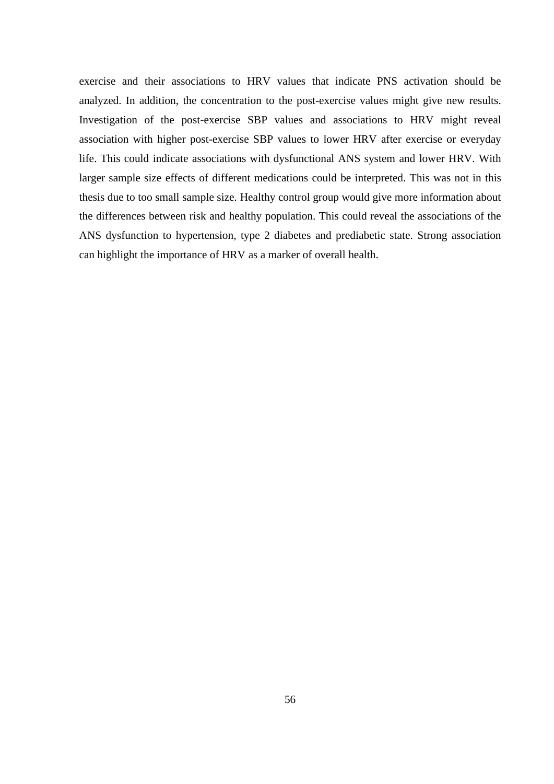exercise and their associations to HRV values that indicate PNS activation should be analyzed. In addition, the concentration to the post-exercise values might give new results. Investigation of the post-exercise SBP values and associations to HRV might reveal association with higher post-exercise SBP values to lower HRV after exercise or everyday life. This could indicate associations with dysfunctional ANS system and lower HRV. With larger sample size effects of different medications could be interpreted. This was not in this thesis due to too small sample size. Healthy control group would give more information about the differences between risk and healthy population. This could reveal the associations of the ANS dysfunction to hypertension, type 2 diabetes and prediabetic state. Strong association can highlight the importance of HRV as a marker of overall health.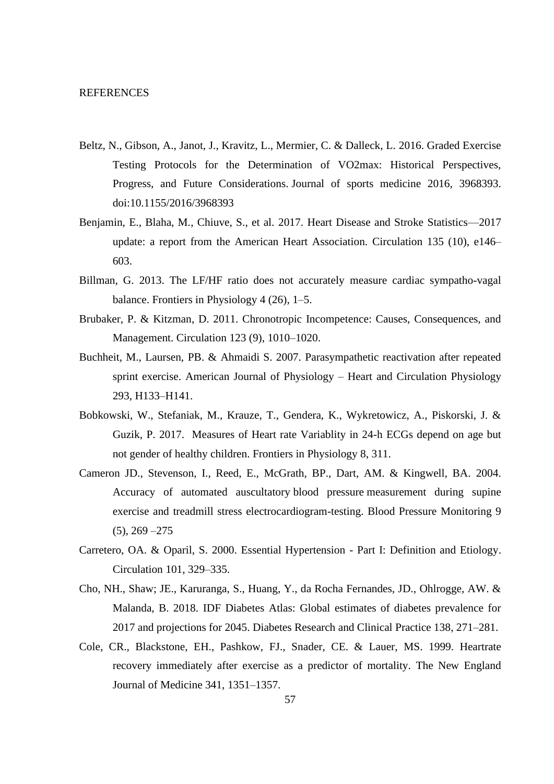- Beltz, N., Gibson, A., Janot, J., Kravitz, L., Mermier, C. & Dalleck, L. 2016. Graded Exercise Testing Protocols for the Determination of VO2max: Historical Perspectives, Progress, and Future Considerations. Journal of sports medicine 2016, 3968393. doi:10.1155/2016/3968393
- Benjamin, E., Blaha, M., Chiuve, S., et al. 2017. Heart Disease and Stroke Statistics—2017 update: a report from the American Heart Association. Circulation 135 (10), e146– 603.
- Billman, G. 2013. The LF/HF ratio does not accurately measure cardiac sympatho-vagal balance. Frontiers in Physiology 4 (26), 1–5.
- Brubaker, P. & Kitzman, D. 2011. Chronotropic Incompetence: Causes, Consequences, and Management. Circulation 123 (9), 1010–1020.
- Buchheit, M., Laursen, PB. & Ahmaidi S. 2007. Parasympathetic reactivation after repeated sprint exercise. American Journal of Physiology – Heart and Circulation Physiology 293, H133–H141.
- Bobkowski, W., Stefaniak, M., Krauze, T., Gendera, K., Wykretowicz, A., Piskorski, J. & Guzik, P. 2017. Measures of Heart rate Variablity in 24-h ECGs depend on age but not gender of healthy children. Frontiers in Physiology 8, 311.
- Cameron JD., Stevenson, I., Reed, E., McGrath, BP., Dart, AM. & Kingwell, BA. 2004. Accuracy of automated auscultatory blood pressure measurement during supine exercise and treadmill stress electrocardiogram-testing. Blood Pressure Monitoring 9  $(5)$ , 269  $-275$
- Carretero, OA. & Oparil, S. 2000. Essential Hypertension Part I: Definition and Etiology. Circulation 101, 329–335.
- Cho, NH., Shaw; JE., Karuranga, S., Huang, Y., da Rocha Fernandes, JD., Ohlrogge, AW. & Malanda, B. 2018. IDF Diabetes Atlas: Global estimates of diabetes prevalence for 2017 and projections for 2045. Diabetes Research and Clinical Practice 138, 271–281.
- Cole, CR., Blackstone, EH., Pashkow, FJ., Snader, CE. & Lauer, MS. 1999. Heartrate recovery immediately after exercise as a predictor of mortality. The New England Journal of Medicine 341, 1351–1357.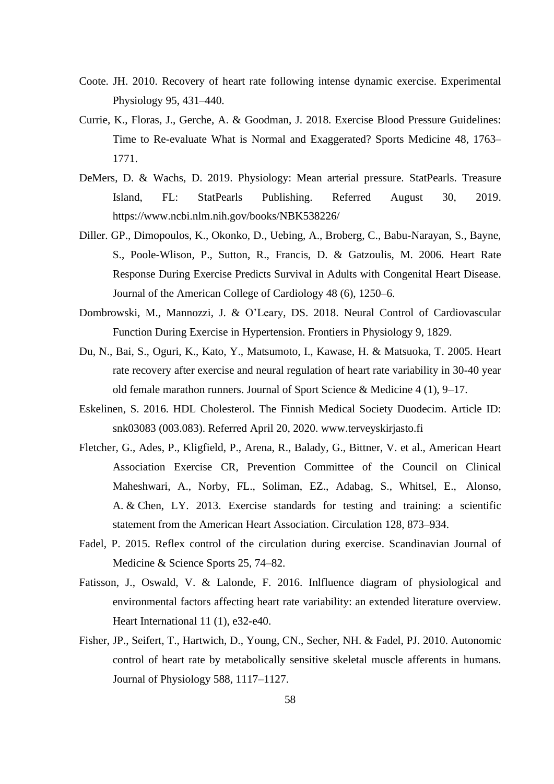- Coote. JH. 2010. Recovery of heart rate following intense dynamic exercise. Experimental Physiology 95, 431–440.
- Currie, K., Floras, J., Gerche, A. & Goodman, J. 2018. Exercise Blood Pressure Guidelines: Time to Re-evaluate What is Normal and Exaggerated? Sports Medicine 48, 1763– 1771.
- DeMers, D. & Wachs, D. 2019. Physiology: Mean arterial pressure. StatPearls. Treasure Island, FL: StatPearls Publishing. Referred August 30, 2019. <https://www.ncbi.nlm.nih.gov/books/NBK538226/>
- Diller. GP., Dimopoulos, K., Okonko, D., Uebing, A., Broberg, C., Babu-Narayan, S., Bayne, S., Poole-Wlison, P., Sutton, R., Francis, D. & Gatzoulis, M. 2006. Heart Rate Response During Exercise Predicts Survival in Adults with Congenital Heart Disease. Journal of the American College of Cardiology 48 (6), 1250–6.
- Dombrowski, M., Mannozzi, J. & O'Leary, DS. 2018. Neural Control of Cardiovascular Function During Exercise in Hypertension. Frontiers in Physiology 9, 1829.
- Du, N., Bai, S., Oguri, K., Kato, Y., Matsumoto, I., Kawase, H. & Matsuoka, T. 2005. Heart rate recovery after exercise and neural regulation of heart rate variability in 30-40 year old female marathon runners. Journal of Sport Science & Medicine 4 (1), 9–17.
- Eskelinen, S. 2016. HDL Cholesterol. The Finnish Medical Society Duodecim. Article ID: snk03083 (003.083). Referred April 20, 2020. [www.terveyskirjasto.fi](http://www.terveyskirjasto.fi/)
- Fletcher, G., Ades, P., Kligfield, P., Arena, R., Balady, G., Bittner, V. et al., American Heart Association Exercise CR, Prevention Committee of the Council on Clinical Maheshwari, A., Norby, FL., Soliman, EZ., [Adabag,](https://www.ncbi.nlm.nih.gov/pubmed/?term=Adabag%20S%5BAuthor%5D&cauthor=true&cauthor_uid=27551828) S., [Whitsel,](https://www.ncbi.nlm.nih.gov/pubmed/?term=Whitsel%20EA%5BAuthor%5D&cauthor=true&cauthor_uid=27551828) E., [Alonso,](https://www.ncbi.nlm.nih.gov/pubmed/?term=Alonso%20A%5BAuthor%5D&cauthor=true&cauthor_uid=27551828) A. & [Chen,](https://www.ncbi.nlm.nih.gov/pubmed/?term=Chen%20LY%5BAuthor%5D&cauthor=true&cauthor_uid=27551828) LY. 2013. Exercise standards for testing and training: a scientific statement from the American Heart Association. Circulation 128, 873–934.
- Fadel, P. 2015. Reflex control of the circulation during exercise. Scandinavian Journal of Medicine & Science Sports 25, 74–82.
- Fatisson, J., Oswald, V. & Lalonde, F. 2016. Inlfluence diagram of physiological and environmental factors affecting heart rate variability: an extended literature overview. Heart International 11 (1), e32-e40.
- Fisher, JP., Seifert, T., Hartwich, D., Young, CN., Secher, NH. & Fadel, PJ. 2010. Autonomic control of heart rate by metabolically sensitive skeletal muscle afferents in humans. Journal of Physiology 588, 1117–1127.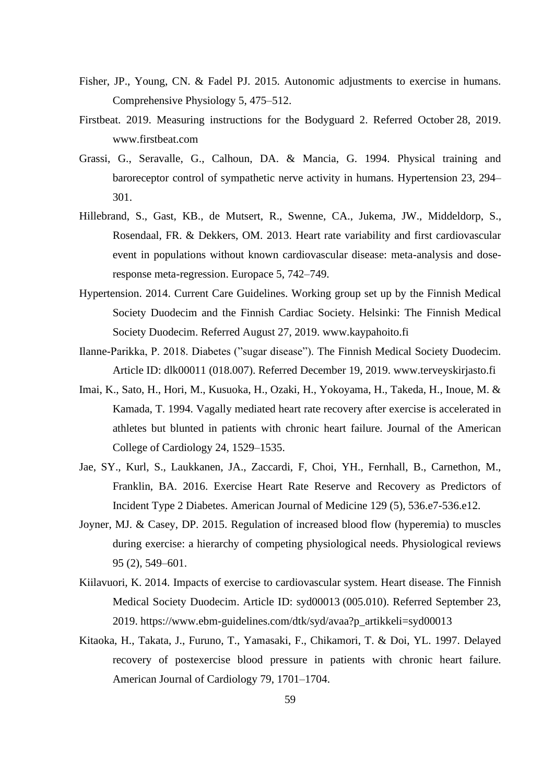- Fisher, JP., Young, CN. & Fadel PJ. 2015. Autonomic adjustments to exercise in humans. Comprehensive Physiology 5, 475–512.
- Firstbeat. 2019. Measuring instructions for the Bodyguard 2. Referred October 28, 2019. [www.firstbeat.com](http://www.firstbeat.com/)
- Grassi, G., Seravalle, G., Calhoun, DA. & Mancia, G. 1994. Physical training and baroreceptor control of sympathetic nerve activity in humans. Hypertension 23, 294– 301.
- Hillebrand, S., Gast, KB., de Mutsert, R., Swenne, CA., Jukema, JW., Middeldorp, S., Rosendaal, FR. & Dekkers, OM. 2013. Heart rate variability and first cardiovascular event in populations without known cardiovascular disease: meta-analysis and doseresponse meta-regression. Europace 5, 742–749.
- Hypertension. 2014. Current Care Guidelines. Working group set up by the Finnish Medical Society Duodecim and the Finnish Cardiac Society. Helsinki: The Finnish Medical Society Duodecim. Referred August 27, 2019. [www.kaypahoito.fi](http://www.kaypahoito.fi/)
- Ilanne-Parikka, P. 2018. Diabetes ("sugar disease"). The Finnish Medical Society Duodecim. Article ID: dlk00011 (018.007). Referred December 19, 2019. [www.terveyskirjasto.fi](http://www.terveyskirjasto.fi/)
- Imai, K., Sato, H., Hori, M., Kusuoka, H., Ozaki, H., Yokoyama, H., Takeda, H., Inoue, M. & Kamada, T. 1994. Vagally mediated heart rate recovery after exercise is accelerated in athletes but blunted in patients with chronic heart failure. Journal of the American College of Cardiology 24, 1529–1535.
- Jae, SY., Kurl, S., Laukkanen, JA., Zaccardi, F, Choi, YH., Fernhall, B., Carnethon, M., Franklin, BA. 2016. Exercise Heart Rate Reserve and Recovery as Predictors of Incident Type 2 Diabetes. American Journal of Medicine 129 (5), 536.e7-536.e12.
- Joyner, MJ. & Casey, DP. 2015. Regulation of increased blood flow (hyperemia) to muscles during exercise: a hierarchy of competing physiological needs. Physiological reviews 95 (2), 549–601.
- Kiilavuori, K. 2014. Impacts of exercise to cardiovascular system. Heart disease. The Finnish Medical Society Duodecim. Article ID: syd00013 (005.010). Referred September 23, 2019. [https://www.ebm-guidelines.com/dtk/syd/avaa?p\\_artikkeli=syd00013](https://www.ebm-guidelines.com/dtk/syd/avaa?p_artikkeli=syd00013)
- Kitaoka, H., Takata, J., Furuno, T., Yamasaki, F., Chikamori, T. & Doi, YL. 1997. Delayed recovery of postexercise blood pressure in patients with chronic heart failure. American Journal of Cardiology 79, 1701–1704.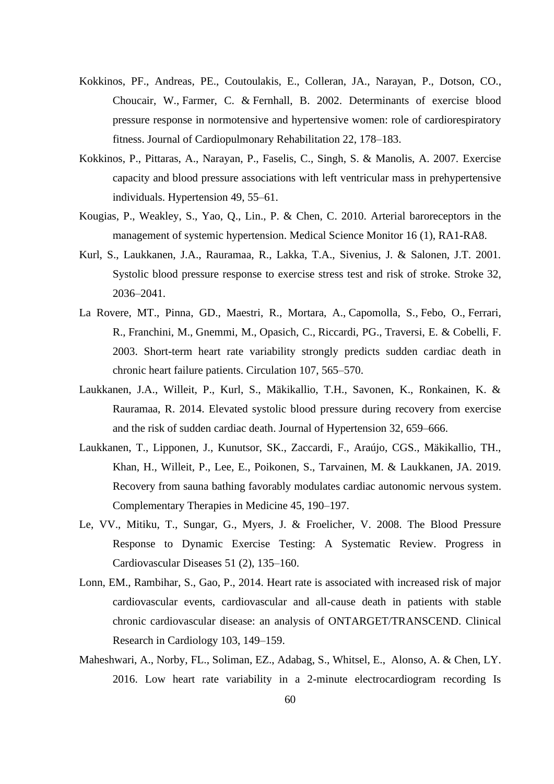- Kokkinos, PF., Andreas, PE., Coutoulakis, E., Colleran, JA., Narayan, P., Dotson, CO., [Choucair,](https://www.ncbi.nlm.nih.gov/pubmed/?term=Choucair%20W%5BAuthor%5D&cauthor=true&cauthor_uid=12042686) W., [Farmer,](https://www.ncbi.nlm.nih.gov/pubmed/?term=Farmer%20C%5BAuthor%5D&cauthor=true&cauthor_uid=12042686) C. & [Fernhall,](https://www.ncbi.nlm.nih.gov/pubmed/?term=Fernhall%20B%5BAuthor%5D&cauthor=true&cauthor_uid=12042686) B. 2002. Determinants of exercise blood pressure response in normotensive and hypertensive women: role of cardiorespiratory fitness. Journal of Cardiopulmonary Rehabilitation 22, 178–183.
- Kokkinos, P., Pittaras, A., Narayan, P., Faselis, C., Singh, S. & Manolis, A. 2007. Exercise capacity and blood pressure associations with left ventricular mass in prehypertensive individuals. Hypertension 49, 55–61.
- Kougias, P., Weakley, S., Yao, Q., Lin., P. & Chen, C. 2010. Arterial baroreceptors in the management of systemic hypertension. Medical Science Monitor 16 (1), RA1-RA8.
- Kurl, S., Laukkanen, J.A., Rauramaa, R., Lakka, T.A., Sivenius, J. & Salonen, J.T. 2001. Systolic blood pressure response to exercise stress test and risk of stroke. Stroke 32, 2036–2041.
- La Rovere, MT., Pinna, GD., Maestri, R., [Mortara,](https://www.ncbi.nlm.nih.gov/pubmed/?term=Mortara%20A%5BAuthor%5D&cauthor=true&cauthor_uid=12566367) A., [Capomolla,](https://www.ncbi.nlm.nih.gov/pubmed/?term=Capomolla%20S%5BAuthor%5D&cauthor=true&cauthor_uid=12566367) S., [Febo,](https://www.ncbi.nlm.nih.gov/pubmed/?term=Febo%20O%5BAuthor%5D&cauthor=true&cauthor_uid=12566367) O., [Ferrari,](https://www.ncbi.nlm.nih.gov/pubmed/?term=Ferrari%20R%5BAuthor%5D&cauthor=true&cauthor_uid=12566367) [R.](https://www.ncbi.nlm.nih.gov/pubmed/?term=Ferrari%20R%5BAuthor%5D&cauthor=true&cauthor_uid=12566367), [Franchini,](https://www.ncbi.nlm.nih.gov/pubmed/?term=Franchini%20M%5BAuthor%5D&cauthor=true&cauthor_uid=12566367) M., [Gnemmi,](https://www.ncbi.nlm.nih.gov/pubmed/?term=Gnemmi%20M%5BAuthor%5D&cauthor=true&cauthor_uid=12566367) M., [Opasich, C.](https://www.ncbi.nlm.nih.gov/pubmed/?term=Opasich%20C%5BAuthor%5D&cauthor=true&cauthor_uid=12566367), [Riccardi,](https://www.ncbi.nlm.nih.gov/pubmed/?term=Riccardi%20PG%5BAuthor%5D&cauthor=true&cauthor_uid=12566367) PG., [Traversi,](https://www.ncbi.nlm.nih.gov/pubmed/?term=Traversi%20E%5BAuthor%5D&cauthor=true&cauthor_uid=12566367) E. & [Cobelli,](https://www.ncbi.nlm.nih.gov/pubmed/?term=Cobelli%20F%5BAuthor%5D&cauthor=true&cauthor_uid=12566367) F. 2003. Short-term heart rate variability strongly predicts sudden cardiac death in chronic heart failure patients. Circulation 107, 565–570.
- Laukkanen, J.A., Willeit, P., Kurl, S., Mäkikallio, T.H., Savonen, K., Ronkainen, K. & Rauramaa, R. 2014. Elevated systolic blood pressure during recovery from exercise and the risk of sudden cardiac death. Journal of Hypertension 32, 659–666.
- Laukkanen, T., Lipponen, J., Kunutsor, SK., Zaccardi, F., Araújo, CGS., Mäkikallio, TH., Khan, H., Willeit, P., Lee, E., Poikonen, S., Tarvainen, M. & Laukkanen, JA. 2019. Recovery from sauna bathing favorably modulates cardiac autonomic nervous system. Complementary Therapies in Medicine 45, 190–197.
- Le, VV., Mitiku, T., Sungar, G., Myers, J. & Froelicher, V. 2008. The Blood Pressure Response to Dynamic Exercise Testing: A Systematic Review. Progress in Cardiovascular Diseases 51 (2), 135–160.
- Lonn, EM., Rambihar, S., Gao, P., 2014. Heart rate is associated with increased risk of major cardiovascular events, cardiovascular and all-cause death in patients with stable chronic cardiovascular disease: an analysis of ONTARGET/TRANSCEND. Clinical Research in Cardiology 103, 149–159.
- Maheshwari, A., Norby, FL., Soliman, EZ., [Adabag,](https://www.ncbi.nlm.nih.gov/pubmed/?term=Adabag%20S%5BAuthor%5D&cauthor=true&cauthor_uid=27551828) S., [Whitsel,](https://www.ncbi.nlm.nih.gov/pubmed/?term=Whitsel%20EA%5BAuthor%5D&cauthor=true&cauthor_uid=27551828) E., [Alonso,](https://www.ncbi.nlm.nih.gov/pubmed/?term=Alonso%20A%5BAuthor%5D&cauthor=true&cauthor_uid=27551828) A. & [Chen,](https://www.ncbi.nlm.nih.gov/pubmed/?term=Chen%20LY%5BAuthor%5D&cauthor=true&cauthor_uid=27551828) LY. 2016. Low heart rate variability in a 2-minute electrocardiogram recording Is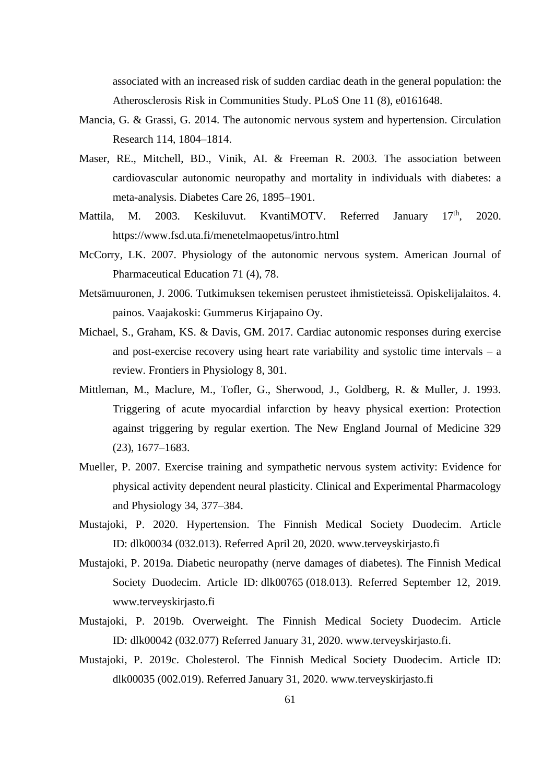associated with an increased risk of sudden cardiac death in the general population: the Atherosclerosis Risk in Communities Study. PLoS One 11 (8), e0161648.

- Mancia, G. & Grassi, G. 2014. The autonomic nervous system and hypertension. Circulation Research 114, 1804–1814.
- Maser, RE., Mitchell, BD., Vinik, AI. & Freeman R. 2003. The association between cardiovascular autonomic neuropathy and mortality in individuals with diabetes: a meta-analysis. Diabetes Care 26, 1895–1901.
- Mattila, M. 2003. Keskiluvut. KvantiMOTV. Referred January 17<sup>th</sup>, , 2020. <https://www.fsd.uta.fi/menetelmaopetus/intro.html>
- McCorry, LK. 2007. Physiology of the autonomic nervous system. American Journal of Pharmaceutical Education 71 (4), 78.
- Metsämuuronen, J. 2006. Tutkimuksen tekemisen perusteet ihmistieteissä. Opiskelijalaitos. 4. painos. Vaajakoski: Gummerus Kirjapaino Oy.
- Michael, S., Graham, KS. & Davis, GM. 2017. Cardiac autonomic responses during exercise and post-exercise recovery using heart rate variability and systolic time intervals – a review. Frontiers in Physiology 8, 301.
- Mittleman, M., Maclure, M., Tofler, G., Sherwood, J., Goldberg, R. & Muller, J. 1993. Triggering of acute myocardial infarction by heavy physical exertion: Protection against triggering by regular exertion. The New England Journal of Medicine 329 (23), 1677–1683.
- Mueller, P. 2007. Exercise training and sympathetic nervous system activity: Evidence for physical activity dependent neural plasticity. Clinical and Experimental Pharmacology and Physiology 34, 377–384.
- Mustajoki, P. 2020. Hypertension. The Finnish Medical Society Duodecim. Article ID: dlk00034 (032.013). Referred April 20, 2020. [www.terveyskirjasto.fi](http://www.terveyskirjasto.fi/)
- Mustajoki, P. 2019a. Diabetic neuropathy (nerve damages of diabetes). The Finnish Medical Society Duodecim. Article ID: dlk00765 (018.013). Referred September 12, 2019. [www.terveyskirjasto.fi](http://www.terveyskirjasto.fi/)
- Mustajoki, P. 2019b. Overweight. The Finnish Medical Society Duodecim. Article ID: dlk00042 (032.077) Referred January 31, 2020. [www.terveyskirjasto.fi.](http://www.terveyskirjasto.fi/)
- Mustajoki, P. 2019c. Cholesterol. The Finnish Medical Society Duodecim. Article ID: dlk00035 (002.019). Referred January 31, 2020. [www.terveyskirjasto.fi](http://www.terveyskirjasto.fi/)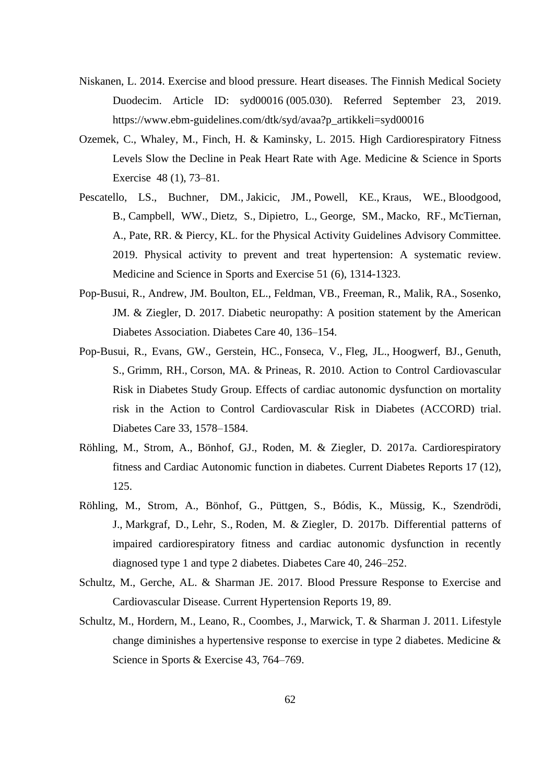- Niskanen, L. 2014. Exercise and blood pressure. Heart diseases. The Finnish Medical Society Duodecim. Article ID: syd00016 (005.030). Referred September 23, 2019. [https://www.ebm-guidelines.com/dtk/syd/avaa?p\\_artikkeli=syd00016](https://www.ebm-guidelines.com/dtk/syd/avaa?p_artikkeli=syd00016)
- Ozemek, C., Whaley, M., Finch, H. & Kaminsky, L. 2015. High Cardiorespiratory Fitness Levels Slow the Decline in Peak Heart Rate with Age. Medicine & Science in Sports Exercise 48 (1), 73–81.
- Pescatello, LS., [Buchner, DM.](https://www.ncbi.nlm.nih.gov/pubmed/?term=Buchner%20DM%5BAuthor%5D&cauthor=true&cauthor_uid=31095088), [Jakicic,](https://www.ncbi.nlm.nih.gov/pubmed/?term=Jakicic%20JM%5BAuthor%5D&cauthor=true&cauthor_uid=31095088) JM., [Powell,](https://www.ncbi.nlm.nih.gov/pubmed/?term=Powell%20KE%5BAuthor%5D&cauthor=true&cauthor_uid=31095088) KE., [Kraus, WE.](https://www.ncbi.nlm.nih.gov/pubmed/?term=Kraus%20WE%5BAuthor%5D&cauthor=true&cauthor_uid=31095088), [Bloodgood,](https://www.ncbi.nlm.nih.gov/pubmed/?term=Bloodgood%20B%5BAuthor%5D&cauthor=true&cauthor_uid=31095088) [B.](https://www.ncbi.nlm.nih.gov/pubmed/?term=Bloodgood%20B%5BAuthor%5D&cauthor=true&cauthor_uid=31095088), [Campbell,](https://www.ncbi.nlm.nih.gov/pubmed/?term=Campbell%20WW%5BAuthor%5D&cauthor=true&cauthor_uid=31095088) WW., [Dietz,](https://www.ncbi.nlm.nih.gov/pubmed/?term=Dietz%20S%5BAuthor%5D&cauthor=true&cauthor_uid=31095088) S., [Dipietro,](https://www.ncbi.nlm.nih.gov/pubmed/?term=Dipietro%20L%5BAuthor%5D&cauthor=true&cauthor_uid=31095088) L., [George,](https://www.ncbi.nlm.nih.gov/pubmed/?term=George%20SM%5BAuthor%5D&cauthor=true&cauthor_uid=31095088) SM., [Macko,](https://www.ncbi.nlm.nih.gov/pubmed/?term=Macko%20RF%5BAuthor%5D&cauthor=true&cauthor_uid=31095088) RF., [McTiernan,](https://www.ncbi.nlm.nih.gov/pubmed/?term=McTiernan%20A%5BAuthor%5D&cauthor=true&cauthor_uid=31095088) [A.](https://www.ncbi.nlm.nih.gov/pubmed/?term=McTiernan%20A%5BAuthor%5D&cauthor=true&cauthor_uid=31095088), [Pate,](https://www.ncbi.nlm.nih.gov/pubmed/?term=Pate%20RR%5BAuthor%5D&cauthor=true&cauthor_uid=31095088) RR. & [Piercy,](https://www.ncbi.nlm.nih.gov/pubmed/?term=Piercy%20KL%5BAuthor%5D&cauthor=true&cauthor_uid=31095088) KL. [for the Physical Activity Guidelines Advisory Committee.](https://www.ncbi.nlm.nih.gov/pubmed/?term=2018%20PHYSICAL%20ACTIVITY%20GUIDELINES%20ADVISORY%20COMMITTEE*%5BCorporate%20Author%5D)  [2019. P](https://www.ncbi.nlm.nih.gov/pubmed/?term=2018%20PHYSICAL%20ACTIVITY%20GUIDELINES%20ADVISORY%20COMMITTEE*%5BCorporate%20Author%5D)hysical activity to prevent and treat hypertension: A systematic review. Medicine and Science in Sports and Exercise 51 (6), 1314-1323.
- Pop-Busui, R., Andrew, JM. Boulton, EL., Feldman, VB., Freeman, R., Malik, RA., Sosenko, JM. & Ziegler, D. 2017. Diabetic neuropathy: A position statement by the American Diabetes Association. Diabetes Care 40, 136–154.
- Pop-Busui, R., Evans, GW., Gerstein, HC., [Fonseca,](https://www.ncbi.nlm.nih.gov/pubmed/?term=Fonseca%20V%5BAuthor%5D&cauthor=true&cauthor_uid=20215456) V., [Fleg,](https://www.ncbi.nlm.nih.gov/pubmed/?term=Fleg%20JL%5BAuthor%5D&cauthor=true&cauthor_uid=20215456) JL., [Hoogwerf,](https://www.ncbi.nlm.nih.gov/pubmed/?term=Hoogwerf%20BJ%5BAuthor%5D&cauthor=true&cauthor_uid=20215456) BJ., [Genuth,](https://www.ncbi.nlm.nih.gov/pubmed/?term=Genuth%20S%5BAuthor%5D&cauthor=true&cauthor_uid=20215456) [S.](https://www.ncbi.nlm.nih.gov/pubmed/?term=Genuth%20S%5BAuthor%5D&cauthor=true&cauthor_uid=20215456), [Grimm,](https://www.ncbi.nlm.nih.gov/pubmed/?term=Grimm%20RH%5BAuthor%5D&cauthor=true&cauthor_uid=20215456) RH., [Corson,](https://www.ncbi.nlm.nih.gov/pubmed/?term=Corson%20MA%5BAuthor%5D&cauthor=true&cauthor_uid=20215456) MA. & [Prineas,](https://www.ncbi.nlm.nih.gov/pubmed/?term=Prineas%20R%5BAuthor%5D&cauthor=true&cauthor_uid=20215456) R. 2010. Action to Control Cardiovascular Risk in Diabetes Study Group. Effects of cardiac autonomic dysfunction on mortality risk in the Action to Control Cardiovascular Risk in Diabetes (ACCORD) trial. Diabetes Care 33, 1578–1584.
- Röhling, M., Strom, A., Bönhof, GJ., Roden, M. & Ziegler, D. 2017a. Cardiorespiratory fitness and Cardiac Autonomic function in diabetes. Current Diabetes Reports 17 (12), 125.
- Röhling, M., Strom, A., Bönhof, G., Püttgen, S., Bódis, K., Müssig, K., [Szendrödi,](https://www.ncbi.nlm.nih.gov/pubmed/?term=Szendr%C3%B6di%20J%5BAuthor%5D&cauthor=true&cauthor_uid=27899499) [J.](https://www.ncbi.nlm.nih.gov/pubmed/?term=Szendr%C3%B6di%20J%5BAuthor%5D&cauthor=true&cauthor_uid=27899499), [Markgraf,](https://www.ncbi.nlm.nih.gov/pubmed/?term=Markgraf%20D%5BAuthor%5D&cauthor=true&cauthor_uid=27899499) D., [Lehr,](https://www.ncbi.nlm.nih.gov/pubmed/?term=Lehr%20S%5BAuthor%5D&cauthor=true&cauthor_uid=27899499) S., [Roden,](https://www.ncbi.nlm.nih.gov/pubmed/?term=Roden%20M%5BAuthor%5D&cauthor=true&cauthor_uid=27899499) M. & [Ziegler,](https://www.ncbi.nlm.nih.gov/pubmed/?term=Ziegler%20D%5BAuthor%5D&cauthor=true&cauthor_uid=27899499) D. 2017b. Differential patterns of impaired cardiorespiratory fitness and cardiac autonomic dysfunction in recently diagnosed type 1 and type 2 diabetes. Diabetes Care 40, 246–252.
- Schultz, M., Gerche, AL. & Sharman JE. 2017. Blood Pressure Response to Exercise and Cardiovascular Disease. Current Hypertension Reports 19, 89.
- Schultz, M., Hordern, M., Leano, R., Coombes, J., Marwick, T. & Sharman J. 2011. Lifestyle change diminishes a hypertensive response to exercise in type 2 diabetes. Medicine & Science in Sports & Exercise 43, 764–769.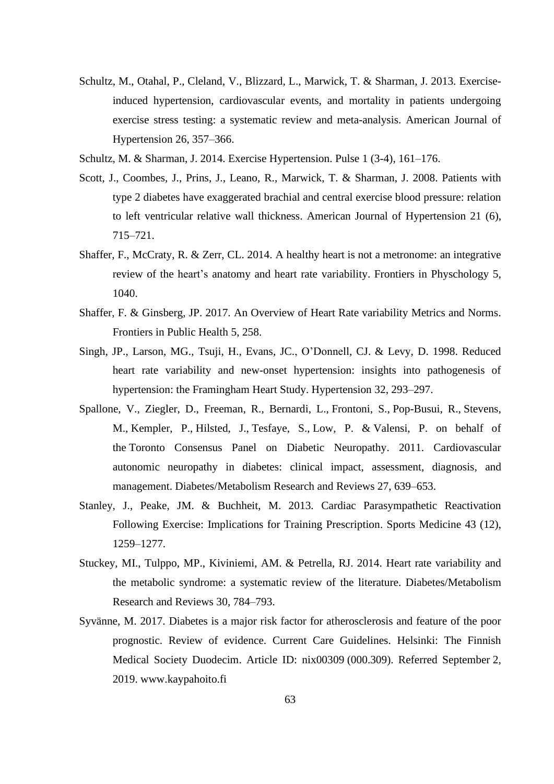- Schultz, M., Otahal, P., Cleland, V., Blizzard, L., Marwick, T. & Sharman, J. 2013. Exerciseinduced hypertension, cardiovascular events, and mortality in patients undergoing exercise stress testing: a systematic review and meta-analysis. American Journal of Hypertension 26, 357–366.
- Schultz, M. & Sharman, J. 2014. Exercise Hypertension. Pulse 1 (3-4), 161–176.
- Scott, J., Coombes, J., Prins, J., Leano, R., Marwick, T. & Sharman, J. 2008. Patients with type 2 diabetes have exaggerated brachial and central exercise blood pressure: relation to left ventricular relative wall thickness. American Journal of Hypertension 21 (6), 715–721.
- Shaffer, F., McCraty, R. & Zerr, CL. 2014. A healthy heart is not a metronome: an integrative review of the heart's anatomy and heart rate variability. Frontiers in Physchology 5, 1040.
- Shaffer, F. & Ginsberg, JP. 2017. An Overview of Heart Rate variability Metrics and Norms. Frontiers in Public Health 5, 258.
- Singh, JP., Larson, MG., Tsuji, H., Evans, JC., O'Donnell, CJ. & Levy, D. 1998. Reduced heart rate variability and new-onset hypertension: insights into pathogenesis of hypertension: the Framingham Heart Study. Hypertension 32, 293–297.
- Spallone, V., Ziegler, D., Freeman, R., [Bernardi,](https://www.ncbi.nlm.nih.gov/pubmed/?term=Bernardi%20L%5BAuthor%5D&cauthor=true&cauthor_uid=21695768) L., [Frontoni,](https://www.ncbi.nlm.nih.gov/pubmed/?term=Frontoni%20S%5BAuthor%5D&cauthor=true&cauthor_uid=21695768) S., [Pop-Busui,](https://www.ncbi.nlm.nih.gov/pubmed/?term=Pop-Busui%20R%5BAuthor%5D&cauthor=true&cauthor_uid=21695768) R., [Stevens,](https://www.ncbi.nlm.nih.gov/pubmed/?term=Stevens%20M%5BAuthor%5D&cauthor=true&cauthor_uid=21695768) [M.](https://www.ncbi.nlm.nih.gov/pubmed/?term=Stevens%20M%5BAuthor%5D&cauthor=true&cauthor_uid=21695768), [Kempler,](https://www.ncbi.nlm.nih.gov/pubmed/?term=Kempler%20P%5BAuthor%5D&cauthor=true&cauthor_uid=21695768) P., [Hilsted,](https://www.ncbi.nlm.nih.gov/pubmed/?term=Hilsted%20J%5BAuthor%5D&cauthor=true&cauthor_uid=21695768) J., [Tesfaye,](https://www.ncbi.nlm.nih.gov/pubmed/?term=Tesfaye%20S%5BAuthor%5D&cauthor=true&cauthor_uid=21695768) S., [Low,](https://www.ncbi.nlm.nih.gov/pubmed/?term=Low%20P%5BAuthor%5D&cauthor=true&cauthor_uid=21695768) P. & [Valensi,](https://www.ncbi.nlm.nih.gov/pubmed/?term=Valensi%20P%5BAuthor%5D&cauthor=true&cauthor_uid=21695768) P. on behalf of the [Toronto Consensus Panel on Diabetic Neuropathy.](https://www.ncbi.nlm.nih.gov/pubmed/?term=Toronto%20Consensus%20Panel%20on%20Diabetic%20Neuropathy%5BCorporate%20Author%5D) 2011. Cardiovascular autonomic neuropathy in diabetes: clinical impact, assessment, diagnosis, and management. Diabetes/Metabolism Research and Reviews 27, 639–653.
- Stanley, J., Peake, JM. & Buchheit, M. 2013. Cardiac Parasympathetic Reactivation Following Exercise: Implications for Training Prescription. Sports Medicine 43 (12), 1259–1277.
- Stuckey, MI., Tulppo, MP., Kiviniemi, AM. & Petrella, RJ. 2014. Heart rate variability and the metabolic syndrome: a systematic review of the literature. Diabetes/Metabolism Research and Reviews 30, 784–793.
- Syvänne, M. 2017. Diabetes is a major risk factor for atherosclerosis and feature of the poor prognostic. Review of evidence. Current Care Guidelines. Helsinki: The Finnish Medical Society Duodecim. Article ID: nix00309 (000.309). Referred September 2, 2019. [www.kaypahoito.fi](http://www.kaypahoito.fi/)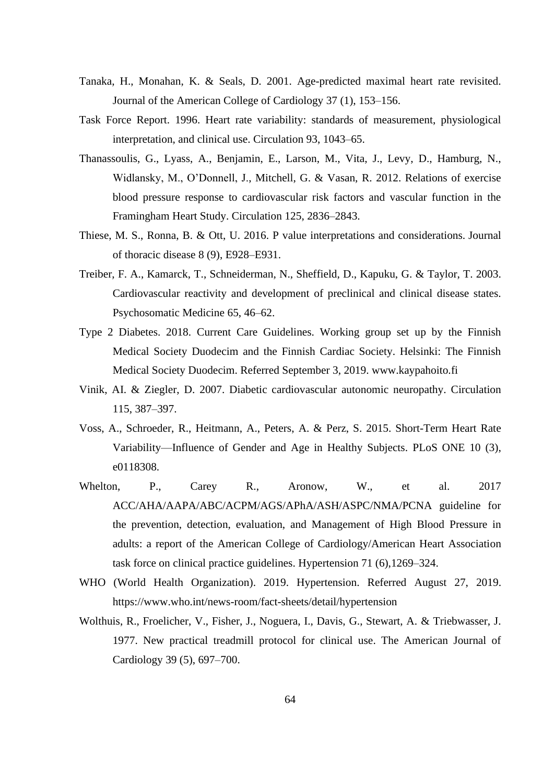- Tanaka, H., Monahan, K. & Seals, D. 2001. Age-predicted maximal heart rate revisited. Journal of the American College of Cardiology 37 (1), 153–156.
- Task Force Report. 1996. Heart rate variability: standards of measurement, physiological interpretation, and clinical use. Circulation 93, 1043–65.
- Thanassoulis, G., Lyass, A., Benjamin, E., Larson, M., Vita, J., Levy, D., Hamburg, N., Widlansky, M., O'Donnell, J., Mitchell, G. & Vasan, R. 2012. Relations of exercise blood pressure response to cardiovascular risk factors and vascular function in the Framingham Heart Study. Circulation 125, 2836–2843.
- Thiese, M. S., Ronna, B. & Ott, U. 2016. P value interpretations and considerations. Journal of thoracic disease 8 (9), E928–E931.
- Treiber, F. A., Kamarck, T., Schneiderman, N., Sheffield, D., Kapuku, G. & Taylor, T. 2003. Cardiovascular reactivity and development of preclinical and clinical disease states. Psychosomatic Medicine 65, 46–62.
- Type 2 Diabetes. 2018. Current Care Guidelines. Working group set up by the Finnish Medical Society Duodecim and the Finnish Cardiac Society. Helsinki: The Finnish Medical Society Duodecim. Referred September 3, 2019. [www.kaypahoito.fi](http://www.kaypahoito.fi/)
- Vinik, AI. & Ziegler, D. 2007. Diabetic cardiovascular autonomic neuropathy. Circulation 115, 387–397.
- Voss, A., Schroeder, R., Heitmann, A., Peters, A. & Perz, S. 2015. Short-Term Heart Rate Variability—Influence of Gender and Age in Healthy Subjects. PLoS ONE 10 (3), e0118308.
- Whelton, P., Carey R., Aronow, W., et al. 2017 ACC/AHA/AAPA/ABC/ACPM/AGS/APhA/ASH/ASPC/NMA/PCNA guideline for the prevention, detection, evaluation, and Management of High Blood Pressure in adults: a report of the American College of Cardiology/American Heart Association task force on clinical practice guidelines. Hypertension 71 (6),1269–324.
- WHO (World Health Organization). 2019. Hypertension. Referred August 27, 2019. <https://www.who.int/news-room/fact-sheets/detail/hypertension>
- Wolthuis, R., Froelicher, V., Fisher, J., Noguera, I., Davis, G., Stewart, A. & Triebwasser, J. 1977. New practical treadmill protocol for clinical use. The American Journal of Cardiology 39 (5), 697–700.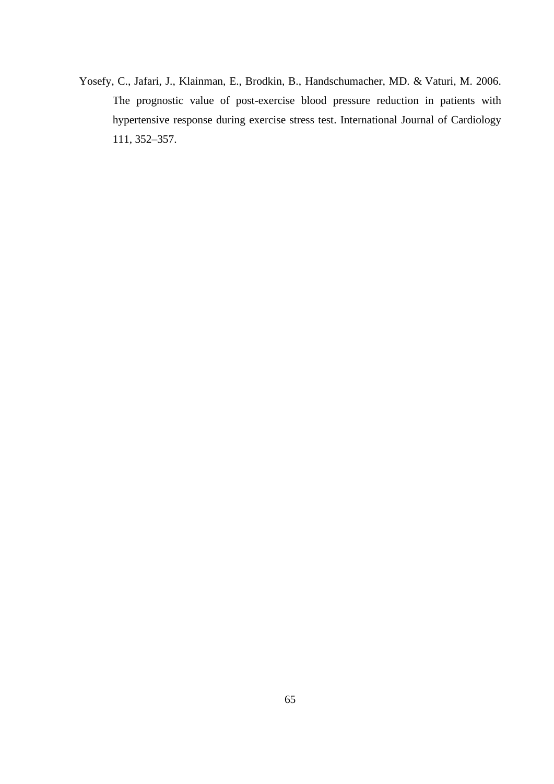Yosefy, C., Jafari, J., Klainman, E., Brodkin, B., [Handschumacher,](https://www.ncbi.nlm.nih.gov/pubmed/?term=Handschumacher%20MD%5BAuthor%5D&cauthor=true&cauthor_uid=16239041) MD. & [Vaturi,](https://www.ncbi.nlm.nih.gov/pubmed/?term=Vaturi%20M%5BAuthor%5D&cauthor=true&cauthor_uid=16239041) M. 2006. The prognostic value of post-exercise blood pressure reduction in patients with hypertensive response during exercise stress test. International Journal of Cardiology 111, 352–357.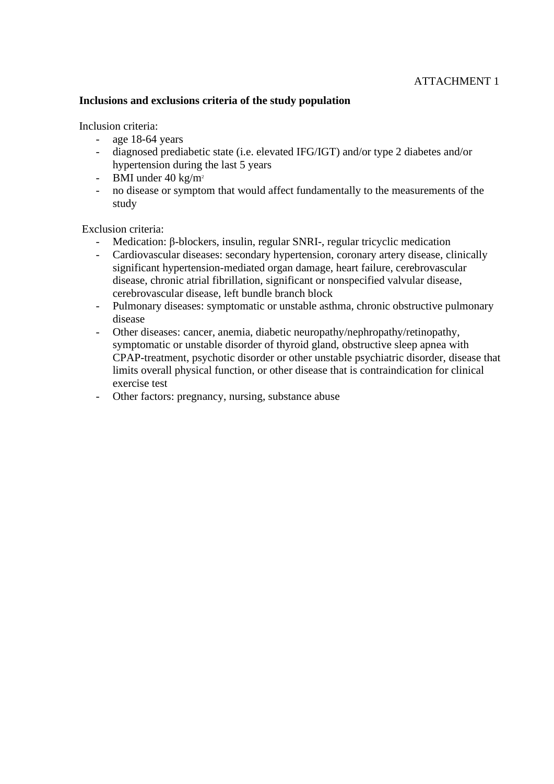## **Inclusions and exclusions criteria of the study population**

Inclusion criteria:

- age 18-64 years
- diagnosed prediabetic state (i.e. elevated IFG/IGT) and/or type 2 diabetes and/or hypertension during the last 5 years
- BMI under 40 kg/m<sup>2</sup>
- no disease or symptom that would affect fundamentally to the measurements of the study

Exclusion criteria:

- Medication: β-blockers, insulin, regular SNRI-, regular tricyclic medication
- Cardiovascular diseases: secondary hypertension, coronary artery disease, clinically significant hypertension-mediated organ damage, heart failure, cerebrovascular disease, chronic atrial fibrillation, significant or nonspecified valvular disease, cerebrovascular disease, left bundle branch block
- Pulmonary diseases: symptomatic or unstable asthma, chronic obstructive pulmonary disease
- Other diseases: cancer, anemia, diabetic neuropathy/nephropathy/retinopathy, symptomatic or unstable disorder of thyroid gland, obstructive sleep apnea with CPAP-treatment, psychotic disorder or other unstable psychiatric disorder, disease that limits overall physical function, or other disease that is contraindication for clinical exercise test
- Other factors: pregnancy, nursing, substance abuse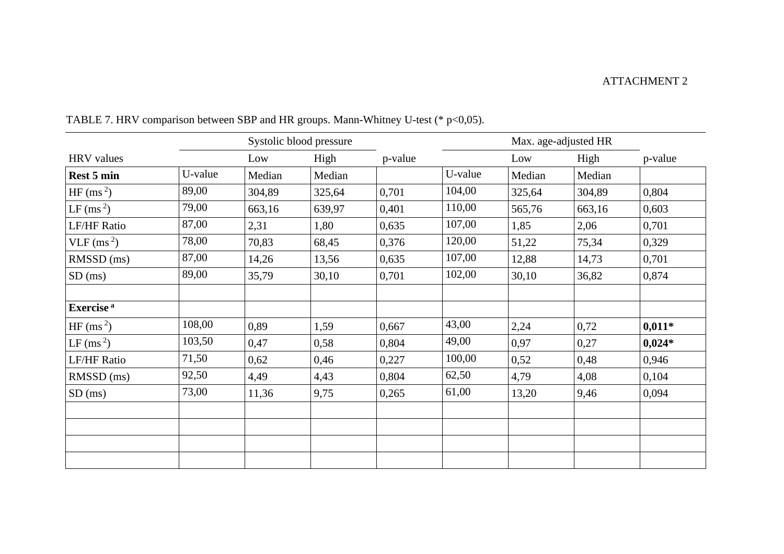## ATTACHMENT 2

|                        | Systolic blood pressure |        |        |         | Max. age-adjusted HR |        |        |          |
|------------------------|-------------------------|--------|--------|---------|----------------------|--------|--------|----------|
| <b>HRV</b> values      |                         | Low    | High   | p-value |                      | Low    | High   | p-value  |
| Rest 5 min             | U-value                 | Median | Median |         | U-value              | Median | Median |          |
| HF (ms <sup>2</sup> )  | 89,00                   | 304,89 | 325,64 | 0,701   | 104,00               | 325,64 | 304,89 | 0,804    |
| LF (ms <sup>2</sup> )  | 79,00                   | 663,16 | 639,97 | 0,401   | 110,00               | 565,76 | 663,16 | 0,603    |
| <b>LF/HF Ratio</b>     | 87,00                   | 2,31   | 1,80   | 0,635   | 107,00               | 1,85   | 2,06   | 0,701    |
| VLF (ms <sup>2</sup> ) | 78,00                   | 70,83  | 68,45  | 0,376   | 120,00               | 51,22  | 75,34  | 0,329    |
| RMSSD (ms)             | 87,00                   | 14,26  | 13,56  | 0,635   | 107,00               | 12,88  | 14,73  | 0,701    |
| $SD$ (ms)              | 89,00                   | 35,79  | 30,10  | 0,701   | 102,00               | 30,10  | 36,82  | 0,874    |
|                        |                         |        |        |         |                      |        |        |          |
| Exercise <sup>a</sup>  |                         |        |        |         |                      |        |        |          |
| HF (ms <sup>2</sup> )  | 108,00                  | 0,89   | 1,59   | 0,667   | 43,00                | 2,24   | 0,72   | $0,011*$ |
| LF (ms <sup>2</sup> )  | 103,50                  | 0,47   | 0,58   | 0,804   | 49,00                | 0,97   | 0,27   | $0,024*$ |
| <b>LF/HF Ratio</b>     | 71,50                   | 0,62   | 0,46   | 0,227   | 100,00               | 0,52   | 0,48   | 0,946    |
| RMSSD (ms)             | 92,50                   | 4,49   | 4,43   | 0,804   | 62,50                | 4,79   | 4,08   | 0,104    |
| $SD$ (ms)              | 73,00                   | 11,36  | 9,75   | 0,265   | 61,00                | 13,20  | 9,46   | 0,094    |
|                        |                         |        |        |         |                      |        |        |          |
|                        |                         |        |        |         |                      |        |        |          |
|                        |                         |        |        |         |                      |        |        |          |
|                        |                         |        |        |         |                      |        |        |          |

TABLE 7. HRV comparison between SBP and HR groups. Mann-Whitney U-test (\* p<0,05).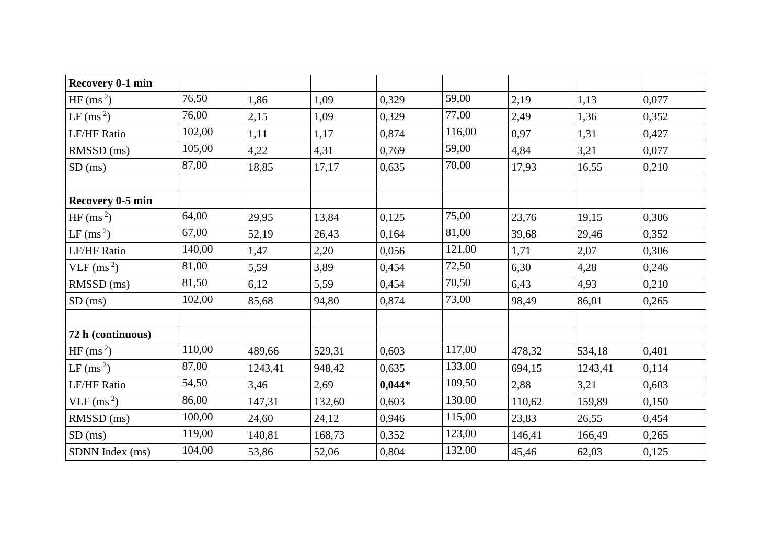| Recovery 0-1 min       |        |         |        |          |        |        |         |       |
|------------------------|--------|---------|--------|----------|--------|--------|---------|-------|
| HF (ms <sup>2</sup> )  | 76,50  | 1,86    | 1,09   | 0,329    | 59,00  | 2,19   | 1,13    | 0,077 |
| LF (ms <sup>2</sup> )  | 76,00  | 2,15    | 1,09   | 0,329    | 77,00  | 2,49   | 1,36    | 0,352 |
| <b>LF/HF Ratio</b>     | 102,00 | 1,11    | 1,17   | 0,874    | 116,00 | 0,97   | 1,31    | 0,427 |
| RMSSD (ms)             | 105,00 | 4,22    | 4,31   | 0,769    | 59,00  | 4,84   | 3,21    | 0,077 |
| $SD$ (ms)              | 87,00  | 18,85   | 17,17  | 0,635    | 70,00  | 17,93  | 16,55   | 0,210 |
| Recovery 0-5 min       |        |         |        |          |        |        |         |       |
| HF (ms <sup>2</sup> )  | 64,00  | 29,95   | 13,84  | 0,125    | 75,00  | 23,76  | 19,15   | 0,306 |
| LF (ms <sup>2</sup> )  | 67,00  | 52,19   | 26,43  | 0,164    | 81,00  | 39,68  | 29,46   | 0,352 |
| <b>LF/HF Ratio</b>     | 140,00 | 1,47    | 2,20   | 0,056    | 121,00 | 1,71   | 2,07    | 0,306 |
| VLF $\rm(ms^2)$        | 81,00  | 5,59    | 3,89   | 0,454    | 72,50  | 6,30   | 4,28    | 0,246 |
| RMSSD (ms)             | 81,50  | 6,12    | 5,59   | 0,454    | 70,50  | 6,43   | 4,93    | 0,210 |
| $SD$ (ms)              | 102,00 | 85,68   | 94,80  | 0,874    | 73,00  | 98,49  | 86,01   | 0,265 |
| 72 h (continuous)      |        |         |        |          |        |        |         |       |
| HF (ms <sup>2</sup> )  | 110,00 | 489,66  | 529,31 | 0,603    | 117,00 | 478,32 | 534,18  | 0,401 |
| LF (ms <sup>2</sup> )  | 87,00  | 1243,41 | 948,42 | 0,635    | 133,00 | 694,15 | 1243,41 | 0,114 |
| <b>LF/HF Ratio</b>     | 54,50  | 3,46    | 2,69   | $0,044*$ | 109,50 | 2,88   | 3,21    | 0,603 |
| VLF (ms <sup>2</sup> ) | 86,00  | 147,31  | 132,60 | 0,603    | 130,00 | 110,62 | 159,89  | 0,150 |
| RMSSD (ms)             | 100,00 | 24,60   | 24,12  | 0,946    | 115,00 | 23,83  | 26,55   | 0,454 |
| $SD$ (ms)              | 119,00 | 140,81  | 168,73 | 0,352    | 123,00 | 146,41 | 166,49  | 0,265 |
| SDNN Index (ms)        | 104,00 | 53,86   | 52,06  | 0,804    | 132,00 | 45,46  | 62,03   | 0,125 |